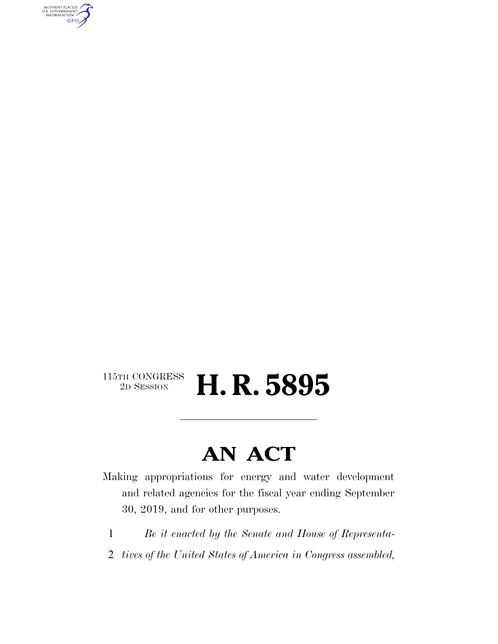AUTHENTICATED<br>U.S. GOVERNMENT<br>INFORMATION GPO

# $\begin{array}{c} \textbf{115TH CONGRESS} \\ \textbf{2D SESION} \end{array}$ 2D SESSION **H. R. 5895**

# **AN ACT**

Making appropriations for energy and water development and related agencies for the fiscal year ending September 30, 2019, and for other purposes.

- 1 *Be it enacted by the Senate and House of Representa-*
- 2 *tives of the United States of America in Congress assembled,*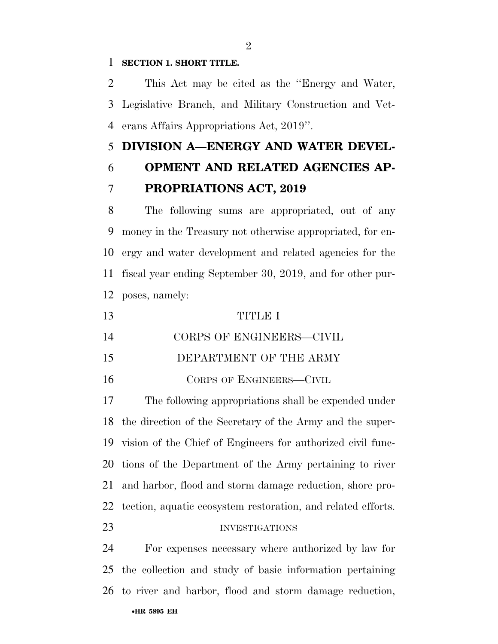### **SECTION 1. SHORT TITLE.**

 This Act may be cited as the ''Energy and Water, Legislative Branch, and Military Construction and Vet-erans Affairs Appropriations Act, 2019''.

# **DIVISION A—ENERGY AND WATER DEVEL-**

# **OPMENT AND RELATED AGENCIES AP-PROPRIATIONS ACT, 2019**

 The following sums are appropriated, out of any money in the Treasury not otherwise appropriated, for en- ergy and water development and related agencies for the fiscal year ending September 30, 2019, and for other pur-poses, namely:

| 13 | TITLE I                  |
|----|--------------------------|
| 14 | CORPS OF ENGINEERS-CIVIL |
| 15 | DEPARTMENT OF THE ARMY   |
| 16 | CORPS OF ENGINEERS-CIVIL |

 The following appropriations shall be expended under the direction of the Secretary of the Army and the super- vision of the Chief of Engineers for authorized civil func- tions of the Department of the Army pertaining to river and harbor, flood and storm damage reduction, shore pro-tection, aquatic ecosystem restoration, and related efforts.

#### INVESTIGATIONS

•**HR 5895 EH** For expenses necessary where authorized by law for the collection and study of basic information pertaining to river and harbor, flood and storm damage reduction,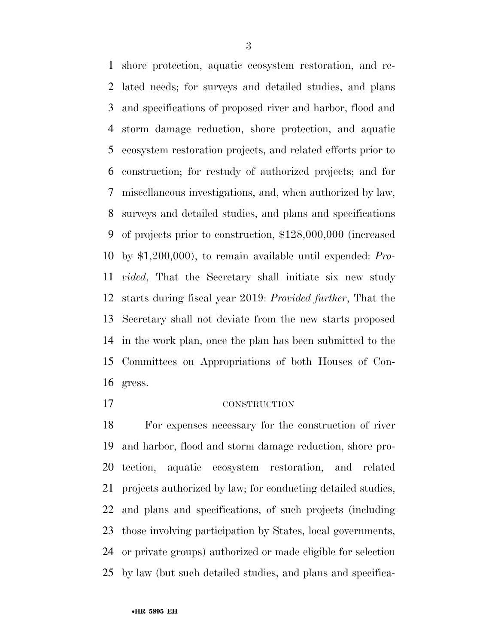shore protection, aquatic ecosystem restoration, and re- lated needs; for surveys and detailed studies, and plans and specifications of proposed river and harbor, flood and storm damage reduction, shore protection, and aquatic ecosystem restoration projects, and related efforts prior to construction; for restudy of authorized projects; and for miscellaneous investigations, and, when authorized by law, surveys and detailed studies, and plans and specifications of projects prior to construction, \$128,000,000 (increased by \$1,200,000), to remain available until expended: *Pro- vided*, That the Secretary shall initiate six new study starts during fiscal year 2019: *Provided further*, That the Secretary shall not deviate from the new starts proposed in the work plan, once the plan has been submitted to the Committees on Appropriations of both Houses of Con-gress.

# CONSTRUCTION

 For expenses necessary for the construction of river and harbor, flood and storm damage reduction, shore pro- tection, aquatic ecosystem restoration, and related projects authorized by law; for conducting detailed studies, and plans and specifications, of such projects (including those involving participation by States, local governments, or private groups) authorized or made eligible for selection by law (but such detailed studies, and plans and specifica-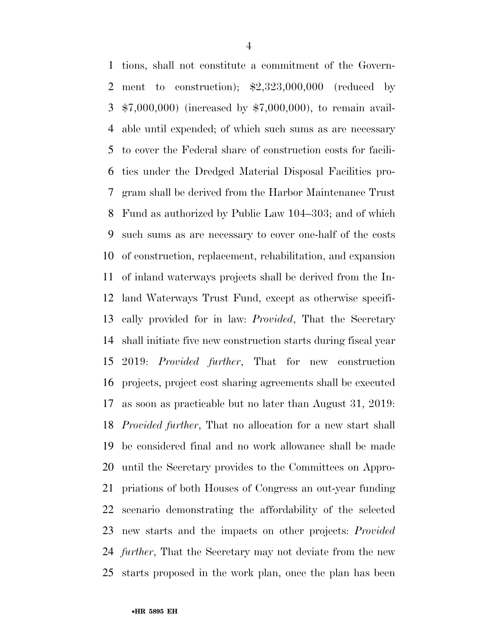tions, shall not constitute a commitment of the Govern- ment to construction); \$2,323,000,000 (reduced by \$7,000,000) (increased by \$7,000,000), to remain avail- able until expended; of which such sums as are necessary to cover the Federal share of construction costs for facili- ties under the Dredged Material Disposal Facilities pro- gram shall be derived from the Harbor Maintenance Trust Fund as authorized by Public Law 104–303; and of which such sums as are necessary to cover one-half of the costs of construction, replacement, rehabilitation, and expansion of inland waterways projects shall be derived from the In- land Waterways Trust Fund, except as otherwise specifi- cally provided for in law: *Provided*, That the Secretary shall initiate five new construction starts during fiscal year 2019: *Provided further*, That for new construction projects, project cost sharing agreements shall be executed as soon as practicable but no later than August 31, 2019: *Provided further*, That no allocation for a new start shall be considered final and no work allowance shall be made until the Secretary provides to the Committees on Appro- priations of both Houses of Congress an out-year funding scenario demonstrating the affordability of the selected new starts and the impacts on other projects: *Provided further*, That the Secretary may not deviate from the new starts proposed in the work plan, once the plan has been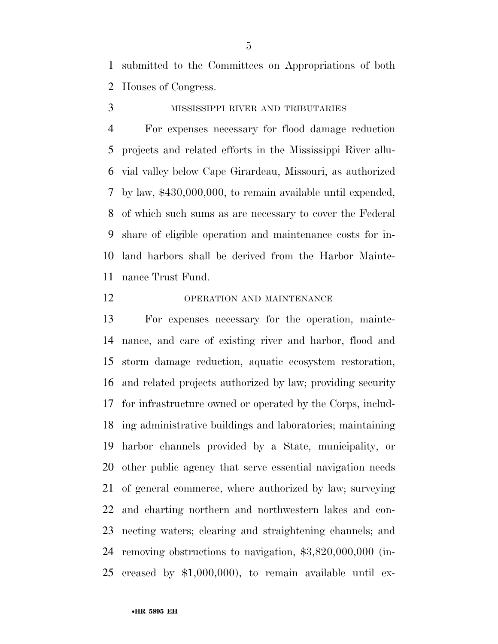submitted to the Committees on Appropriations of both Houses of Congress.

MISSISSIPPI RIVER AND TRIBUTARIES

 For expenses necessary for flood damage reduction projects and related efforts in the Mississippi River allu- vial valley below Cape Girardeau, Missouri, as authorized by law, \$430,000,000, to remain available until expended, of which such sums as are necessary to cover the Federal share of eligible operation and maintenance costs for in- land harbors shall be derived from the Harbor Mainte-nance Trust Fund.

# OPERATION AND MAINTENANCE

 For expenses necessary for the operation, mainte- nance, and care of existing river and harbor, flood and storm damage reduction, aquatic ecosystem restoration, and related projects authorized by law; providing security for infrastructure owned or operated by the Corps, includ- ing administrative buildings and laboratories; maintaining harbor channels provided by a State, municipality, or other public agency that serve essential navigation needs of general commerce, where authorized by law; surveying and charting northern and northwestern lakes and con- necting waters; clearing and straightening channels; and removing obstructions to navigation, \$3,820,000,000 (in-creased by \$1,000,000), to remain available until ex-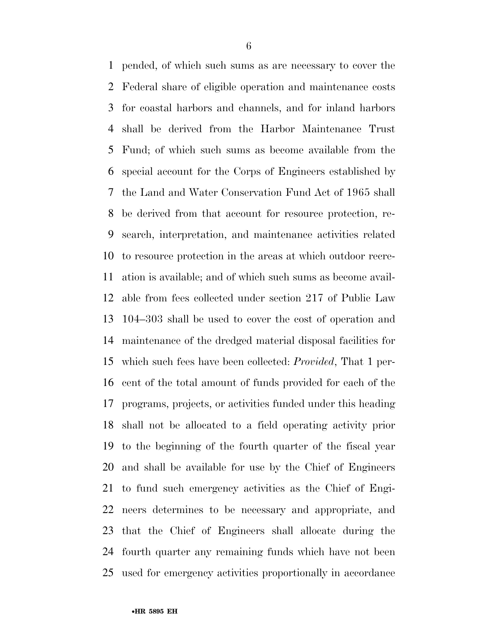pended, of which such sums as are necessary to cover the Federal share of eligible operation and maintenance costs for coastal harbors and channels, and for inland harbors shall be derived from the Harbor Maintenance Trust Fund; of which such sums as become available from the special account for the Corps of Engineers established by the Land and Water Conservation Fund Act of 1965 shall be derived from that account for resource protection, re- search, interpretation, and maintenance activities related to resource protection in the areas at which outdoor recre- ation is available; and of which such sums as become avail- able from fees collected under section 217 of Public Law 104–303 shall be used to cover the cost of operation and maintenance of the dredged material disposal facilities for which such fees have been collected: *Provided*, That 1 per- cent of the total amount of funds provided for each of the programs, projects, or activities funded under this heading shall not be allocated to a field operating activity prior to the beginning of the fourth quarter of the fiscal year and shall be available for use by the Chief of Engineers to fund such emergency activities as the Chief of Engi- neers determines to be necessary and appropriate, and that the Chief of Engineers shall allocate during the fourth quarter any remaining funds which have not been used for emergency activities proportionally in accordance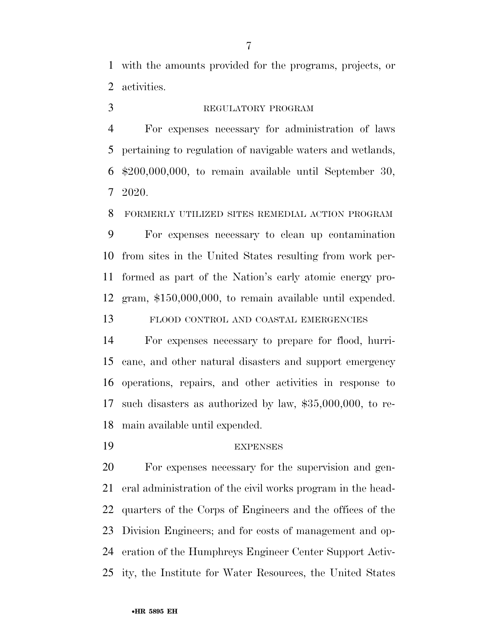with the amounts provided for the programs, projects, or activities.

# REGULATORY PROGRAM

 For expenses necessary for administration of laws pertaining to regulation of navigable waters and wetlands, \$200,000,000, to remain available until September 30, 2020.

FORMERLY UTILIZED SITES REMEDIAL ACTION PROGRAM

 For expenses necessary to clean up contamination from sites in the United States resulting from work per- formed as part of the Nation's early atomic energy pro-gram, \$150,000,000, to remain available until expended.

FLOOD CONTROL AND COASTAL EMERGENCIES

 For expenses necessary to prepare for flood, hurri- cane, and other natural disasters and support emergency operations, repairs, and other activities in response to such disasters as authorized by law, \$35,000,000, to re-main available until expended.

### EXPENSES

 For expenses necessary for the supervision and gen- eral administration of the civil works program in the head- quarters of the Corps of Engineers and the offices of the Division Engineers; and for costs of management and op- eration of the Humphreys Engineer Center Support Activ-ity, the Institute for Water Resources, the United States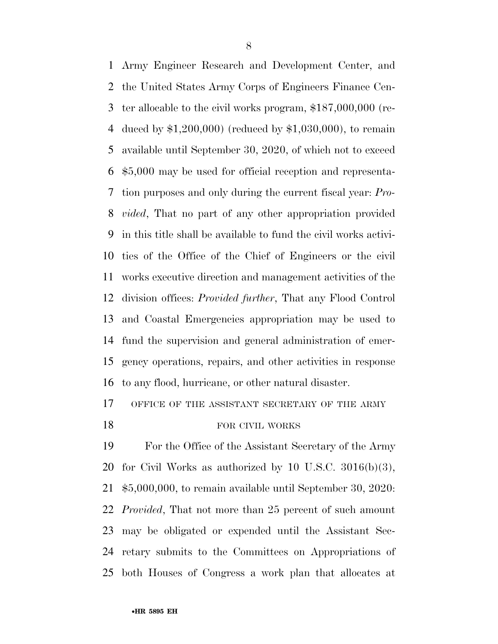Army Engineer Research and Development Center, and the United States Army Corps of Engineers Finance Cen- ter allocable to the civil works program, \$187,000,000 (re- duced by \$1,200,000) (reduced by \$1,030,000), to remain available until September 30, 2020, of which not to exceed \$5,000 may be used for official reception and representa- tion purposes and only during the current fiscal year: *Pro- vided*, That no part of any other appropriation provided in this title shall be available to fund the civil works activi- ties of the Office of the Chief of Engineers or the civil works executive direction and management activities of the division offices: *Provided further*, That any Flood Control and Coastal Emergencies appropriation may be used to fund the supervision and general administration of emer- gency operations, repairs, and other activities in response to any flood, hurricane, or other natural disaster.

# 17 OFFICE OF THE ASSISTANT SECRETARY OF THE ARMY

# 18 FOR CIVIL WORKS

 For the Office of the Assistant Secretary of the Army 20 for Civil Works as authorized by 10 U.S.C.  $3016(b)(3)$ , \$5,000,000, to remain available until September 30, 2020: *Provided*, That not more than 25 percent of such amount may be obligated or expended until the Assistant Sec- retary submits to the Committees on Appropriations of both Houses of Congress a work plan that allocates at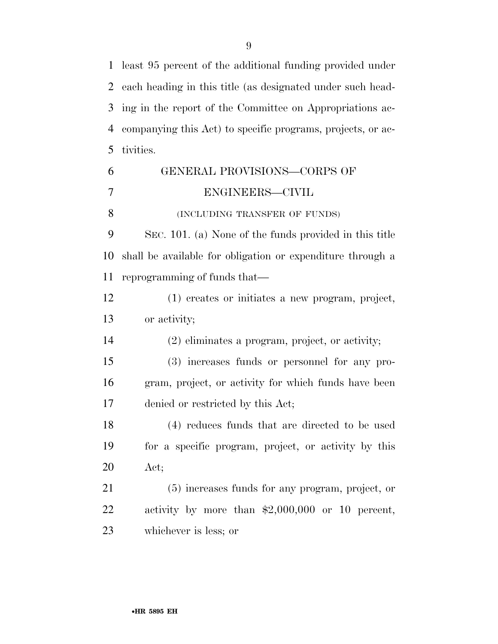least 95 percent of the additional funding provided under each heading in this title (as designated under such head- ing in the report of the Committee on Appropriations ac- companying this Act) to specific programs, projects, or ac-tivities.

| 6              | GENERAL PROVISIONS-CORPS OF                                |
|----------------|------------------------------------------------------------|
| $\overline{7}$ | ENGINEERS-CIVIL                                            |
| 8              | (INCLUDING TRANSFER OF FUNDS)                              |
| 9              | SEC. 101. (a) None of the funds provided in this title     |
| 10             | shall be available for obligation or expenditure through a |
| 11             | reprogramming of funds that—                               |
| 12             | (1) creates or initiates a new program, project,           |
| 13             | or activity;                                               |
| 14             | (2) eliminates a program, project, or activity;            |
| 15             | (3) increases funds or personnel for any pro-              |
| 16             | gram, project, or activity for which funds have been       |
| 17             | denied or restricted by this Act;                          |
| 18             | (4) reduces funds that are directed to be used             |
| 19             | for a specific program, project, or activity by this       |
| 20             | Act;                                                       |
| 21             | (5) increases funds for any program, project, or           |
| 22             | activity by more than $$2,000,000$ or 10 percent,          |
| 23             | whichever is less; or                                      |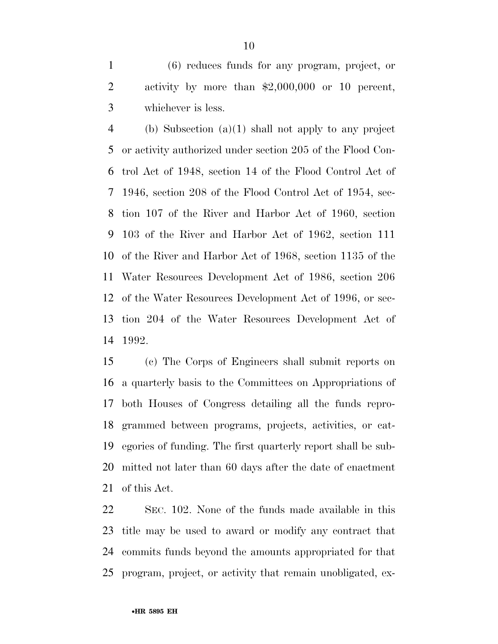(6) reduces funds for any program, project, or activity by more than \$2,000,000 or 10 percent, whichever is less.

 (b) Subsection (a)(1) shall not apply to any project or activity authorized under section 205 of the Flood Con- trol Act of 1948, section 14 of the Flood Control Act of 1946, section 208 of the Flood Control Act of 1954, sec- tion 107 of the River and Harbor Act of 1960, section 103 of the River and Harbor Act of 1962, section 111 of the River and Harbor Act of 1968, section 1135 of the Water Resources Development Act of 1986, section 206 of the Water Resources Development Act of 1996, or sec- tion 204 of the Water Resources Development Act of 1992.

 (c) The Corps of Engineers shall submit reports on a quarterly basis to the Committees on Appropriations of both Houses of Congress detailing all the funds repro- grammed between programs, projects, activities, or cat- egories of funding. The first quarterly report shall be sub- mitted not later than 60 days after the date of enactment of this Act.

 SEC. 102. None of the funds made available in this title may be used to award or modify any contract that commits funds beyond the amounts appropriated for that program, project, or activity that remain unobligated, ex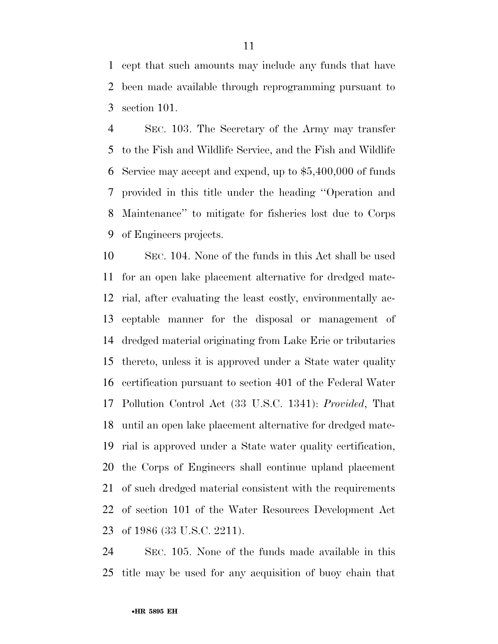cept that such amounts may include any funds that have been made available through reprogramming pursuant to section 101.

 SEC. 103. The Secretary of the Army may transfer to the Fish and Wildlife Service, and the Fish and Wildlife Service may accept and expend, up to \$5,400,000 of funds provided in this title under the heading ''Operation and Maintenance'' to mitigate for fisheries lost due to Corps of Engineers projects.

 SEC. 104. None of the funds in this Act shall be used for an open lake placement alternative for dredged mate- rial, after evaluating the least costly, environmentally ac- ceptable manner for the disposal or management of dredged material originating from Lake Erie or tributaries thereto, unless it is approved under a State water quality certification pursuant to section 401 of the Federal Water Pollution Control Act (33 U.S.C. 1341): *Provided*, That until an open lake placement alternative for dredged mate- rial is approved under a State water quality certification, the Corps of Engineers shall continue upland placement of such dredged material consistent with the requirements of section 101 of the Water Resources Development Act of 1986 (33 U.S.C. 2211).

 SEC. 105. None of the funds made available in this title may be used for any acquisition of buoy chain that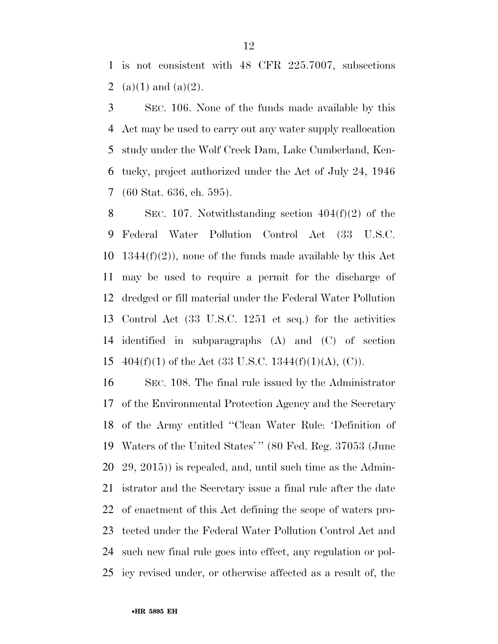is not consistent with 48 CFR 225.7007, subsections 2 (a)(1) and (a)(2).

 SEC. 106. None of the funds made available by this Act may be used to carry out any water supply reallocation study under the Wolf Creek Dam, Lake Cumberland, Ken- tucky, project authorized under the Act of July 24, 1946 (60 Stat. 636, ch. 595).

8 SEC. 107. Notwithstanding section  $404(f)(2)$  of the Federal Water Pollution Control Act (33 U.S.C.  $1344(f)(2)$ , none of the funds made available by this Act may be used to require a permit for the discharge of dredged or fill material under the Federal Water Pollution Control Act (33 U.S.C. 1251 et seq.) for the activities identified in subparagraphs (A) and (C) of section 15 404(f)(1) of the Act (33 U.S.C. 1344(f)(1)(A), (C)).

 SEC. 108. The final rule issued by the Administrator of the Environmental Protection Agency and the Secretary of the Army entitled ''Clean Water Rule: 'Definition of Waters of the United States' '' (80 Fed. Reg. 37053 (June 29, 2015)) is repealed, and, until such time as the Admin- istrator and the Secretary issue a final rule after the date of enactment of this Act defining the scope of waters pro- tected under the Federal Water Pollution Control Act and such new final rule goes into effect, any regulation or pol-icy revised under, or otherwise affected as a result of, the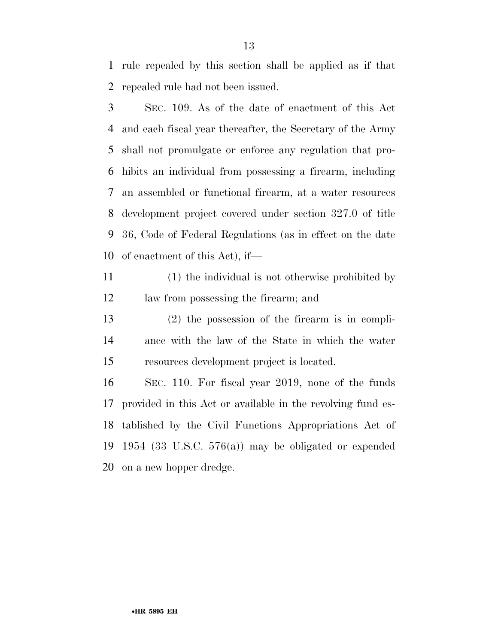rule repealed by this section shall be applied as if that repealed rule had not been issued.

 SEC. 109. As of the date of enactment of this Act and each fiscal year thereafter, the Secretary of the Army shall not promulgate or enforce any regulation that pro- hibits an individual from possessing a firearm, including an assembled or functional firearm, at a water resources development project covered under section 327.0 of title 36, Code of Federal Regulations (as in effect on the date of enactment of this Act), if—

 (1) the individual is not otherwise prohibited by law from possessing the firearm; and

 (2) the possession of the firearm is in compli- ance with the law of the State in which the water resources development project is located.

 SEC. 110. For fiscal year 2019, none of the funds provided in this Act or available in the revolving fund es- tablished by the Civil Functions Appropriations Act of 1954 (33 U.S.C. 576(a)) may be obligated or expended on a new hopper dredge.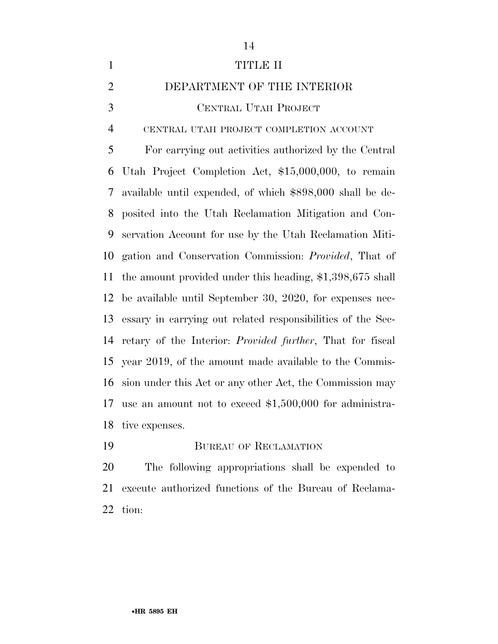| $\mathbf{1}$   | <b>TITLE II</b>                                                   |
|----------------|-------------------------------------------------------------------|
| $\overline{2}$ | DEPARTMENT OF THE INTERIOR                                        |
| 3              | CENTRAL UTAH PROJECT                                              |
| $\overline{4}$ | CENTRAL UTAH PROJECT COMPLETION ACCOUNT                           |
| 5              | For carrying out activities authorized by the Central             |
| 6              | Utah Project Completion Act, \$15,000,000, to remain              |
| 7              | available until expended, of which \$898,000 shall be de-         |
| 8              | posited into the Utah Reclamation Mitigation and Con-             |
| 9              | servation Account for use by the Utah Reclamation Miti-           |
| 10             | gation and Conservation Commission: <i>Provided</i> , That of     |
| 11             | the amount provided under this heading, $$1,398,675$ shall        |
| 12             | be available until September 30, 2020, for expenses nec-          |
| 13             | essary in carrying out related responsibilities of the Sec-       |
| 14             | retary of the Interior: <i>Provided further</i> , That for fiscal |
| 15             | year 2019, of the amount made available to the Commis-            |
| 16             | sion under this Act or any other Act, the Commission may          |
| 17             | use an amount not to exceed $$1,500,000$ for administra-          |
| 18             | tive expenses.                                                    |
| 19             | <b>BUREAU OF RECLAMATION</b>                                      |

 The following appropriations shall be expended to execute authorized functions of the Bureau of Reclama-tion: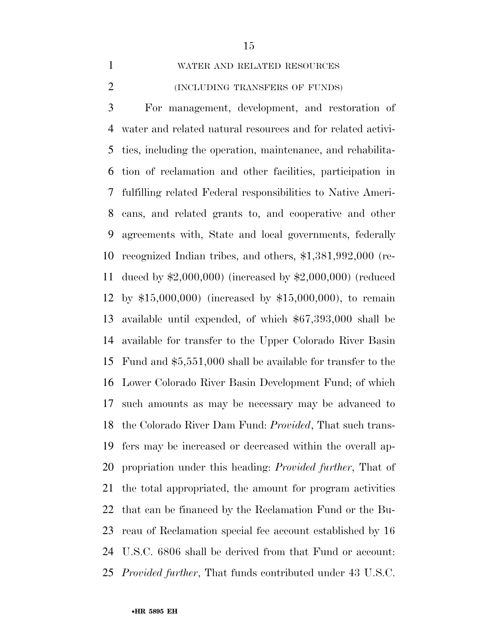WATER AND RELATED RESOURCES

#### (INCLUDING TRANSFERS OF FUNDS)

 For management, development, and restoration of water and related natural resources and for related activi- ties, including the operation, maintenance, and rehabilita- tion of reclamation and other facilities, participation in fulfilling related Federal responsibilities to Native Ameri- cans, and related grants to, and cooperative and other agreements with, State and local governments, federally recognized Indian tribes, and others, \$1,381,992,000 (re- duced by \$2,000,000) (increased by \$2,000,000) (reduced by \$15,000,000) (increased by \$15,000,000), to remain available until expended, of which \$67,393,000 shall be available for transfer to the Upper Colorado River Basin Fund and \$5,551,000 shall be available for transfer to the Lower Colorado River Basin Development Fund; of which such amounts as may be necessary may be advanced to the Colorado River Dam Fund: *Provided*, That such trans- fers may be increased or decreased within the overall ap- propriation under this heading: *Provided further*, That of the total appropriated, the amount for program activities that can be financed by the Reclamation Fund or the Bu- reau of Reclamation special fee account established by 16 U.S.C. 6806 shall be derived from that Fund or account: *Provided further*, That funds contributed under 43 U.S.C.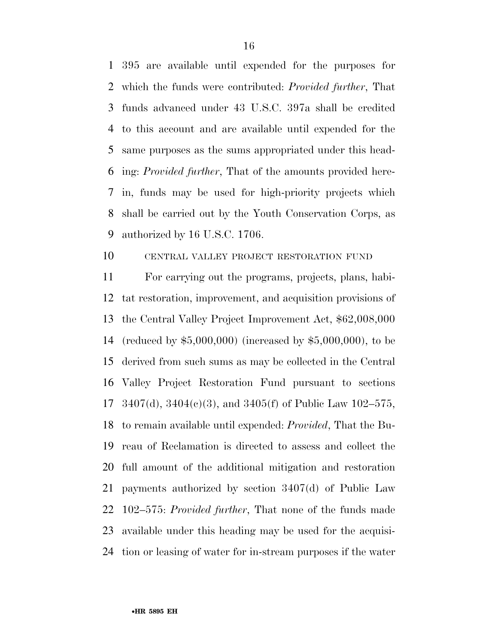395 are available until expended for the purposes for which the funds were contributed: *Provided further*, That funds advanced under 43 U.S.C. 397a shall be credited to this account and are available until expended for the same purposes as the sums appropriated under this head- ing: *Provided further*, That of the amounts provided here- in, funds may be used for high-priority projects which shall be carried out by the Youth Conservation Corps, as authorized by 16 U.S.C. 1706.

# CENTRAL VALLEY PROJECT RESTORATION FUND

 For carrying out the programs, projects, plans, habi- tat restoration, improvement, and acquisition provisions of the Central Valley Project Improvement Act, \$62,008,000 (reduced by \$5,000,000) (increased by \$5,000,000), to be derived from such sums as may be collected in the Central Valley Project Restoration Fund pursuant to sections 3407(d), 3404(c)(3), and 3405(f) of Public Law 102–575, to remain available until expended: *Provided*, That the Bu- reau of Reclamation is directed to assess and collect the full amount of the additional mitigation and restoration payments authorized by section 3407(d) of Public Law 102–575: *Provided further*, That none of the funds made available under this heading may be used for the acquisi-tion or leasing of water for in-stream purposes if the water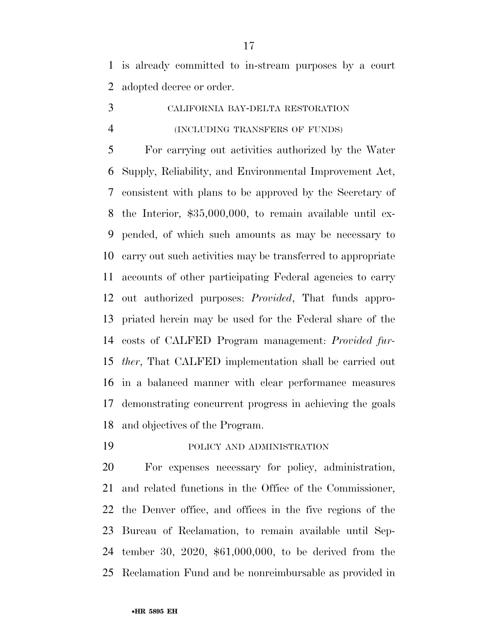is already committed to in-stream purposes by a court adopted decree or order.

 CALIFORNIA BAY-DELTA RESTORATION (INCLUDING TRANSFERS OF FUNDS)

 For carrying out activities authorized by the Water Supply, Reliability, and Environmental Improvement Act, consistent with plans to be approved by the Secretary of the Interior, \$35,000,000, to remain available until ex- pended, of which such amounts as may be necessary to carry out such activities may be transferred to appropriate accounts of other participating Federal agencies to carry out authorized purposes: *Provided*, That funds appro- priated herein may be used for the Federal share of the costs of CALFED Program management: *Provided fur- ther*, That CALFED implementation shall be carried out in a balanced manner with clear performance measures demonstrating concurrent progress in achieving the goals and objectives of the Program.

POLICY AND ADMINISTRATION

 For expenses necessary for policy, administration, and related functions in the Office of the Commissioner, the Denver office, and offices in the five regions of the Bureau of Reclamation, to remain available until Sep- tember 30, 2020, \$61,000,000, to be derived from the Reclamation Fund and be nonreimbursable as provided in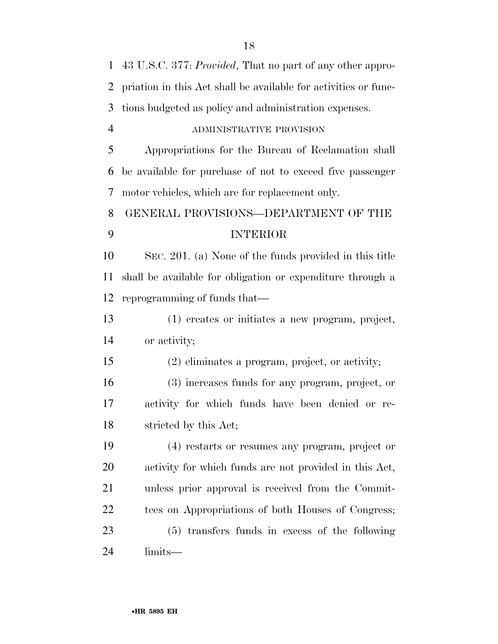| $\mathbf{1}$   | 43 U.S.C. 377: <i>Provided</i> , That no part of any other appro- |
|----------------|-------------------------------------------------------------------|
| $\overline{2}$ | priation in this Act shall be available for activities or func-   |
| 3              | tions budgeted as policy and administration expenses.             |
| $\overline{4}$ | ADMINISTRATIVE PROVISION                                          |
| 5              | Appropriations for the Bureau of Reclamation shall                |
| 6              | be available for purchase of not to exceed five passenger         |
| 7              | motor vehicles, which are for replacement only.                   |
| 8              | GENERAL PROVISIONS-DEPARTMENT OF THE                              |
| 9              | <b>INTERIOR</b>                                                   |
| 10             | SEC. 201. (a) None of the funds provided in this title            |
| 11             | shall be available for obligation or expenditure through a        |
| 12             | reprogramming of funds that—                                      |
| 13             | (1) creates or initiates a new program, project,                  |
| 14             | or activity;                                                      |
| 15             | (2) eliminates a program, project, or activity;                   |
| 16             | (3) increases funds for any program, project, or                  |
| 17             | activity for which funds have been denied or re-                  |
| 18             | stricted by this Act;                                             |
| 19             | (4) restarts or resumes any program, project or                   |
| 20             | activity for which funds are not provided in this Act,            |
| 21             | unless prior approval is received from the Commit-                |
| 22             | tees on Appropriations of both Houses of Congress;                |
| 23             | (5) transfers funds in excess of the following                    |
| 24             | limits—                                                           |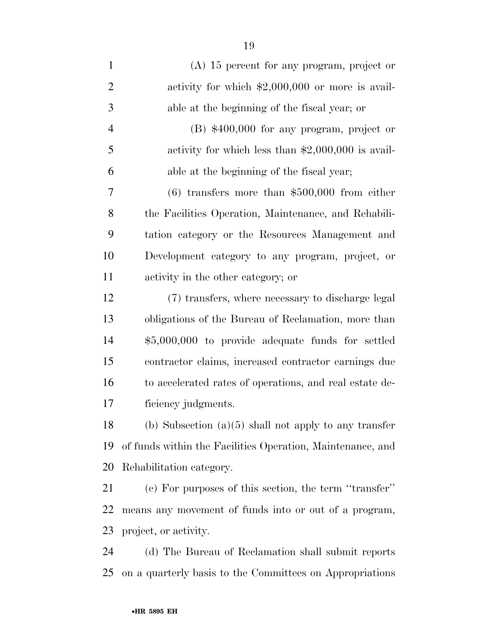| $\mathbf{1}$   | $(A)$ 15 percent for any program, project or               |
|----------------|------------------------------------------------------------|
| $\overline{2}$ | activity for which $$2,000,000$ or more is avail-          |
| 3              | able at the beginning of the fiscal year; or               |
| $\overline{4}$ | $(B)$ \$400,000 for any program, project or                |
| 5              | activity for which less than $$2,000,000$ is avail-        |
| 6              | able at the beginning of the fiscal year;                  |
| 7              | $(6)$ transfers more than \$500,000 from either            |
| 8              | the Facilities Operation, Maintenance, and Rehabili-       |
| 9              | tation category or the Resources Management and            |
| 10             | Development category to any program, project, or           |
| 11             | activity in the other category; or                         |
| 12             | (7) transfers, where necessary to discharge legal          |
| 13             | obligations of the Bureau of Reclamation, more than        |
| 14             | \$5,000,000 to provide adequate funds for settled          |
| 15             | contractor claims, increased contractor earnings due       |
| 16             | to accelerated rates of operations, and real estate de-    |
| 17             | ficiency judgments.                                        |
| 18             | (b) Subsection $(a)(5)$ shall not apply to any transfer    |
| 19             | of funds within the Facilities Operation, Maintenance, and |
| 20             | Rehabilitation category.                                   |
| 21             | (c) For purposes of this section, the term "transfer"      |
| 22             | means any movement of funds into or out of a program,      |
| 23             | project, or activity.                                      |
| 24             | (d) The Bureau of Reclamation shall submit reports         |
| 25             | on a quarterly basis to the Committees on Appropriations   |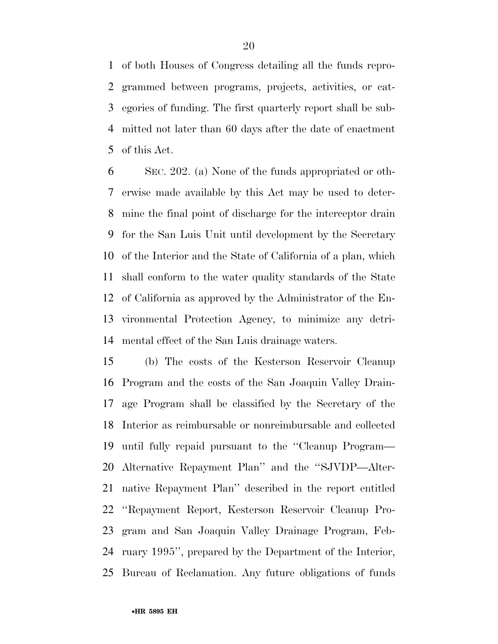of both Houses of Congress detailing all the funds repro- grammed between programs, projects, activities, or cat- egories of funding. The first quarterly report shall be sub- mitted not later than 60 days after the date of enactment of this Act.

 SEC. 202. (a) None of the funds appropriated or oth- erwise made available by this Act may be used to deter- mine the final point of discharge for the interceptor drain for the San Luis Unit until development by the Secretary of the Interior and the State of California of a plan, which shall conform to the water quality standards of the State of California as approved by the Administrator of the En- vironmental Protection Agency, to minimize any detri-mental effect of the San Luis drainage waters.

 (b) The costs of the Kesterson Reservoir Cleanup Program and the costs of the San Joaquin Valley Drain- age Program shall be classified by the Secretary of the Interior as reimbursable or nonreimbursable and collected until fully repaid pursuant to the ''Cleanup Program— Alternative Repayment Plan'' and the ''SJVDP—Alter- native Repayment Plan'' described in the report entitled ''Repayment Report, Kesterson Reservoir Cleanup Pro- gram and San Joaquin Valley Drainage Program, Feb- ruary 1995'', prepared by the Department of the Interior, Bureau of Reclamation. Any future obligations of funds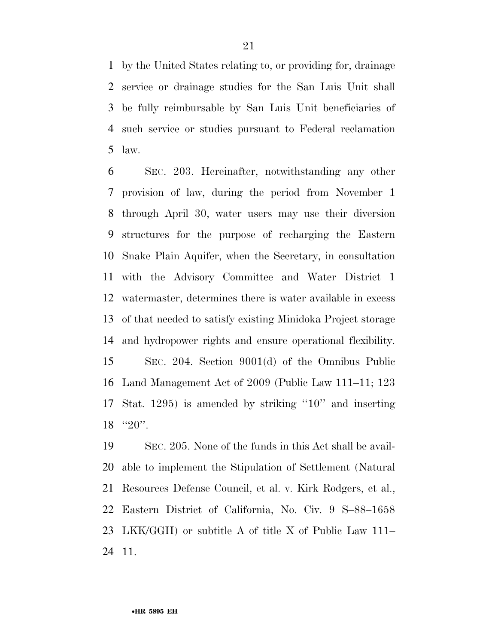by the United States relating to, or providing for, drainage service or drainage studies for the San Luis Unit shall be fully reimbursable by San Luis Unit beneficiaries of such service or studies pursuant to Federal reclamation law.

 SEC. 203. Hereinafter, notwithstanding any other provision of law, during the period from November 1 through April 30, water users may use their diversion structures for the purpose of recharging the Eastern Snake Plain Aquifer, when the Secretary, in consultation with the Advisory Committee and Water District 1 watermaster, determines there is water available in excess of that needed to satisfy existing Minidoka Project storage and hydropower rights and ensure operational flexibility. SEC. 204. Section 9001(d) of the Omnibus Public Land Management Act of 2009 (Public Law 111–11; 123 Stat. 1295) is amended by striking ''10'' and inserting 18 "20".

 SEC. 205. None of the funds in this Act shall be avail- able to implement the Stipulation of Settlement (Natural Resources Defense Council, et al. v. Kirk Rodgers, et al., Eastern District of California, No. Civ. 9 S–88–1658 LKK/GGH) or subtitle A of title X of Public Law 111– 11.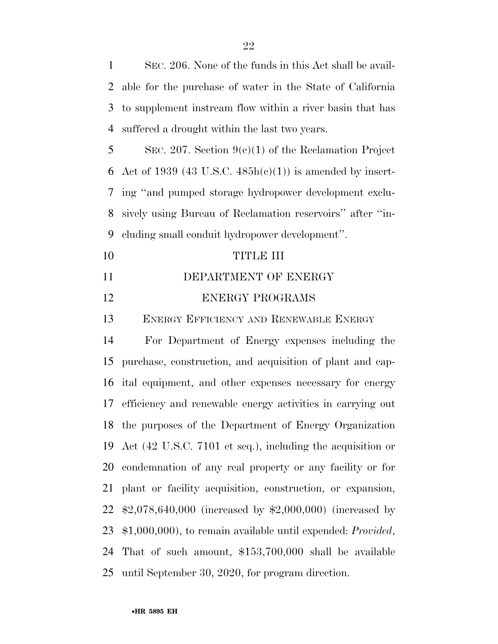SEC. 206. None of the funds in this Act shall be avail- able for the purchase of water in the State of California to supplement instream flow within a river basin that has suffered a drought within the last two years. SEC. 207. Section 9(c)(1) of the Reclamation Project 6 Act of 1939 (43 U.S.C.  $485h(c)(1)$ ) is amended by insert- ing ''and pumped storage hydropower development exclu- sively using Bureau of Reclamation reservoirs'' after ''in- cluding small conduit hydropower development''. TITLE III **DEPARTMENT OF ENERGY** 12 ENERGY PROGRAMS ENERGY EFFICIENCY AND RENEWABLE ENERGY For Department of Energy expenses including the purchase, construction, and acquisition of plant and cap- ital equipment, and other expenses necessary for energy efficiency and renewable energy activities in carrying out the purposes of the Department of Energy Organization Act (42 U.S.C. 7101 et seq.), including the acquisition or condemnation of any real property or any facility or for plant or facility acquisition, construction, or expansion, \$2,078,640,000 (increased by \$2,000,000) (increased by \$1,000,000), to remain available until expended: *Provided*, That of such amount, \$153,700,000 shall be available until September 30, 2020, for program direction.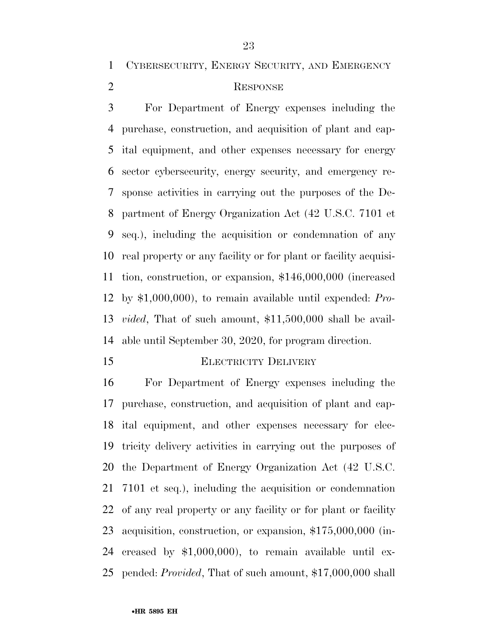CYBERSECURITY, ENERGY SECURITY, AND EMERGENCY

# RESPONSE

 For Department of Energy expenses including the purchase, construction, and acquisition of plant and cap- ital equipment, and other expenses necessary for energy sector cybersecurity, energy security, and emergency re- sponse activities in carrying out the purposes of the De- partment of Energy Organization Act (42 U.S.C. 7101 et seq.), including the acquisition or condemnation of any real property or any facility or for plant or facility acquisi- tion, construction, or expansion, \$146,000,000 (increased by \$1,000,000), to remain available until expended: *Pro- vided*, That of such amount, \$11,500,000 shall be avail-able until September 30, 2020, for program direction.

### ELECTRICITY DELIVERY

 For Department of Energy expenses including the purchase, construction, and acquisition of plant and cap- ital equipment, and other expenses necessary for elec- tricity delivery activities in carrying out the purposes of the Department of Energy Organization Act (42 U.S.C. 7101 et seq.), including the acquisition or condemnation of any real property or any facility or for plant or facility acquisition, construction, or expansion, \$175,000,000 (in- creased by \$1,000,000), to remain available until ex-pended: *Provided*, That of such amount, \$17,000,000 shall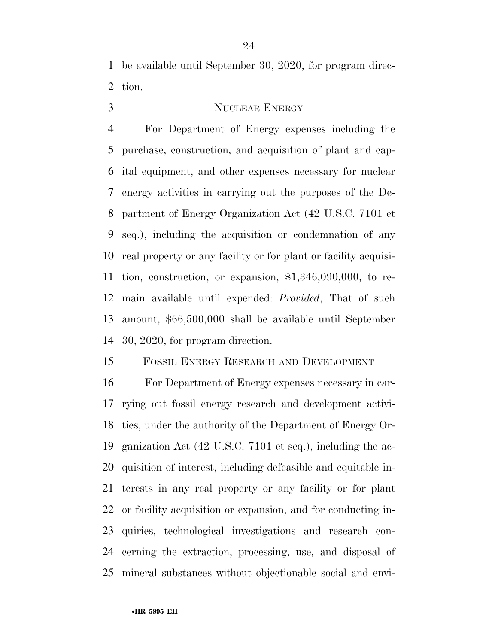be available until September 30, 2020, for program direc-tion.

# 3 NUCLEAR ENERGY

 For Department of Energy expenses including the purchase, construction, and acquisition of plant and cap- ital equipment, and other expenses necessary for nuclear energy activities in carrying out the purposes of the De- partment of Energy Organization Act (42 U.S.C. 7101 et seq.), including the acquisition or condemnation of any real property or any facility or for plant or facility acquisi- tion, construction, or expansion, \$1,346,090,000, to re- main available until expended: *Provided*, That of such amount, \$66,500,000 shall be available until September 30, 2020, for program direction.

# FOSSIL ENERGY RESEARCH AND DEVELOPMENT

 For Department of Energy expenses necessary in car- rying out fossil energy research and development activi- ties, under the authority of the Department of Energy Or- ganization Act (42 U.S.C. 7101 et seq.), including the ac- quisition of interest, including defeasible and equitable in- terests in any real property or any facility or for plant or facility acquisition or expansion, and for conducting in- quiries, technological investigations and research con- cerning the extraction, processing, use, and disposal of mineral substances without objectionable social and envi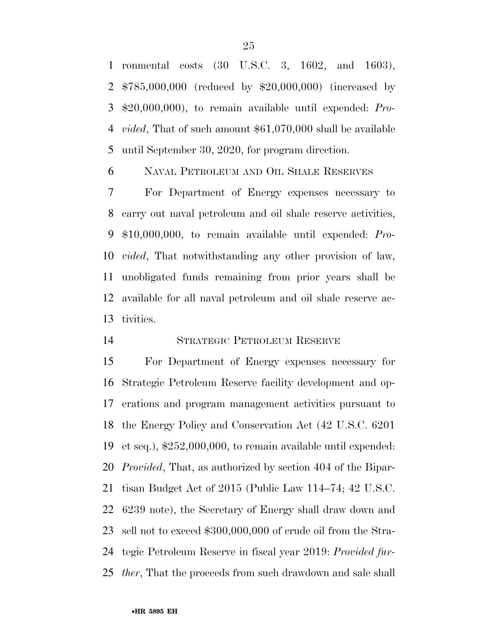ronmental costs (30 U.S.C. 3, 1602, and 1603), \$785,000,000 (reduced by \$20,000,000) (increased by \$20,000,000), to remain available until expended: *Pro- vided*, That of such amount \$61,070,000 shall be available until September 30, 2020, for program direction.

NAVAL PETROLEUM AND OIL SHALE RESERVES

 For Department of Energy expenses necessary to carry out naval petroleum and oil shale reserve activities, \$10,000,000, to remain available until expended: *Pro- vided*, That notwithstanding any other provision of law, unobligated funds remaining from prior years shall be available for all naval petroleum and oil shale reserve ac-tivities.

# STRATEGIC PETROLEUM RESERVE

 For Department of Energy expenses necessary for Strategic Petroleum Reserve facility development and op- erations and program management activities pursuant to the Energy Policy and Conservation Act (42 U.S.C. 6201 et seq.), \$252,000,000, to remain available until expended: *Provided*, That, as authorized by section 404 of the Bipar- tisan Budget Act of 2015 (Public Law 114–74; 42 U.S.C. 6239 note), the Secretary of Energy shall draw down and sell not to exceed \$300,000,000 of crude oil from the Stra- tegic Petroleum Reserve in fiscal year 2019: *Provided fur-ther*, That the proceeds from such drawdown and sale shall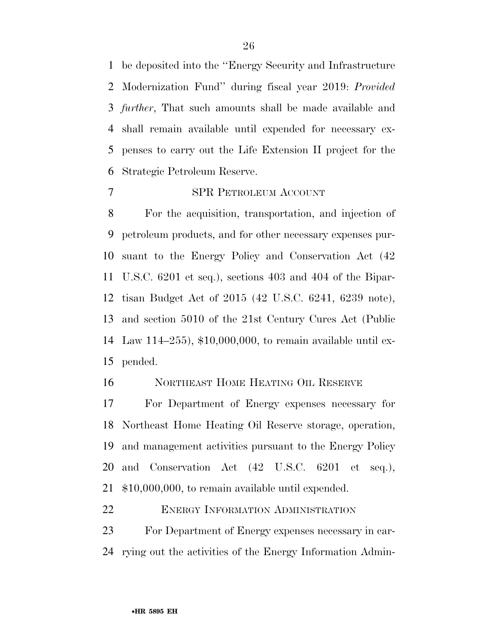be deposited into the ''Energy Security and Infrastructure Modernization Fund'' during fiscal year 2019: *Provided further*, That such amounts shall be made available and shall remain available until expended for necessary ex- penses to carry out the Life Extension II project for the Strategic Petroleum Reserve.

# SPR PETROLEUM ACCOUNT

 For the acquisition, transportation, and injection of petroleum products, and for other necessary expenses pur- suant to the Energy Policy and Conservation Act (42 U.S.C. 6201 et seq.), sections 403 and 404 of the Bipar- tisan Budget Act of 2015 (42 U.S.C. 6241, 6239 note), and section 5010 of the 21st Century Cures Act (Public Law 114–255), \$10,000,000, to remain available until ex-pended.

NORTHEAST HOME HEATING OIL RESERVE

 For Department of Energy expenses necessary for Northeast Home Heating Oil Reserve storage, operation, and management activities pursuant to the Energy Policy and Conservation Act (42 U.S.C. 6201 et seq.), \$10,000,000, to remain available until expended.

22 ENERGY INFORMATION ADMINISTRATION

 For Department of Energy expenses necessary in car-rying out the activities of the Energy Information Admin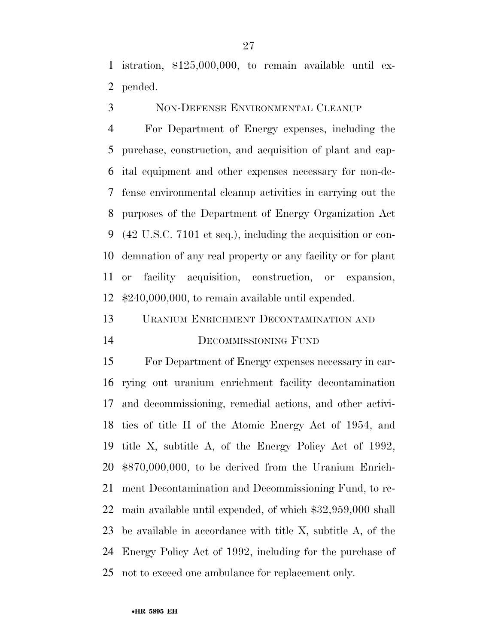istration, \$125,000,000, to remain available until ex-pended.

NON-DEFENSE ENVIRONMENTAL CLEANUP

 For Department of Energy expenses, including the purchase, construction, and acquisition of plant and cap- ital equipment and other expenses necessary for non-de- fense environmental cleanup activities in carrying out the purposes of the Department of Energy Organization Act (42 U.S.C. 7101 et seq.), including the acquisition or con- demnation of any real property or any facility or for plant or facility acquisition, construction, or expansion, \$240,000,000, to remain available until expended.

 URANIUM ENRICHMENT DECONTAMINATION AND DECOMMISSIONING FUND

 For Department of Energy expenses necessary in car- rying out uranium enrichment facility decontamination and decommissioning, remedial actions, and other activi- ties of title II of the Atomic Energy Act of 1954, and title X, subtitle A, of the Energy Policy Act of 1992, \$870,000,000, to be derived from the Uranium Enrich- ment Decontamination and Decommissioning Fund, to re- main available until expended, of which \$32,959,000 shall be available in accordance with title X, subtitle A, of the Energy Policy Act of 1992, including for the purchase of not to exceed one ambulance for replacement only.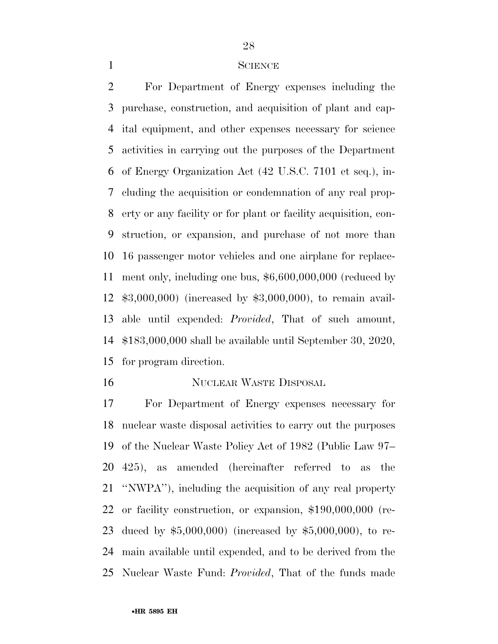#### SCIENCE

 For Department of Energy expenses including the purchase, construction, and acquisition of plant and cap- ital equipment, and other expenses necessary for science activities in carrying out the purposes of the Department of Energy Organization Act (42 U.S.C. 7101 et seq.), in- cluding the acquisition or condemnation of any real prop- erty or any facility or for plant or facility acquisition, con- struction, or expansion, and purchase of not more than 16 passenger motor vehicles and one airplane for replace- ment only, including one bus, \$6,600,000,000 (reduced by \$3,000,000) (increased by \$3,000,000), to remain avail- able until expended: *Provided*, That of such amount, \$183,000,000 shall be available until September 30, 2020, for program direction.

## NUCLEAR WASTE DISPOSAL

 For Department of Energy expenses necessary for nuclear waste disposal activities to carry out the purposes of the Nuclear Waste Policy Act of 1982 (Public Law 97– 425), as amended (hereinafter referred to as the ''NWPA''), including the acquisition of any real property or facility construction, or expansion, \$190,000,000 (re- duced by \$5,000,000) (increased by \$5,000,000), to re- main available until expended, and to be derived from the Nuclear Waste Fund: *Provided*, That of the funds made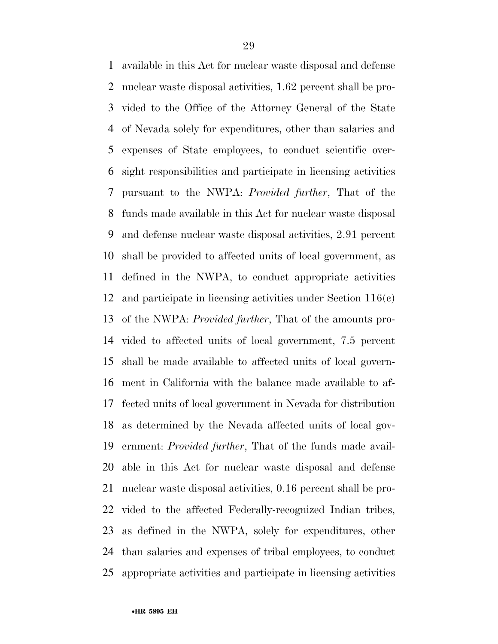available in this Act for nuclear waste disposal and defense nuclear waste disposal activities, 1.62 percent shall be pro- vided to the Office of the Attorney General of the State of Nevada solely for expenditures, other than salaries and expenses of State employees, to conduct scientific over- sight responsibilities and participate in licensing activities pursuant to the NWPA: *Provided further*, That of the funds made available in this Act for nuclear waste disposal and defense nuclear waste disposal activities, 2.91 percent shall be provided to affected units of local government, as defined in the NWPA, to conduct appropriate activities and participate in licensing activities under Section 116(c) of the NWPA: *Provided further*, That of the amounts pro- vided to affected units of local government, 7.5 percent shall be made available to affected units of local govern- ment in California with the balance made available to af- fected units of local government in Nevada for distribution as determined by the Nevada affected units of local gov- ernment: *Provided further*, That of the funds made avail- able in this Act for nuclear waste disposal and defense nuclear waste disposal activities, 0.16 percent shall be pro- vided to the affected Federally-recognized Indian tribes, as defined in the NWPA, solely for expenditures, other than salaries and expenses of tribal employees, to conduct appropriate activities and participate in licensing activities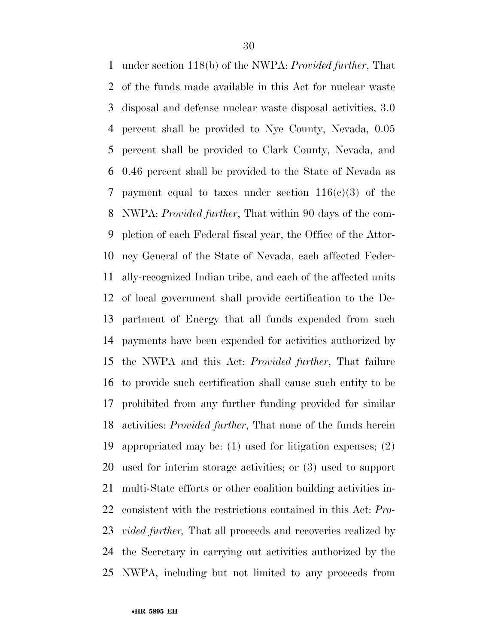under section 118(b) of the NWPA: *Provided further*, That of the funds made available in this Act for nuclear waste disposal and defense nuclear waste disposal activities, 3.0 percent shall be provided to Nye County, Nevada, 0.05 percent shall be provided to Clark County, Nevada, and 0.46 percent shall be provided to the State of Nevada as 7 payment equal to taxes under section  $116(c)(3)$  of the NWPA: *Provided further*, That within 90 days of the com- pletion of each Federal fiscal year, the Office of the Attor- ney General of the State of Nevada, each affected Feder- ally-recognized Indian tribe, and each of the affected units of local government shall provide certification to the De- partment of Energy that all funds expended from such payments have been expended for activities authorized by the NWPA and this Act: *Provided further*, That failure to provide such certification shall cause such entity to be prohibited from any further funding provided for similar activities: *Provided further*, That none of the funds herein appropriated may be: (1) used for litigation expenses; (2) used for interim storage activities; or (3) used to support multi-State efforts or other coalition building activities in- consistent with the restrictions contained in this Act: *Pro- vided further,* That all proceeds and recoveries realized by the Secretary in carrying out activities authorized by the NWPA, including but not limited to any proceeds from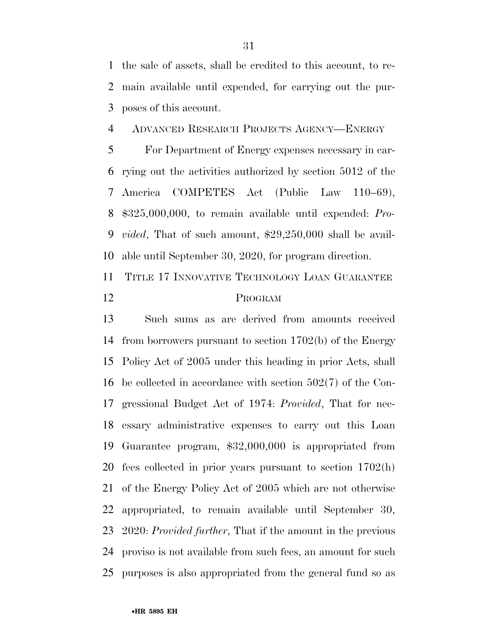the sale of assets, shall be credited to this account, to re- main available until expended, for carrying out the pur-poses of this account.

ADVANCED RESEARCH PROJECTS AGENCY—ENERGY

 For Department of Energy expenses necessary in car- rying out the activities authorized by section 5012 of the America COMPETES Act (Public Law 110–69), \$325,000,000, to remain available until expended: *Pro- vided*, That of such amount, \$29,250,000 shall be avail-able until September 30, 2020, for program direction.

 TITLE 17 INNOVATIVE TECHNOLOGY LOAN GUARANTEE PROGRAM

 Such sums as are derived from amounts received from borrowers pursuant to section 1702(b) of the Energy Policy Act of 2005 under this heading in prior Acts, shall be collected in accordance with section 502(7) of the Con- gressional Budget Act of 1974: *Provided*, That for nec- essary administrative expenses to carry out this Loan Guarantee program, \$32,000,000 is appropriated from fees collected in prior years pursuant to section 1702(h) of the Energy Policy Act of 2005 which are not otherwise appropriated, to remain available until September 30, 2020: *Provided further*, That if the amount in the previous proviso is not available from such fees, an amount for such purposes is also appropriated from the general fund so as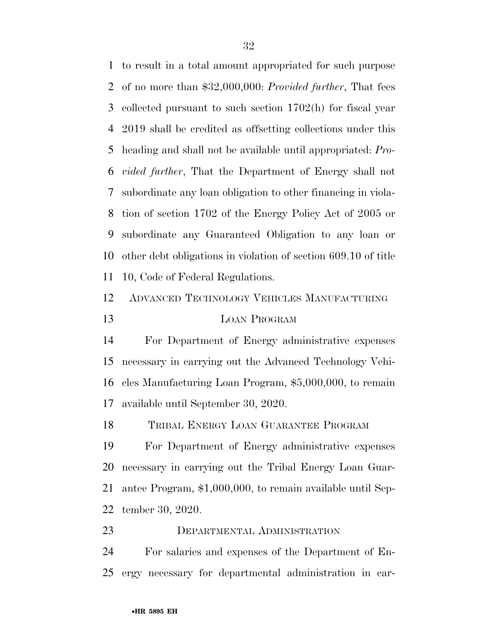to result in a total amount appropriated for such purpose of no more than \$32,000,000: *Provided further*, That fees collected pursuant to such section 1702(h) for fiscal year 2019 shall be credited as offsetting collections under this heading and shall not be available until appropriated: *Pro- vided further*, That the Department of Energy shall not subordinate any loan obligation to other financing in viola- tion of section 1702 of the Energy Policy Act of 2005 or subordinate any Guaranteed Obligation to any loan or other debt obligations in violation of section 609.10 of title 10, Code of Federal Regulations.

# ADVANCED TECHNOLOGY VEHICLES MANUFACTURING LOAN PROGRAM

 For Department of Energy administrative expenses necessary in carrying out the Advanced Technology Vehi- cles Manufacturing Loan Program, \$5,000,000, to remain available until September 30, 2020.

TRIBAL ENERGY LOAN GUARANTEE PROGRAM

 For Department of Energy administrative expenses necessary in carrying out the Tribal Energy Loan Guar- antee Program, \$1,000,000, to remain available until Sep-tember 30, 2020.

DEPARTMENTAL ADMINISTRATION

 For salaries and expenses of the Department of En-ergy necessary for departmental administration in car-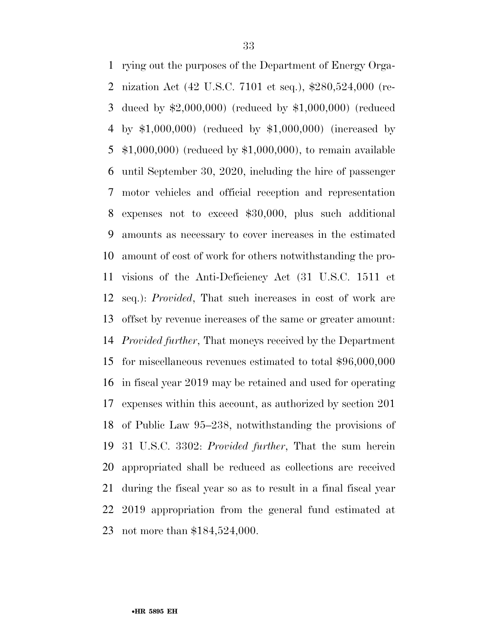rying out the purposes of the Department of Energy Orga- nization Act (42 U.S.C. 7101 et seq.), \$280,524,000 (re- duced by \$2,000,000) (reduced by \$1,000,000) (reduced by \$1,000,000) (reduced by \$1,000,000) (increased by \$1,000,000) (reduced by \$1,000,000), to remain available until September 30, 2020, including the hire of passenger motor vehicles and official reception and representation expenses not to exceed \$30,000, plus such additional amounts as necessary to cover increases in the estimated amount of cost of work for others notwithstanding the pro- visions of the Anti-Deficiency Act (31 U.S.C. 1511 et seq.): *Provided*, That such increases in cost of work are offset by revenue increases of the same or greater amount: *Provided further*, That moneys received by the Department for miscellaneous revenues estimated to total \$96,000,000 in fiscal year 2019 may be retained and used for operating expenses within this account, as authorized by section 201 of Public Law 95–238, notwithstanding the provisions of 31 U.S.C. 3302: *Provided further*, That the sum herein appropriated shall be reduced as collections are received during the fiscal year so as to result in a final fiscal year 2019 appropriation from the general fund estimated at not more than \$184,524,000.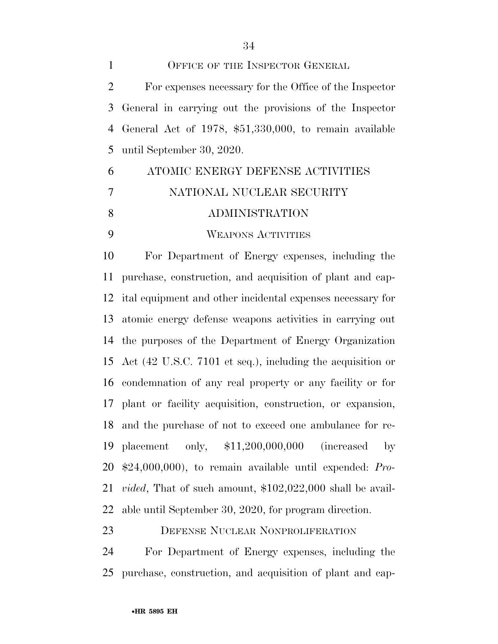1 OFFICE OF THE INSPECTOR GENERAL For expenses necessary for the Office of the Inspector General in carrying out the provisions of the Inspector General Act of 1978, \$51,330,000, to remain available until September 30, 2020.

# ATOMIC ENERGY DEFENSE ACTIVITIES NATIONAL NUCLEAR SECURITY ADMINISTRATION WEAPONS ACTIVITIES

 For Department of Energy expenses, including the purchase, construction, and acquisition of plant and cap- ital equipment and other incidental expenses necessary for atomic energy defense weapons activities in carrying out the purposes of the Department of Energy Organization Act (42 U.S.C. 7101 et seq.), including the acquisition or condemnation of any real property or any facility or for plant or facility acquisition, construction, or expansion, and the purchase of not to exceed one ambulance for re- placement only, \$11,200,000,000 (increased by \$24,000,000), to remain available until expended: *Pro- vided*, That of such amount, \$102,022,000 shall be avail-able until September 30, 2020, for program direction.

DEFENSE NUCLEAR NONPROLIFERATION

 For Department of Energy expenses, including the purchase, construction, and acquisition of plant and cap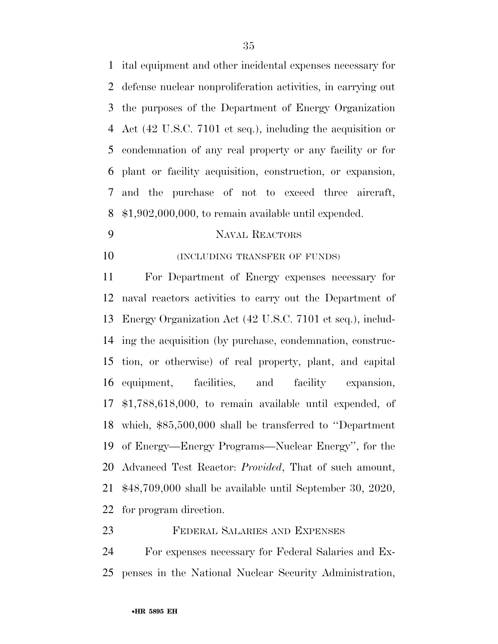ital equipment and other incidental expenses necessary for defense nuclear nonproliferation activities, in carrying out the purposes of the Department of Energy Organization Act (42 U.S.C. 7101 et seq.), including the acquisition or condemnation of any real property or any facility or for plant or facility acquisition, construction, or expansion, and the purchase of not to exceed three aircraft, \$1,902,000,000, to remain available until expended.

# NAVAL REACTORS

**(INCLUDING TRANSFER OF FUNDS)** 

 For Department of Energy expenses necessary for naval reactors activities to carry out the Department of Energy Organization Act (42 U.S.C. 7101 et seq.), includ- ing the acquisition (by purchase, condemnation, construc- tion, or otherwise) of real property, plant, and capital equipment, facilities, and facility expansion, \$1,788,618,000, to remain available until expended, of which, \$85,500,000 shall be transferred to ''Department of Energy—Energy Programs—Nuclear Energy'', for the Advanced Test Reactor: *Provided*, That of such amount, \$48,709,000 shall be available until September 30, 2020, for program direction.

# FEDERAL SALARIES AND EXPENSES

 For expenses necessary for Federal Salaries and Ex-penses in the National Nuclear Security Administration,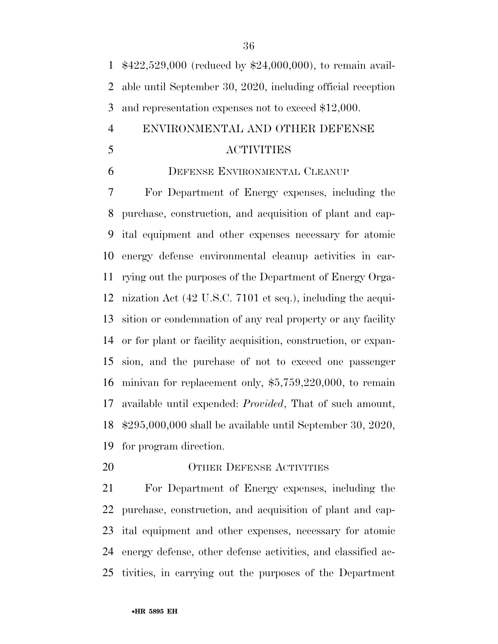\$422,529,000 (reduced by \$24,000,000), to remain avail- able until September 30, 2020, including official reception and representation expenses not to exceed \$12,000.

# ENVIRONMENTAL AND OTHER DEFENSE ACTIVITIES

# DEFENSE ENVIRONMENTAL CLEANUP

 For Department of Energy expenses, including the purchase, construction, and acquisition of plant and cap- ital equipment and other expenses necessary for atomic energy defense environmental cleanup activities in car- rying out the purposes of the Department of Energy Orga- nization Act (42 U.S.C. 7101 et seq.), including the acqui- sition or condemnation of any real property or any facility or for plant or facility acquisition, construction, or expan- sion, and the purchase of not to exceed one passenger minivan for replacement only, \$5,759,220,000, to remain available until expended: *Provided*, That of such amount, \$295,000,000 shall be available until September 30, 2020, for program direction.

### 20 OTHER DEFENSE ACTIVITIES

 For Department of Energy expenses, including the purchase, construction, and acquisition of plant and cap- ital equipment and other expenses, necessary for atomic energy defense, other defense activities, and classified ac-tivities, in carrying out the purposes of the Department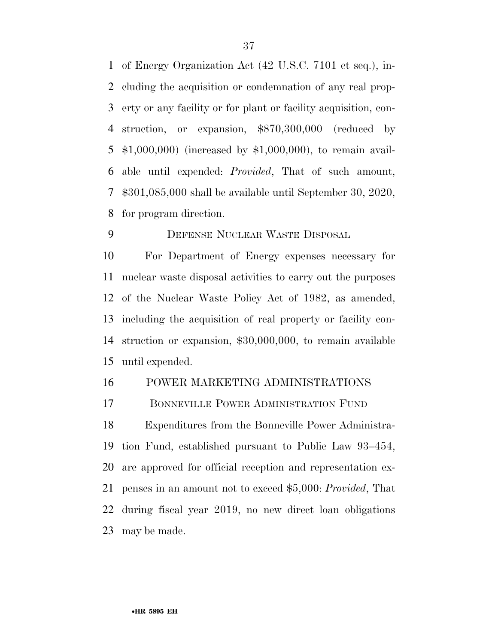of Energy Organization Act (42 U.S.C. 7101 et seq.), in- cluding the acquisition or condemnation of any real prop- erty or any facility or for plant or facility acquisition, con- struction, or expansion, \$870,300,000 (reduced by \$1,000,000) (increased by \$1,000,000), to remain avail- able until expended: *Provided*, That of such amount, \$301,085,000 shall be available until September 30, 2020, for program direction.

DEFENSE NUCLEAR WASTE DISPOSAL

 For Department of Energy expenses necessary for nuclear waste disposal activities to carry out the purposes of the Nuclear Waste Policy Act of 1982, as amended, including the acquisition of real property or facility con- struction or expansion, \$30,000,000, to remain available until expended.

## POWER MARKETING ADMINISTRATIONS

BONNEVILLE POWER ADMINISTRATION FUND

 Expenditures from the Bonneville Power Administra- tion Fund, established pursuant to Public Law 93–454, are approved for official reception and representation ex- penses in an amount not to exceed \$5,000: *Provided*, That during fiscal year 2019, no new direct loan obligations may be made.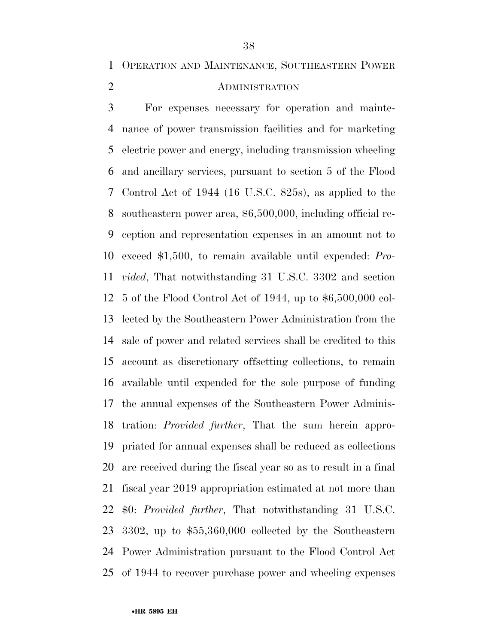OPERATION AND MAINTENANCE, SOUTHEASTERN POWER

# ADMINISTRATION

 For expenses necessary for operation and mainte- nance of power transmission facilities and for marketing electric power and energy, including transmission wheeling and ancillary services, pursuant to section 5 of the Flood Control Act of 1944 (16 U.S.C. 825s), as applied to the southeastern power area, \$6,500,000, including official re- ception and representation expenses in an amount not to exceed \$1,500, to remain available until expended: *Pro- vided*, That notwithstanding 31 U.S.C. 3302 and section 5 of the Flood Control Act of 1944, up to \$6,500,000 col- lected by the Southeastern Power Administration from the sale of power and related services shall be credited to this account as discretionary offsetting collections, to remain available until expended for the sole purpose of funding the annual expenses of the Southeastern Power Adminis- tration: *Provided further*, That the sum herein appro- priated for annual expenses shall be reduced as collections are received during the fiscal year so as to result in a final fiscal year 2019 appropriation estimated at not more than \$0: *Provided further*, That notwithstanding 31 U.S.C. 3302, up to \$55,360,000 collected by the Southeastern Power Administration pursuant to the Flood Control Act of 1944 to recover purchase power and wheeling expenses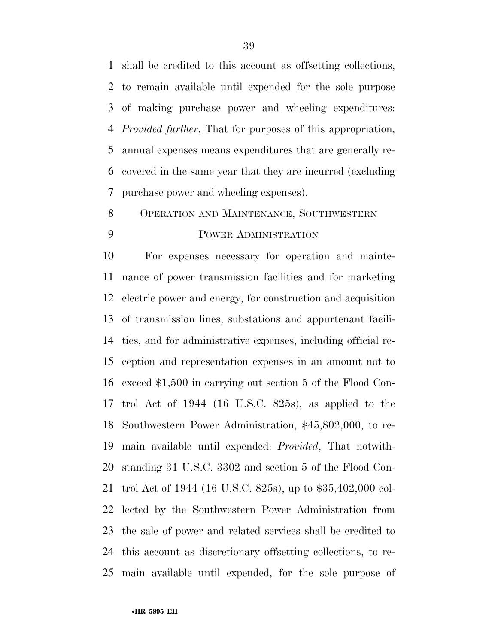shall be credited to this account as offsetting collections, to remain available until expended for the sole purpose of making purchase power and wheeling expenditures: *Provided further*, That for purposes of this appropriation, annual expenses means expenditures that are generally re- covered in the same year that they are incurred (excluding purchase power and wheeling expenses).

OPERATION AND MAINTENANCE, SOUTHWESTERN

# POWER ADMINISTRATION

 For expenses necessary for operation and mainte- nance of power transmission facilities and for marketing electric power and energy, for construction and acquisition of transmission lines, substations and appurtenant facili- ties, and for administrative expenses, including official re- ception and representation expenses in an amount not to exceed \$1,500 in carrying out section 5 of the Flood Con- trol Act of 1944 (16 U.S.C. 825s), as applied to the Southwestern Power Administration, \$45,802,000, to re- main available until expended: *Provided*, That notwith- standing 31 U.S.C. 3302 and section 5 of the Flood Con- trol Act of 1944 (16 U.S.C. 825s), up to \$35,402,000 col- lected by the Southwestern Power Administration from the sale of power and related services shall be credited to this account as discretionary offsetting collections, to re-main available until expended, for the sole purpose of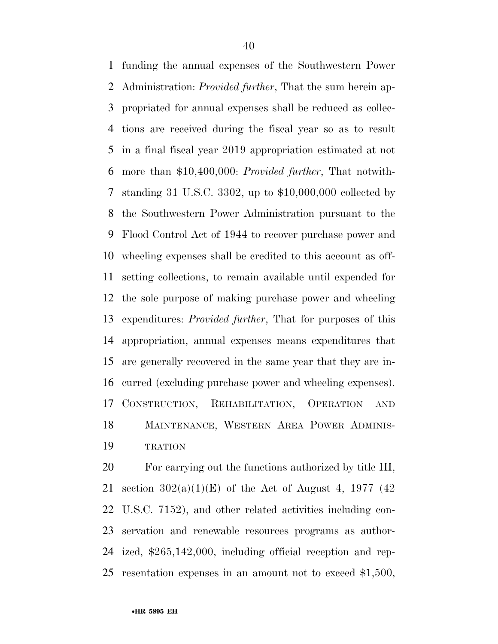funding the annual expenses of the Southwestern Power Administration: *Provided further*, That the sum herein ap- propriated for annual expenses shall be reduced as collec- tions are received during the fiscal year so as to result in a final fiscal year 2019 appropriation estimated at not more than \$10,400,000: *Provided further*, That notwith- standing 31 U.S.C. 3302, up to \$10,000,000 collected by the Southwestern Power Administration pursuant to the Flood Control Act of 1944 to recover purchase power and wheeling expenses shall be credited to this account as off- setting collections, to remain available until expended for the sole purpose of making purchase power and wheeling expenditures: *Provided further*, That for purposes of this appropriation, annual expenses means expenditures that are generally recovered in the same year that they are in- curred (excluding purchase power and wheeling expenses). CONSTRUCTION, REHABILITATION, OPERATION AND MAINTENANCE, WESTERN AREA POWER ADMINIS-TRATION

 For carrying out the functions authorized by title III, 21 section  $302(a)(1)(E)$  of the Act of August 4, 1977 (42) U.S.C. 7152), and other related activities including con- servation and renewable resources programs as author- ized, \$265,142,000, including official reception and rep-resentation expenses in an amount not to exceed \$1,500,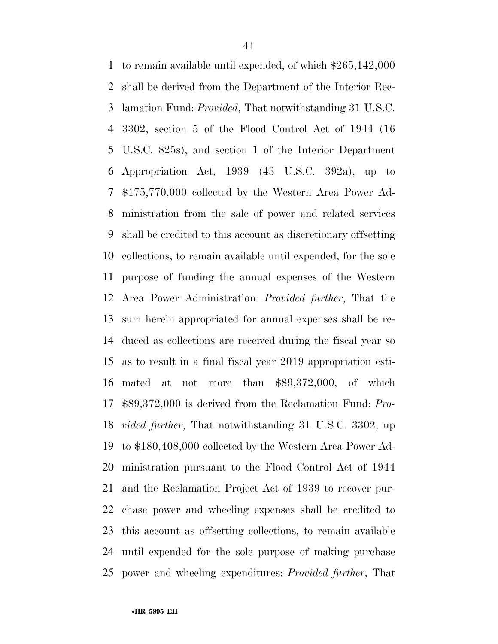to remain available until expended, of which \$265,142,000 shall be derived from the Department of the Interior Rec- lamation Fund: *Provided*, That notwithstanding 31 U.S.C. 3302, section 5 of the Flood Control Act of 1944 (16 U.S.C. 825s), and section 1 of the Interior Department Appropriation Act, 1939 (43 U.S.C. 392a), up to \$175,770,000 collected by the Western Area Power Ad- ministration from the sale of power and related services shall be credited to this account as discretionary offsetting collections, to remain available until expended, for the sole purpose of funding the annual expenses of the Western Area Power Administration: *Provided further*, That the sum herein appropriated for annual expenses shall be re- duced as collections are received during the fiscal year so as to result in a final fiscal year 2019 appropriation esti- mated at not more than \$89,372,000, of which \$89,372,000 is derived from the Reclamation Fund: *Pro- vided further*, That notwithstanding 31 U.S.C. 3302, up to \$180,408,000 collected by the Western Area Power Ad- ministration pursuant to the Flood Control Act of 1944 and the Reclamation Project Act of 1939 to recover pur- chase power and wheeling expenses shall be credited to this account as offsetting collections, to remain available until expended for the sole purpose of making purchase power and wheeling expenditures: *Provided further*, That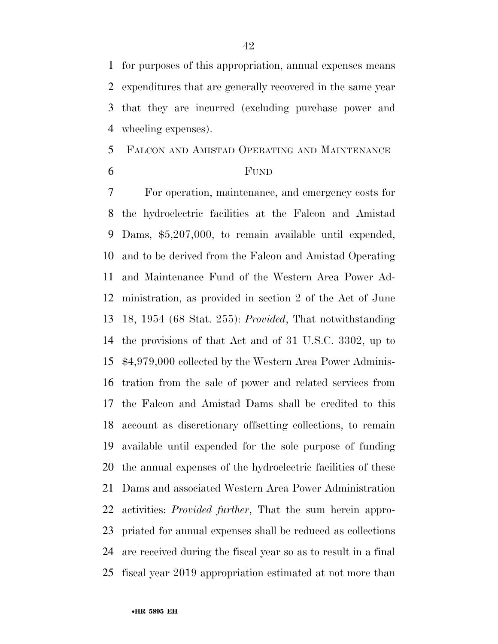for purposes of this appropriation, annual expenses means expenditures that are generally recovered in the same year that they are incurred (excluding purchase power and wheeling expenses).

# FALCON AND AMISTAD OPERATING AND MAINTENANCE

### FUND

 For operation, maintenance, and emergency costs for the hydroelectric facilities at the Falcon and Amistad Dams, \$5,207,000, to remain available until expended, and to be derived from the Falcon and Amistad Operating and Maintenance Fund of the Western Area Power Ad- ministration, as provided in section 2 of the Act of June 18, 1954 (68 Stat. 255): *Provided*, That notwithstanding the provisions of that Act and of 31 U.S.C. 3302, up to \$4,979,000 collected by the Western Area Power Adminis- tration from the sale of power and related services from the Falcon and Amistad Dams shall be credited to this account as discretionary offsetting collections, to remain available until expended for the sole purpose of funding the annual expenses of the hydroelectric facilities of these Dams and associated Western Area Power Administration activities: *Provided further*, That the sum herein appro- priated for annual expenses shall be reduced as collections are received during the fiscal year so as to result in a final fiscal year 2019 appropriation estimated at not more than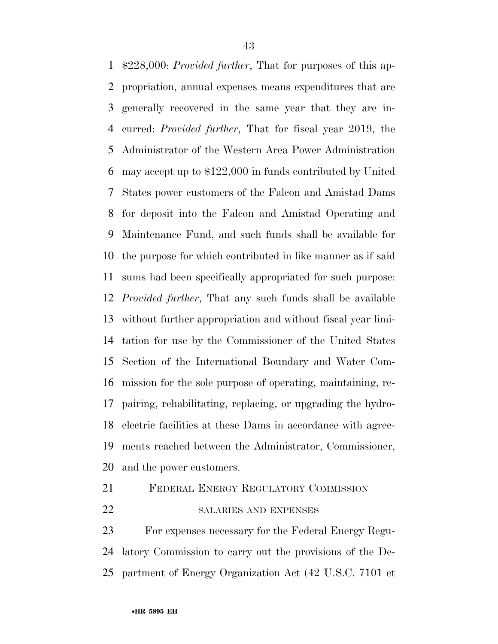\$228,000: *Provided further*, That for purposes of this ap- propriation, annual expenses means expenditures that are generally recovered in the same year that they are in- curred: *Provided further*, That for fiscal year 2019, the Administrator of the Western Area Power Administration may accept up to \$122,000 in funds contributed by United States power customers of the Falcon and Amistad Dams for deposit into the Falcon and Amistad Operating and Maintenance Fund, and such funds shall be available for the purpose for which contributed in like manner as if said sums had been specifically appropriated for such purpose: *Provided further*, That any such funds shall be available without further appropriation and without fiscal year limi- tation for use by the Commissioner of the United States Section of the International Boundary and Water Com- mission for the sole purpose of operating, maintaining, re- pairing, rehabilitating, replacing, or upgrading the hydro- electric facilities at these Dams in accordance with agree- ments reached between the Administrator, Commissioner, and the power customers.

# FEDERAL ENERGY REGULATORY COMMISSION

22 SALARIES AND EXPENSES

 For expenses necessary for the Federal Energy Regu- latory Commission to carry out the provisions of the De-partment of Energy Organization Act (42 U.S.C. 7101 et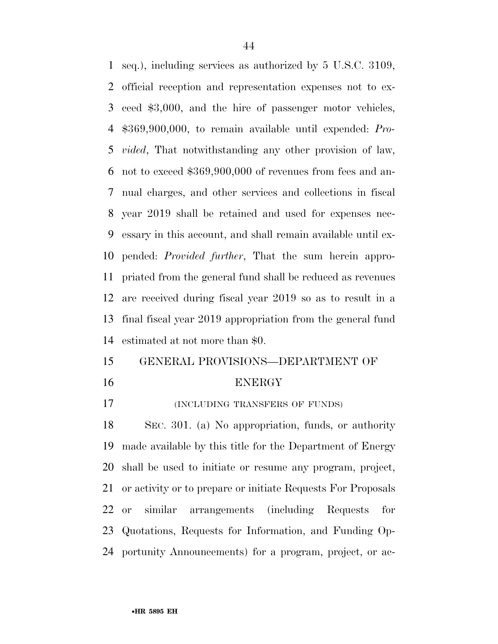seq.), including services as authorized by 5 U.S.C. 3109, official reception and representation expenses not to ex- ceed \$3,000, and the hire of passenger motor vehicles, \$369,900,000, to remain available until expended: *Pro- vided*, That notwithstanding any other provision of law, not to exceed \$369,900,000 of revenues from fees and an- nual charges, and other services and collections in fiscal year 2019 shall be retained and used for expenses nec- essary in this account, and shall remain available until ex- pended: *Provided further*, That the sum herein appro- priated from the general fund shall be reduced as revenues are received during fiscal year 2019 so as to result in a final fiscal year 2019 appropriation from the general fund estimated at not more than \$0.

# GENERAL PROVISIONS—DEPARTMENT OF

#### ENERGY

(INCLUDING TRANSFERS OF FUNDS)

 SEC. 301. (a) No appropriation, funds, or authority made available by this title for the Department of Energy shall be used to initiate or resume any program, project, or activity or to prepare or initiate Requests For Proposals or similar arrangements (including Requests for Quotations, Requests for Information, and Funding Op-portunity Announcements) for a program, project, or ac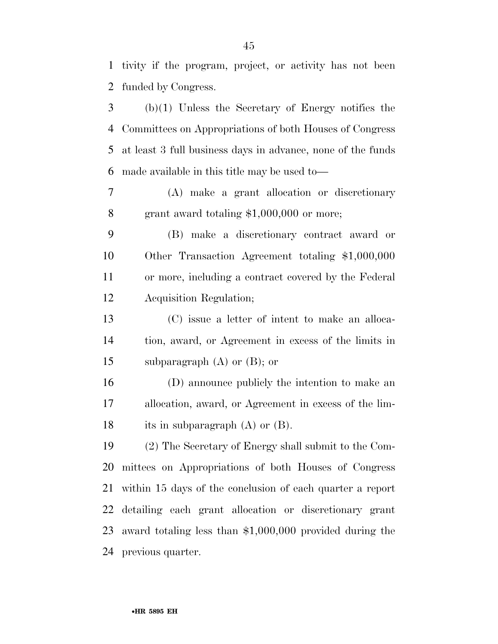tivity if the program, project, or activity has not been funded by Congress.

 (b)(1) Unless the Secretary of Energy notifies the Committees on Appropriations of both Houses of Congress at least 3 full business days in advance, none of the funds made available in this title may be used to—

 (A) make a grant allocation or discretionary grant award totaling \$1,000,000 or more;

 (B) make a discretionary contract award or Other Transaction Agreement totaling \$1,000,000 or more, including a contract covered by the Federal Acquisition Regulation;

 (C) issue a letter of intent to make an alloca- tion, award, or Agreement in excess of the limits in subparagraph (A) or (B); or

 (D) announce publicly the intention to make an allocation, award, or Agreement in excess of the lim-18 its in subparagraph (A) or (B).

 (2) The Secretary of Energy shall submit to the Com- mittees on Appropriations of both Houses of Congress within 15 days of the conclusion of each quarter a report detailing each grant allocation or discretionary grant award totaling less than \$1,000,000 provided during the previous quarter.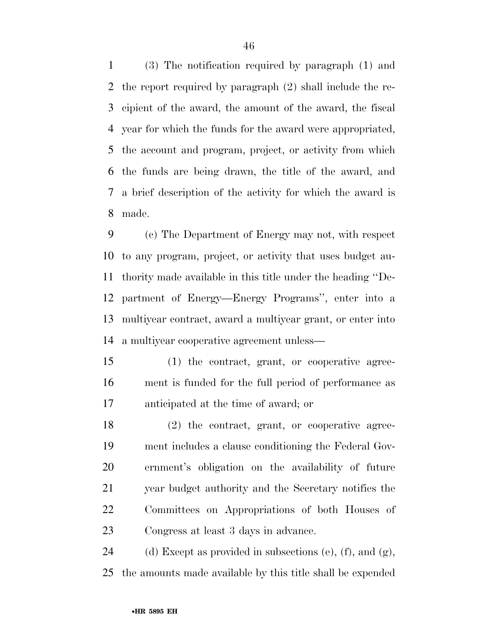(3) The notification required by paragraph (1) and the report required by paragraph (2) shall include the re- cipient of the award, the amount of the award, the fiscal year for which the funds for the award were appropriated, the account and program, project, or activity from which the funds are being drawn, the title of the award, and a brief description of the activity for which the award is made.

 (c) The Department of Energy may not, with respect to any program, project, or activity that uses budget au- thority made available in this title under the heading ''De- partment of Energy—Energy Programs'', enter into a multiyear contract, award a multiyear grant, or enter into a multiyear cooperative agreement unless—

 (1) the contract, grant, or cooperative agree- ment is funded for the full period of performance as anticipated at the time of award; or

 (2) the contract, grant, or cooperative agree- ment includes a clause conditioning the Federal Gov- ernment's obligation on the availability of future year budget authority and the Secretary notifies the Committees on Appropriations of both Houses of Congress at least 3 days in advance.

24 (d) Except as provided in subsections (e), (f), and  $(g)$ , the amounts made available by this title shall be expended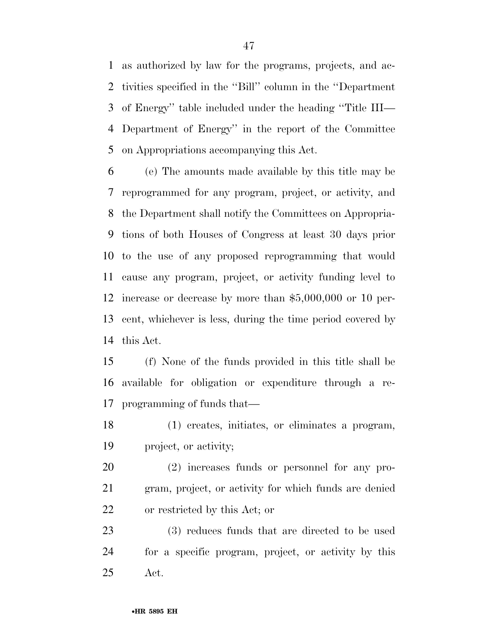as authorized by law for the programs, projects, and ac- tivities specified in the ''Bill'' column in the ''Department of Energy'' table included under the heading ''Title III— Department of Energy'' in the report of the Committee on Appropriations accompanying this Act.

 (e) The amounts made available by this title may be reprogrammed for any program, project, or activity, and the Department shall notify the Committees on Appropria- tions of both Houses of Congress at least 30 days prior to the use of any proposed reprogramming that would cause any program, project, or activity funding level to increase or decrease by more than \$5,000,000 or 10 per- cent, whichever is less, during the time period covered by this Act.

 (f) None of the funds provided in this title shall be available for obligation or expenditure through a re-programming of funds that—

 (1) creates, initiates, or eliminates a program, project, or activity;

 (2) increases funds or personnel for any pro- gram, project, or activity for which funds are denied or restricted by this Act; or

 (3) reduces funds that are directed to be used for a specific program, project, or activity by this Act.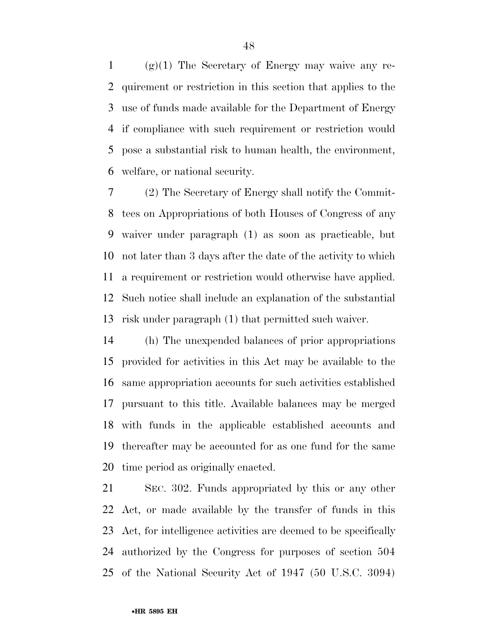1 (g)(1) The Secretary of Energy may waive any re- quirement or restriction in this section that applies to the use of funds made available for the Department of Energy if compliance with such requirement or restriction would pose a substantial risk to human health, the environment, welfare, or national security.

 (2) The Secretary of Energy shall notify the Commit- tees on Appropriations of both Houses of Congress of any waiver under paragraph (1) as soon as practicable, but not later than 3 days after the date of the activity to which a requirement or restriction would otherwise have applied. Such notice shall include an explanation of the substantial risk under paragraph (1) that permitted such waiver.

 (h) The unexpended balances of prior appropriations provided for activities in this Act may be available to the same appropriation accounts for such activities established pursuant to this title. Available balances may be merged with funds in the applicable established accounts and thereafter may be accounted for as one fund for the same time period as originally enacted.

 SEC. 302. Funds appropriated by this or any other Act, or made available by the transfer of funds in this Act, for intelligence activities are deemed to be specifically authorized by the Congress for purposes of section 504 of the National Security Act of 1947 (50 U.S.C. 3094)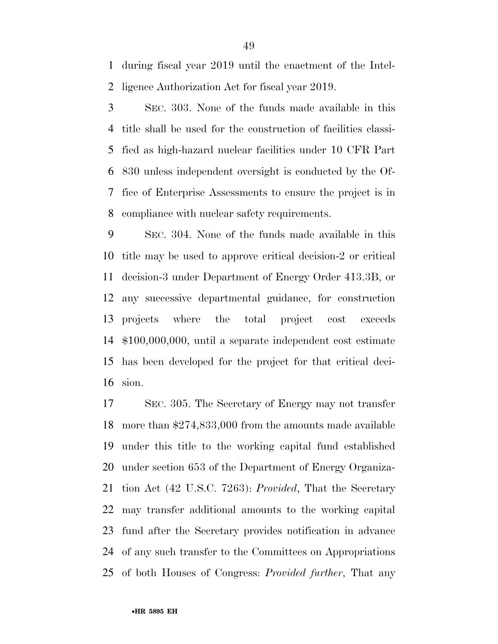during fiscal year 2019 until the enactment of the Intel-ligence Authorization Act for fiscal year 2019.

 SEC. 303. None of the funds made available in this title shall be used for the construction of facilities classi- fied as high-hazard nuclear facilities under 10 CFR Part 830 unless independent oversight is conducted by the Of- fice of Enterprise Assessments to ensure the project is in compliance with nuclear safety requirements.

 SEC. 304. None of the funds made available in this title may be used to approve critical decision-2 or critical decision-3 under Department of Energy Order 413.3B, or any successive departmental guidance, for construction projects where the total project cost exceeds \$100,000,000, until a separate independent cost estimate has been developed for the project for that critical deci-sion.

 SEC. 305. The Secretary of Energy may not transfer more than \$274,833,000 from the amounts made available under this title to the working capital fund established under section 653 of the Department of Energy Organiza- tion Act (42 U.S.C. 7263): *Provided*, That the Secretary may transfer additional amounts to the working capital fund after the Secretary provides notification in advance of any such transfer to the Committees on Appropriations of both Houses of Congress: *Provided further*, That any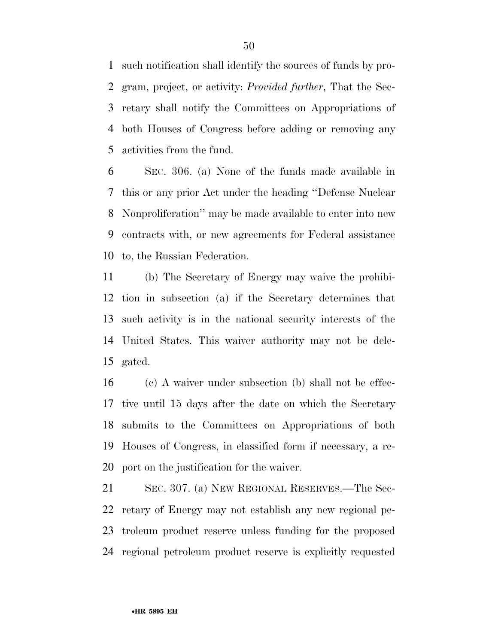such notification shall identify the sources of funds by pro- gram, project, or activity: *Provided further*, That the Sec- retary shall notify the Committees on Appropriations of both Houses of Congress before adding or removing any activities from the fund.

 SEC. 306. (a) None of the funds made available in this or any prior Act under the heading ''Defense Nuclear Nonproliferation'' may be made available to enter into new contracts with, or new agreements for Federal assistance to, the Russian Federation.

 (b) The Secretary of Energy may waive the prohibi- tion in subsection (a) if the Secretary determines that such activity is in the national security interests of the United States. This waiver authority may not be dele-gated.

 (c) A waiver under subsection (b) shall not be effec- tive until 15 days after the date on which the Secretary submits to the Committees on Appropriations of both Houses of Congress, in classified form if necessary, a re-port on the justification for the waiver.

 SEC. 307. (a) NEW REGIONAL RESERVES.—The Sec- retary of Energy may not establish any new regional pe- troleum product reserve unless funding for the proposed regional petroleum product reserve is explicitly requested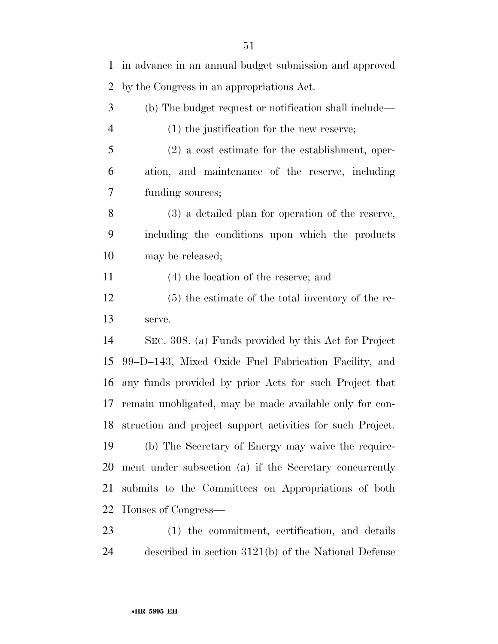in advance in an annual budget submission and approved by the Congress in an appropriations Act. (b) The budget request or notification shall include— (1) the justification for the new reserve; (2) a cost estimate for the establishment, oper- ation, and maintenance of the reserve, including funding sources; (3) a detailed plan for operation of the reserve, including the conditions upon which the products may be released; (4) the location of the reserve; and (5) the estimate of the total inventory of the re- serve. SEC. 308. (a) Funds provided by this Act for Project 99–D–143, Mixed Oxide Fuel Fabrication Facility, and any funds provided by prior Acts for such Project that remain unobligated, may be made available only for con- struction and project support activities for such Project. (b) The Secretary of Energy may waive the require- ment under subsection (a) if the Secretary concurrently submits to the Committees on Appropriations of both Houses of Congress—

 (1) the commitment, certification, and details described in section 3121(b) of the National Defense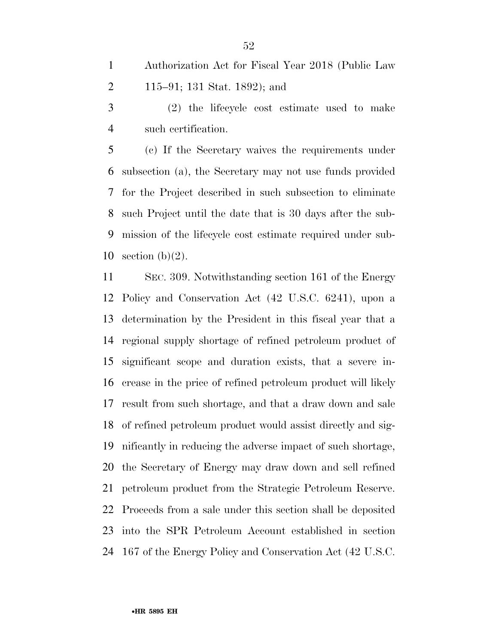Authorization Act for Fiscal Year 2018 (Public Law 115–91; 131 Stat. 1892); and

 (2) the lifecycle cost estimate used to make such certification.

 (c) If the Secretary waives the requirements under subsection (a), the Secretary may not use funds provided for the Project described in such subsection to eliminate such Project until the date that is 30 days after the sub- mission of the lifecycle cost estimate required under sub-10 section  $(b)(2)$ .

 SEC. 309. Notwithstanding section 161 of the Energy Policy and Conservation Act (42 U.S.C. 6241), upon a determination by the President in this fiscal year that a regional supply shortage of refined petroleum product of significant scope and duration exists, that a severe in- crease in the price of refined petroleum product will likely result from such shortage, and that a draw down and sale of refined petroleum product would assist directly and sig- nificantly in reducing the adverse impact of such shortage, the Secretary of Energy may draw down and sell refined petroleum product from the Strategic Petroleum Reserve. Proceeds from a sale under this section shall be deposited into the SPR Petroleum Account established in section 167 of the Energy Policy and Conservation Act (42 U.S.C.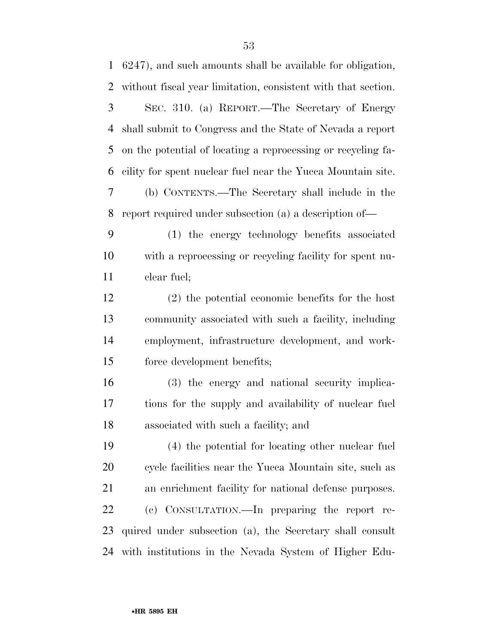SEC. 310. (a) REPORT.—The Secretary of Energy shall submit to Congress and the State of Nevada a report on the potential of locating a reprocessing or recycling fa- cility for spent nuclear fuel near the Yucca Mountain site. (b) CONTENTS.—The Secretary shall include in the report required under subsection (a) a description of—

 (1) the energy technology benefits associated with a reprocessing or recycling facility for spent nu-clear fuel;

 (2) the potential economic benefits for the host community associated with such a facility, including employment, infrastructure development, and work-force development benefits;

 (3) the energy and national security implica- tions for the supply and availability of nuclear fuel associated with such a facility; and

 (4) the potential for locating other nuclear fuel cycle facilities near the Yucca Mountain site, such as an enrichment facility for national defense purposes. (c) CONSULTATION.—In preparing the report re- quired under subsection (a), the Secretary shall consult with institutions in the Nevada System of Higher Edu-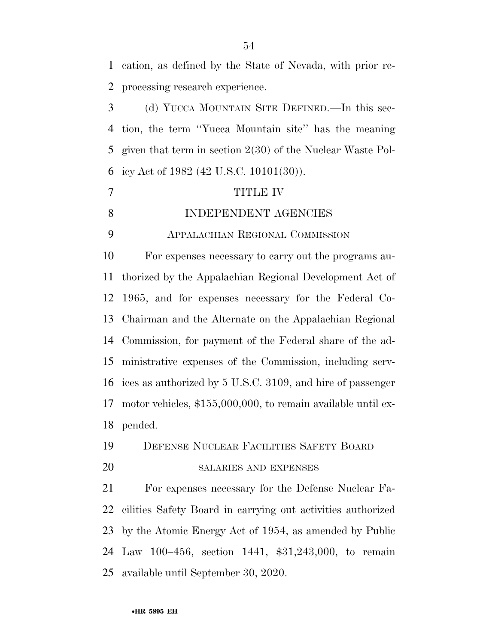cation, as defined by the State of Nevada, with prior re- processing research experience. (d) YUCCA MOUNTAIN SITE DEFINED.—In this sec- tion, the term ''Yucca Mountain site'' has the meaning given that term in section 2(30) of the Nuclear Waste Pol- icy Act of 1982 (42 U.S.C. 10101(30)). TITLE IV 8 INDEPENDENT AGENCIES APPALACHIAN REGIONAL COMMISSION For expenses necessary to carry out the programs au- thorized by the Appalachian Regional Development Act of 1965, and for expenses necessary for the Federal Co- Chairman and the Alternate on the Appalachian Regional Commission, for payment of the Federal share of the ad- ministrative expenses of the Commission, including serv- ices as authorized by 5 U.S.C. 3109, and hire of passenger motor vehicles, \$155,000,000, to remain available until ex- pended. DEFENSE NUCLEAR FACILITIES SAFETY BOARD SALARIES AND EXPENSES For expenses necessary for the Defense Nuclear Fa- cilities Safety Board in carrying out activities authorized by the Atomic Energy Act of 1954, as amended by Public Law 100–456, section 1441, \$31,243,000, to remain available until September 30, 2020.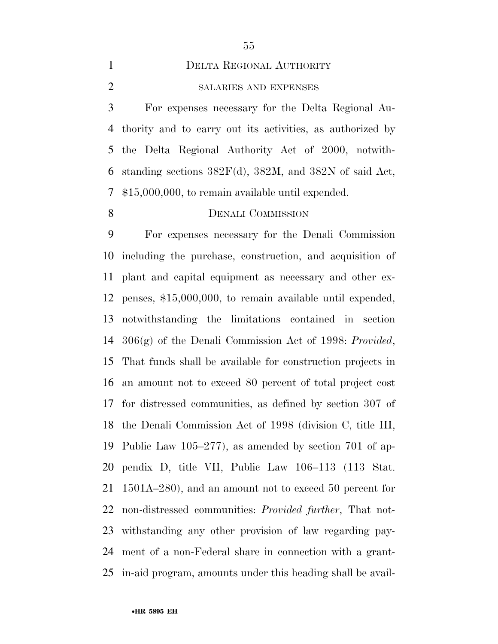SALARIES AND EXPENSES

 For expenses necessary for the Delta Regional Au- thority and to carry out its activities, as authorized by the Delta Regional Authority Act of 2000, notwith-6 standing sections  $382F(d)$ ,  $382M$ , and  $382N$  of said Act, \$15,000,000, to remain available until expended.

# 8 DENALI COMMISSION

 For expenses necessary for the Denali Commission including the purchase, construction, and acquisition of plant and capital equipment as necessary and other ex- penses, \$15,000,000, to remain available until expended, notwithstanding the limitations contained in section 306(g) of the Denali Commission Act of 1998: *Provided*, That funds shall be available for construction projects in an amount not to exceed 80 percent of total project cost for distressed communities, as defined by section 307 of the Denali Commission Act of 1998 (division C, title III, Public Law 105–277), as amended by section 701 of ap- pendix D, title VII, Public Law 106–113 (113 Stat. 1501A–280), and an amount not to exceed 50 percent for non-distressed communities: *Provided further*, That not- withstanding any other provision of law regarding pay- ment of a non-Federal share in connection with a grant-in-aid program, amounts under this heading shall be avail-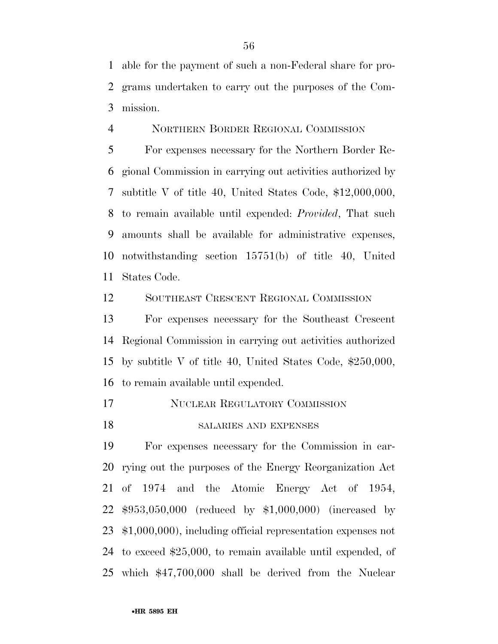able for the payment of such a non-Federal share for pro- grams undertaken to carry out the purposes of the Com-mission.

NORTHERN BORDER REGIONAL COMMISSION

 For expenses necessary for the Northern Border Re- gional Commission in carrying out activities authorized by subtitle V of title 40, United States Code, \$12,000,000, to remain available until expended: *Provided*, That such amounts shall be available for administrative expenses, notwithstanding section 15751(b) of title 40, United States Code.

SOUTHEAST CRESCENT REGIONAL COMMISSION

 For expenses necessary for the Southeast Crescent Regional Commission in carrying out activities authorized by subtitle V of title 40, United States Code, \$250,000, to remain available until expended.

- NUCLEAR REGULATORY COMMISSION
- 18 SALARIES AND EXPENSES

 For expenses necessary for the Commission in car- rying out the purposes of the Energy Reorganization Act of 1974 and the Atomic Energy Act of 1954, \$953,050,000 (reduced by \$1,000,000) (increased by \$1,000,000), including official representation expenses not to exceed \$25,000, to remain available until expended, of which \$47,700,000 shall be derived from the Nuclear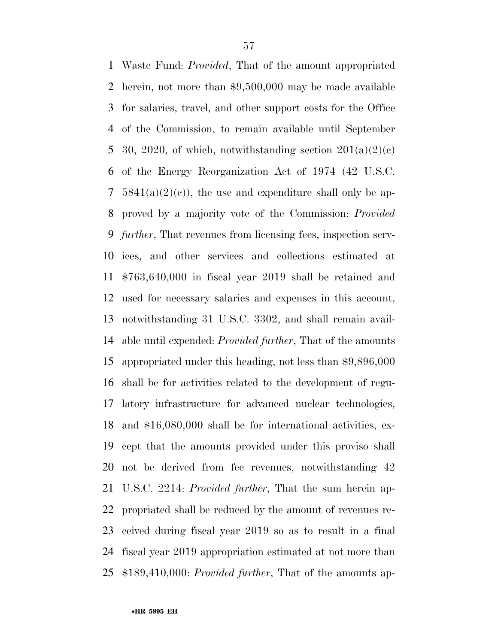Waste Fund: *Provided*, That of the amount appropriated herein, not more than \$9,500,000 may be made available for salaries, travel, and other support costs for the Office of the Commission, to remain available until September 5 30, 2020, of which, notwithstanding section  $201(a)(2)(c)$  of the Energy Reorganization Act of 1974 (42 U.S.C.  $5841(a)(2)(c)$ , the use and expenditure shall only be ap- proved by a majority vote of the Commission: *Provided further*, That revenues from licensing fees, inspection serv- ices, and other services and collections estimated at \$763,640,000 in fiscal year 2019 shall be retained and used for necessary salaries and expenses in this account, notwithstanding 31 U.S.C. 3302, and shall remain avail- able until expended: *Provided further*, That of the amounts appropriated under this heading, not less than \$9,896,000 shall be for activities related to the development of regu- latory infrastructure for advanced nuclear technologies, and \$16,080,000 shall be for international activities, ex- cept that the amounts provided under this proviso shall not be derived from fee revenues, notwithstanding 42 U.S.C. 2214: *Provided further*, That the sum herein ap- propriated shall be reduced by the amount of revenues re- ceived during fiscal year 2019 so as to result in a final fiscal year 2019 appropriation estimated at not more than \$189,410,000: *Provided further*, That of the amounts ap-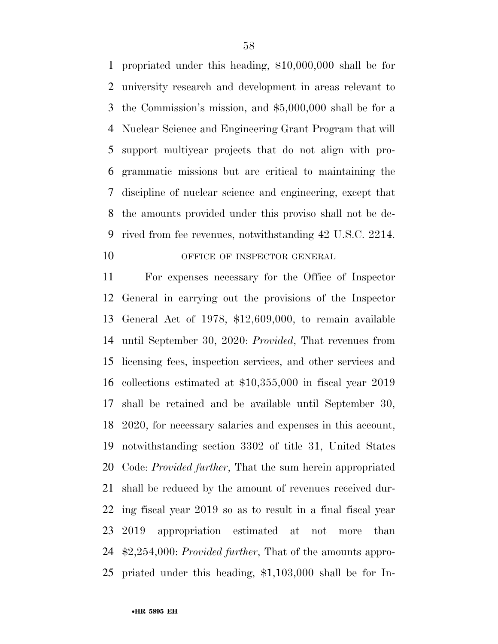propriated under this heading, \$10,000,000 shall be for university research and development in areas relevant to the Commission's mission, and \$5,000,000 shall be for a Nuclear Science and Engineering Grant Program that will support multiyear projects that do not align with pro- grammatic missions but are critical to maintaining the discipline of nuclear science and engineering, except that the amounts provided under this proviso shall not be de- rived from fee revenues, notwithstanding 42 U.S.C. 2214. 10 OFFICE OF INSPECTOR GENERAL

 For expenses necessary for the Office of Inspector General in carrying out the provisions of the Inspector General Act of 1978, \$12,609,000, to remain available until September 30, 2020: *Provided*, That revenues from licensing fees, inspection services, and other services and collections estimated at \$10,355,000 in fiscal year 2019 shall be retained and be available until September 30, 2020, for necessary salaries and expenses in this account, notwithstanding section 3302 of title 31, United States Code: *Provided further*, That the sum herein appropriated shall be reduced by the amount of revenues received dur- ing fiscal year 2019 so as to result in a final fiscal year 2019 appropriation estimated at not more than \$2,254,000: *Provided further*, That of the amounts appro-priated under this heading, \$1,103,000 shall be for In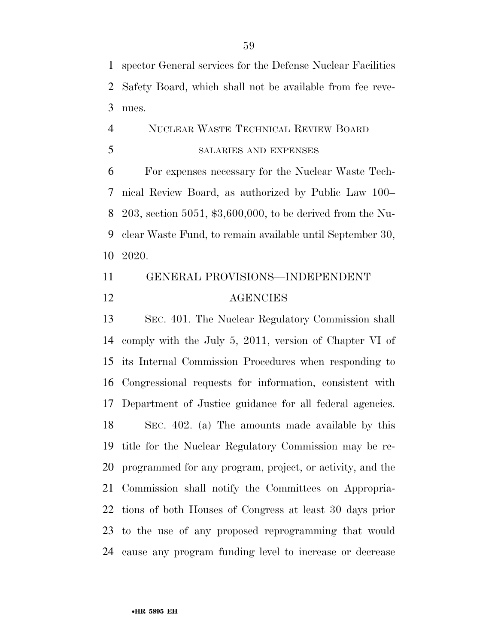spector General services for the Defense Nuclear Facilities Safety Board, which shall not be available from fee reve-nues.

# NUCLEAR WASTE TECHNICAL REVIEW BOARD SALARIES AND EXPENSES

 For expenses necessary for the Nuclear Waste Tech- nical Review Board, as authorized by Public Law 100– 203, section 5051, \$3,600,000, to be derived from the Nu- clear Waste Fund, to remain available until September 30, 2020.

# GENERAL PROVISIONS—INDEPENDENT AGENCIES

 SEC. 401. The Nuclear Regulatory Commission shall comply with the July 5, 2011, version of Chapter VI of its Internal Commission Procedures when responding to Congressional requests for information, consistent with Department of Justice guidance for all federal agencies. SEC. 402. (a) The amounts made available by this title for the Nuclear Regulatory Commission may be re- programmed for any program, project, or activity, and the Commission shall notify the Committees on Appropria- tions of both Houses of Congress at least 30 days prior to the use of any proposed reprogramming that would cause any program funding level to increase or decrease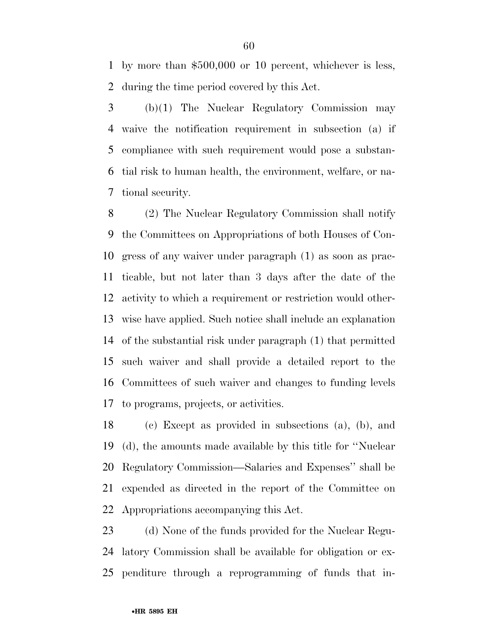by more than \$500,000 or 10 percent, whichever is less, during the time period covered by this Act.

 (b)(1) The Nuclear Regulatory Commission may waive the notification requirement in subsection (a) if compliance with such requirement would pose a substan- tial risk to human health, the environment, welfare, or na-tional security.

 (2) The Nuclear Regulatory Commission shall notify the Committees on Appropriations of both Houses of Con- gress of any waiver under paragraph (1) as soon as prac- ticable, but not later than 3 days after the date of the activity to which a requirement or restriction would other- wise have applied. Such notice shall include an explanation of the substantial risk under paragraph (1) that permitted such waiver and shall provide a detailed report to the Committees of such waiver and changes to funding levels to programs, projects, or activities.

 (c) Except as provided in subsections (a), (b), and (d), the amounts made available by this title for ''Nuclear Regulatory Commission—Salaries and Expenses'' shall be expended as directed in the report of the Committee on Appropriations accompanying this Act.

 (d) None of the funds provided for the Nuclear Regu- latory Commission shall be available for obligation or ex-penditure through a reprogramming of funds that in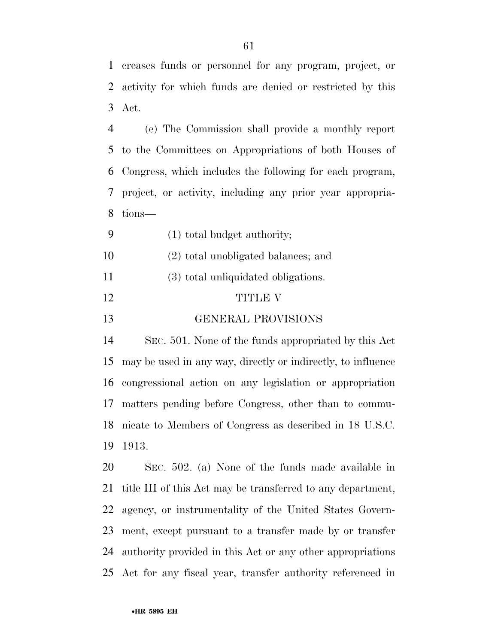creases funds or personnel for any program, project, or

activity for which funds are denied or restricted by this

(e) The Commission shall provide a monthly report

 to the Committees on Appropriations of both Houses of Congress, which includes the following for each program, project, or activity, including any prior year appropria- tions— (1) total budget authority; (2) total unobligated balances; and (3) total unliquidated obligations. 12 TITLE V GENERAL PROVISIONS SEC. 501. None of the funds appropriated by this Act may be used in any way, directly or indirectly, to influence congressional action on any legislation or appropriation matters pending before Congress, other than to commu- nicate to Members of Congress as described in 18 U.S.C. 1913. SEC. 502. (a) None of the funds made available in title III of this Act may be transferred to any department, agency, or instrumentality of the United States Govern- ment, except pursuant to a transfer made by or transfer authority provided in this Act or any other appropriations

Act for any fiscal year, transfer authority referenced in

Act.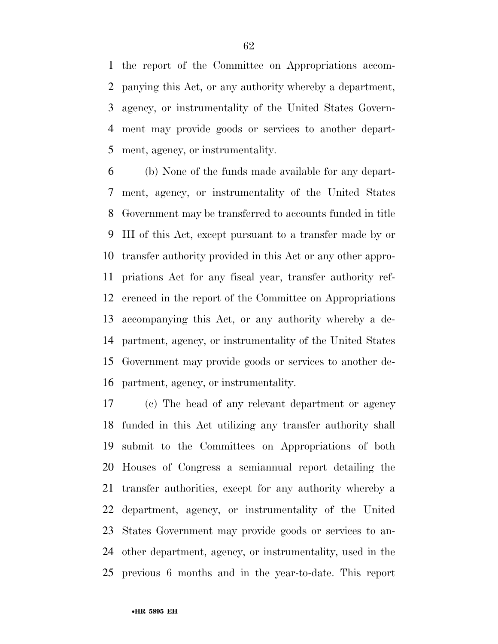the report of the Committee on Appropriations accom- panying this Act, or any authority whereby a department, agency, or instrumentality of the United States Govern- ment may provide goods or services to another depart-ment, agency, or instrumentality.

 (b) None of the funds made available for any depart- ment, agency, or instrumentality of the United States Government may be transferred to accounts funded in title III of this Act, except pursuant to a transfer made by or transfer authority provided in this Act or any other appro- priations Act for any fiscal year, transfer authority ref- erenced in the report of the Committee on Appropriations accompanying this Act, or any authority whereby a de- partment, agency, or instrumentality of the United States Government may provide goods or services to another de-partment, agency, or instrumentality.

 (c) The head of any relevant department or agency funded in this Act utilizing any transfer authority shall submit to the Committees on Appropriations of both Houses of Congress a semiannual report detailing the transfer authorities, except for any authority whereby a department, agency, or instrumentality of the United States Government may provide goods or services to an- other department, agency, or instrumentality, used in the previous 6 months and in the year-to-date. This report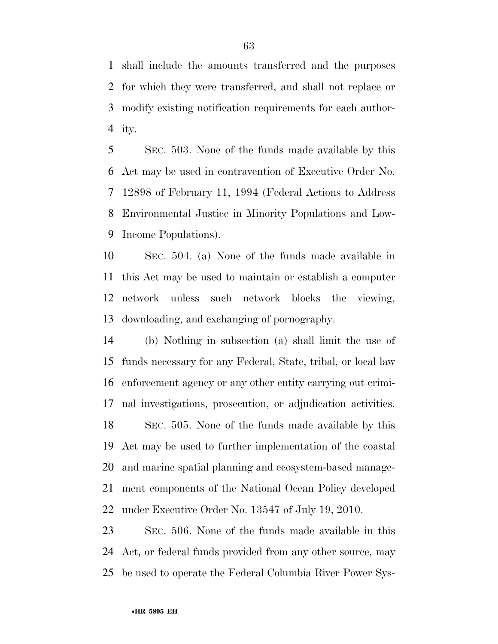shall include the amounts transferred and the purposes for which they were transferred, and shall not replace or modify existing notification requirements for each author-ity.

 SEC. 503. None of the funds made available by this Act may be used in contravention of Executive Order No. 12898 of February 11, 1994 (Federal Actions to Address Environmental Justice in Minority Populations and Low-Income Populations).

 SEC. 504. (a) None of the funds made available in this Act may be used to maintain or establish a computer network unless such network blocks the viewing, downloading, and exchanging of pornography.

 (b) Nothing in subsection (a) shall limit the use of funds necessary for any Federal, State, tribal, or local law enforcement agency or any other entity carrying out crimi- nal investigations, prosecution, or adjudication activities. SEC. 505. None of the funds made available by this Act may be used to further implementation of the coastal and marine spatial planning and ecosystem-based manage- ment components of the National Ocean Policy developed under Executive Order No. 13547 of July 19, 2010.

 SEC. 506. None of the funds made available in this Act, or federal funds provided from any other source, may be used to operate the Federal Columbia River Power Sys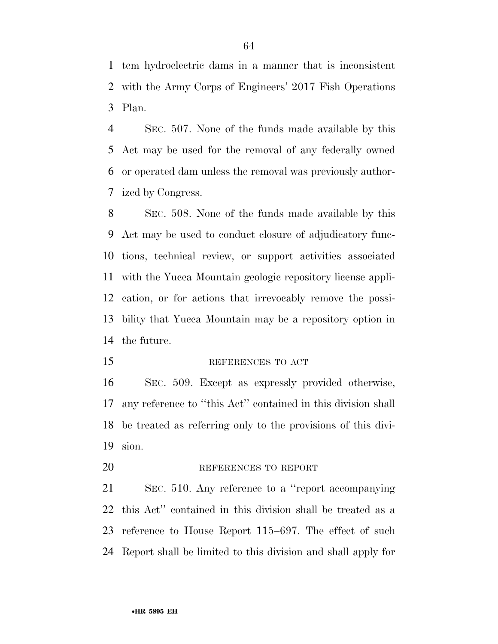tem hydroelectric dams in a manner that is inconsistent with the Army Corps of Engineers' 2017 Fish Operations Plan.

 SEC. 507. None of the funds made available by this Act may be used for the removal of any federally owned or operated dam unless the removal was previously author-ized by Congress.

 SEC. 508. None of the funds made available by this Act may be used to conduct closure of adjudicatory func- tions, technical review, or support activities associated with the Yucca Mountain geologic repository license appli- cation, or for actions that irrevocably remove the possi- bility that Yucca Mountain may be a repository option in the future.

15 REFERENCES TO ACT

 SEC. 509. Except as expressly provided otherwise, any reference to ''this Act'' contained in this division shall be treated as referring only to the provisions of this divi-sion.

20 REFERENCES TO REPORT

 SEC. 510. Any reference to a ''report accompanying this Act'' contained in this division shall be treated as a reference to House Report 115–697. The effect of such Report shall be limited to this division and shall apply for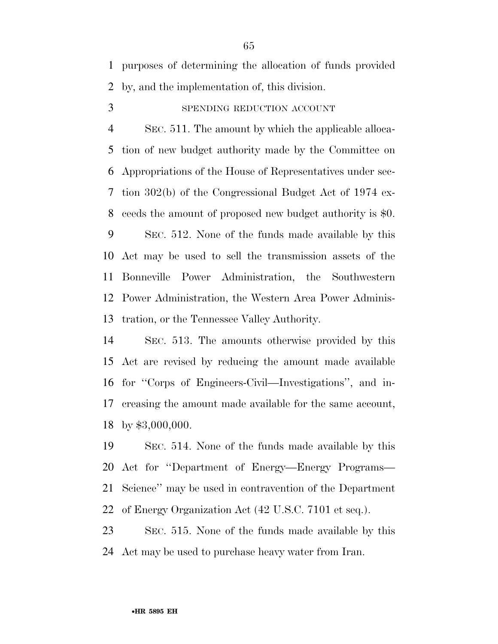purposes of determining the allocation of funds provided by, and the implementation of, this division.

SPENDING REDUCTION ACCOUNT

 SEC. 511. The amount by which the applicable alloca- tion of new budget authority made by the Committee on Appropriations of the House of Representatives under sec- tion 302(b) of the Congressional Budget Act of 1974 ex-ceeds the amount of proposed new budget authority is \$0.

 SEC. 512. None of the funds made available by this Act may be used to sell the transmission assets of the Bonneville Power Administration, the Southwestern Power Administration, the Western Area Power Adminis-tration, or the Tennessee Valley Authority.

 SEC. 513. The amounts otherwise provided by this Act are revised by reducing the amount made available for ''Corps of Engineers-Civil—Investigations'', and in- creasing the amount made available for the same account, by \$3,000,000.

 SEC. 514. None of the funds made available by this Act for ''Department of Energy—Energy Programs— Science'' may be used in contravention of the Department of Energy Organization Act (42 U.S.C. 7101 et seq.).

 SEC. 515. None of the funds made available by this Act may be used to purchase heavy water from Iran.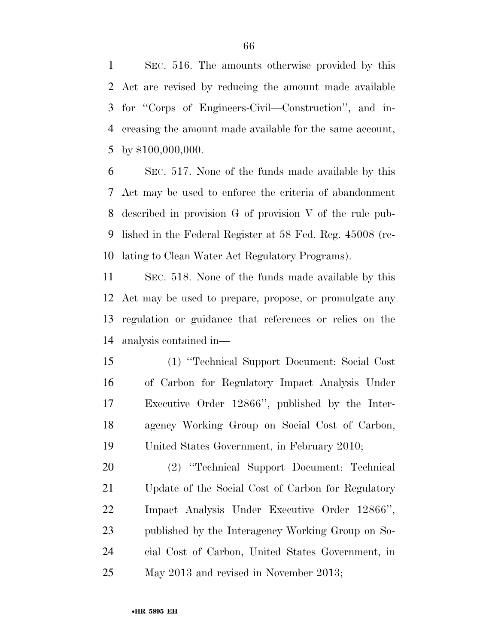SEC. 516. The amounts otherwise provided by this Act are revised by reducing the amount made available for ''Corps of Engineers-Civil—Construction'', and in- creasing the amount made available for the same account, by \$100,000,000.

 SEC. 517. None of the funds made available by this Act may be used to enforce the criteria of abandonment described in provision G of provision V of the rule pub- lished in the Federal Register at 58 Fed. Reg. 45008 (re-lating to Clean Water Act Regulatory Programs).

 SEC. 518. None of the funds made available by this Act may be used to prepare, propose, or promulgate any regulation or guidance that references or relies on the analysis contained in—

 (1) ''Technical Support Document: Social Cost of Carbon for Regulatory Impact Analysis Under Executive Order 12866'', published by the Inter- agency Working Group on Social Cost of Carbon, United States Government, in February 2010;

 (2) ''Technical Support Document: Technical Update of the Social Cost of Carbon for Regulatory Impact Analysis Under Executive Order 12866'', published by the Interagency Working Group on So- cial Cost of Carbon, United States Government, in May 2013 and revised in November 2013;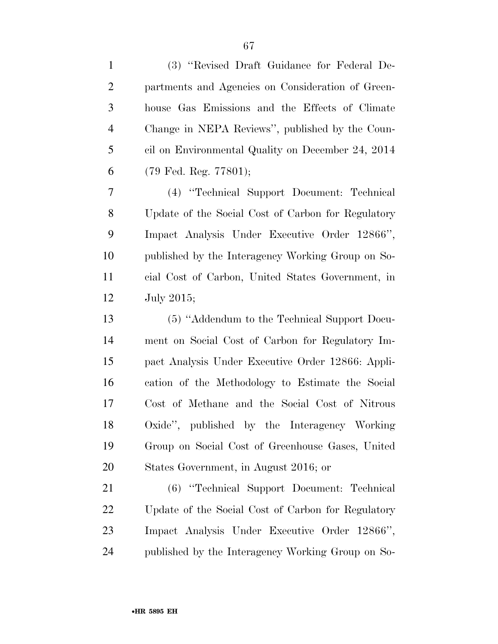| $\mathbf{1}$   | (3) "Revised Draft Guidance for Federal De-        |
|----------------|----------------------------------------------------|
| $\overline{c}$ | partments and Agencies on Consideration of Green-  |
| 3              | house Gas Emissions and the Effects of Climate     |
| $\overline{4}$ | Change in NEPA Reviews", published by the Coun-    |
| 5              | cil on Environmental Quality on December 24, 2014  |
| 6              | (79 Fed. Reg. 77801);                              |
| 7              | (4) "Technical Support Document: Technical         |
| 8              | Update of the Social Cost of Carbon for Regulatory |
| 9              | Impact Analysis Under Executive Order 12866",      |
| 10             | published by the Interagency Working Group on So-  |
| 11             | cial Cost of Carbon, United States Government, in  |
| 12             | July 2015;                                         |
| 13             | (5) "Addendum to the Technical Support Docu-       |
| 14             | ment on Social Cost of Carbon for Regulatory Im-   |
| 15             | pact Analysis Under Executive Order 12866: Appli-  |
| 16             | cation of the Methodology to Estimate the Social   |
| 17             | Cost of Methane and the Social Cost of Nitrous     |
| 18             | Oxide", published by the Interagency Working       |
| 19             | Group on Social Cost of Greenhouse Gases, United   |
| 20             | States Government, in August 2016; or              |
| 21             | (6) "Technical Support Document: Technical         |
| 22             | Update of the Social Cost of Carbon for Regulatory |
| 23             | Impact Analysis Under Executive Order 12866",      |
| 24             | published by the Interagency Working Group on So-  |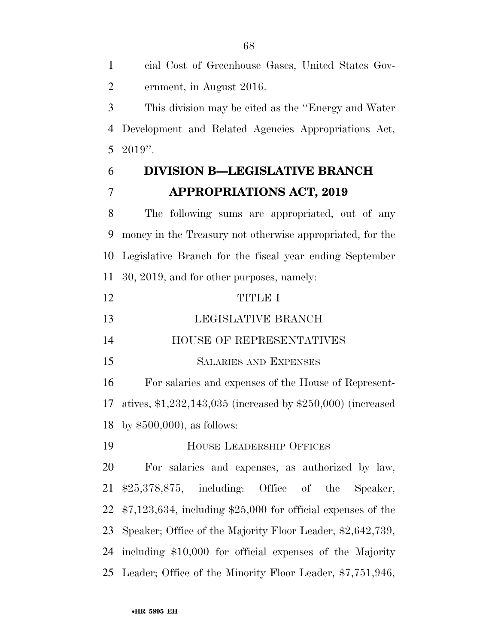ernment, in August 2016. This division may be cited as the ''Energy and Water Development and Related Agencies Appropriations Act, 2019''. **DIVISION B—LEGISLATIVE BRANCH APPROPRIATIONS ACT, 2019**  The following sums are appropriated, out of any money in the Treasury not otherwise appropriated, for the Legislative Branch for the fiscal year ending September 30, 2019, and for other purposes, namely: TITLE I 13 LEGISLATIVE BRANCH HOUSE OF REPRESENTATIVES SALARIES AND EXPENSES For salaries and expenses of the House of Represent- atives, \$1,232,143,035 (increased by \$250,000) (increased by \$500,000), as follows: HOUSE LEADERSHIP OFFICES For salaries and expenses, as authorized by law, \$25,378,875, including: Office of the Speaker, \$7,123,634, including \$25,000 for official expenses of the Speaker; Office of the Majority Floor Leader, \$2,642,739, including \$10,000 for official expenses of the Majority Leader; Office of the Minority Floor Leader, \$7,751,946,

cial Cost of Greenhouse Gases, United States Gov-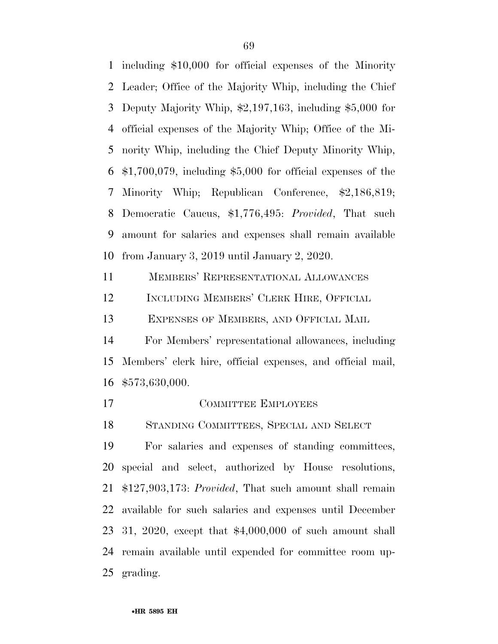including \$10,000 for official expenses of the Minority Leader; Office of the Majority Whip, including the Chief Deputy Majority Whip, \$2,197,163, including \$5,000 for official expenses of the Majority Whip; Office of the Mi- nority Whip, including the Chief Deputy Minority Whip, \$1,700,079, including \$5,000 for official expenses of the Minority Whip; Republican Conference, \$2,186,819; Democratic Caucus, \$1,776,495: *Provided*, That such amount for salaries and expenses shall remain available from January 3, 2019 until January 2, 2020.

MEMBERS' REPRESENTATIONAL ALLOWANCES

INCLUDING MEMBERS' CLERK HIRE, OFFICIAL

EXPENSES OF MEMBERS, AND OFFICIAL MAIL

 For Members' representational allowances, including Members' clerk hire, official expenses, and official mail, \$573,630,000.

17 COMMITTEE EMPLOYEES

STANDING COMMITTEES, SPECIAL AND SELECT

 For salaries and expenses of standing committees, special and select, authorized by House resolutions, \$127,903,173: *Provided*, That such amount shall remain available for such salaries and expenses until December 31, 2020, except that \$4,000,000 of such amount shall remain available until expended for committee room up-grading.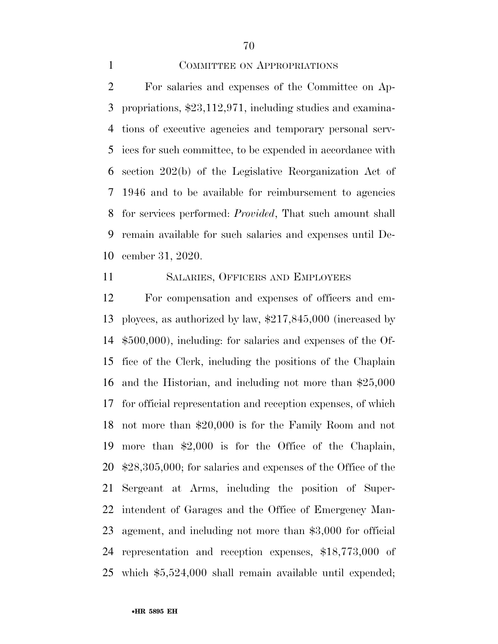COMMITTEE ON APPROPRIATIONS

 For salaries and expenses of the Committee on Ap- propriations, \$23,112,971, including studies and examina- tions of executive agencies and temporary personal serv- ices for such committee, to be expended in accordance with section 202(b) of the Legislative Reorganization Act of 1946 and to be available for reimbursement to agencies for services performed: *Provided*, That such amount shall remain available for such salaries and expenses until De-cember 31, 2020.

## SALARIES, OFFICERS AND EMPLOYEES

 For compensation and expenses of officers and em- ployees, as authorized by law, \$217,845,000 (increased by \$500,000), including: for salaries and expenses of the Of- fice of the Clerk, including the positions of the Chaplain and the Historian, and including not more than \$25,000 for official representation and reception expenses, of which not more than \$20,000 is for the Family Room and not more than \$2,000 is for the Office of the Chaplain, \$28,305,000; for salaries and expenses of the Office of the Sergeant at Arms, including the position of Super- intendent of Garages and the Office of Emergency Man- agement, and including not more than \$3,000 for official representation and reception expenses, \$18,773,000 of which \$5,524,000 shall remain available until expended;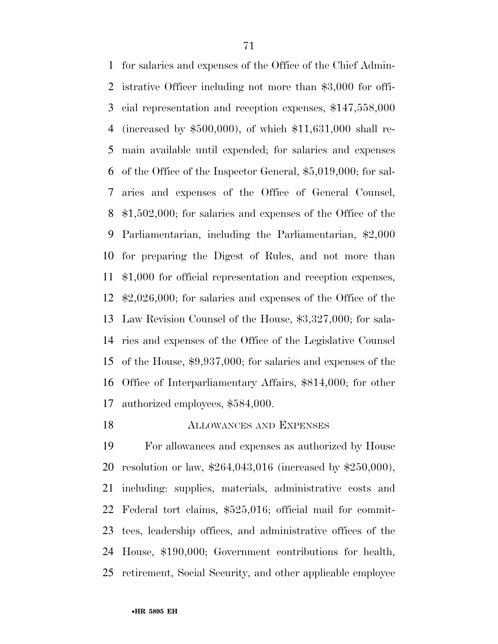for salaries and expenses of the Office of the Chief Admin- istrative Officer including not more than \$3,000 for offi- cial representation and reception expenses, \$147,558,000 (increased by \$500,000), of which \$11,631,000 shall re- main available until expended; for salaries and expenses of the Office of the Inspector General, \$5,019,000; for sal- aries and expenses of the Office of General Counsel, \$1,502,000; for salaries and expenses of the Office of the Parliamentarian, including the Parliamentarian, \$2,000 for preparing the Digest of Rules, and not more than \$1,000 for official representation and reception expenses, \$2,026,000; for salaries and expenses of the Office of the Law Revision Counsel of the House, \$3,327,000; for sala- ries and expenses of the Office of the Legislative Counsel of the House, \$9,937,000; for salaries and expenses of the Office of Interparliamentary Affairs, \$814,000; for other authorized employees, \$584,000.

## ALLOWANCES AND EXPENSES

 For allowances and expenses as authorized by House resolution or law, \$264,043,016 (increased by \$250,000), including: supplies, materials, administrative costs and Federal tort claims, \$525,016; official mail for commit- tees, leadership offices, and administrative offices of the House, \$190,000; Government contributions for health, retirement, Social Security, and other applicable employee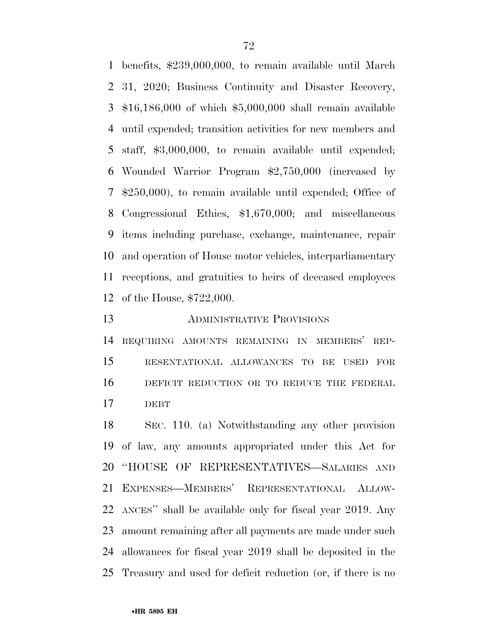benefits, \$239,000,000, to remain available until March 31, 2020; Business Continuity and Disaster Recovery, \$16,186,000 of which \$5,000,000 shall remain available until expended; transition activities for new members and staff, \$3,000,000, to remain available until expended; Wounded Warrior Program \$2,750,000 (increased by \$250,000), to remain available until expended; Office of Congressional Ethics, \$1,670,000; and miscellaneous items including purchase, exchange, maintenance, repair and operation of House motor vehicles, interparliamentary receptions, and gratuities to heirs of deceased employees of the House, \$722,000.

ADMINISTRATIVE PROVISIONS

 REQUIRING AMOUNTS REMAINING IN MEMBERS' REP- RESENTATIONAL ALLOWANCES TO BE USED FOR 16 DEFICIT REDUCTION OR TO REDUCE THE FEDERAL DEBT

 SEC. 110. (a) Notwithstanding any other provision of law, any amounts appropriated under this Act for ''HOUSE OF REPRESENTATIVES—SALARIES AND EXPENSES—MEMBERS' REPRESENTATIONAL ALLOW- ANCES'' shall be available only for fiscal year 2019. Any amount remaining after all payments are made under such allowances for fiscal year 2019 shall be deposited in the Treasury and used for deficit reduction (or, if there is no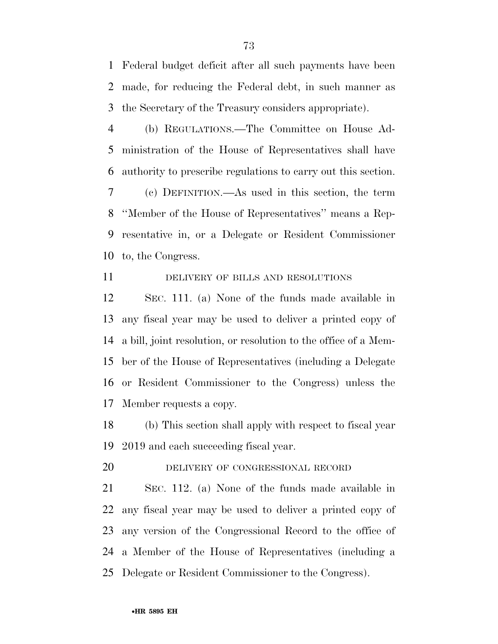Federal budget deficit after all such payments have been made, for reducing the Federal debt, in such manner as the Secretary of the Treasury considers appropriate).

 (b) REGULATIONS.—The Committee on House Ad- ministration of the House of Representatives shall have authority to prescribe regulations to carry out this section. (c) DEFINITION.—As used in this section, the term ''Member of the House of Representatives'' means a Rep- resentative in, or a Delegate or Resident Commissioner to, the Congress.

# 11 DELIVERY OF BILLS AND RESOLUTIONS

 SEC. 111. (a) None of the funds made available in any fiscal year may be used to deliver a printed copy of a bill, joint resolution, or resolution to the office of a Mem- ber of the House of Representatives (including a Delegate or Resident Commissioner to the Congress) unless the Member requests a copy.

 (b) This section shall apply with respect to fiscal year 2019 and each succeeding fiscal year.

DELIVERY OF CONGRESSIONAL RECORD

 SEC. 112. (a) None of the funds made available in any fiscal year may be used to deliver a printed copy of any version of the Congressional Record to the office of a Member of the House of Representatives (including a Delegate or Resident Commissioner to the Congress).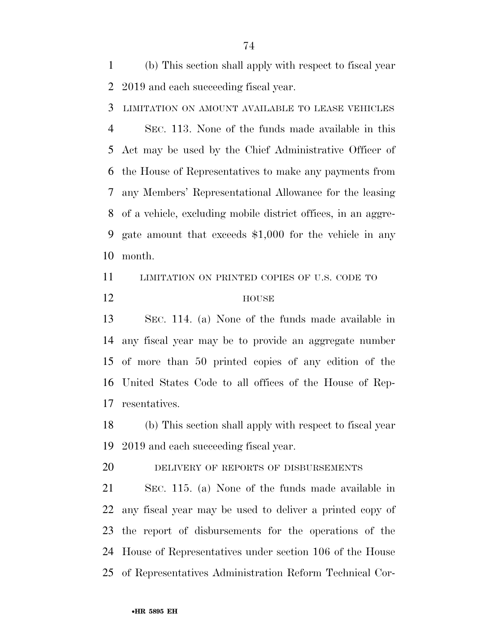(b) This section shall apply with respect to fiscal year 2019 and each succeeding fiscal year.

LIMITATION ON AMOUNT AVAILABLE TO LEASE VEHICLES

 SEC. 113. None of the funds made available in this Act may be used by the Chief Administrative Officer of the House of Representatives to make any payments from any Members' Representational Allowance for the leasing of a vehicle, excluding mobile district offices, in an aggre- gate amount that exceeds \$1,000 for the vehicle in any month.

11 LIMITATION ON PRINTED COPIES OF U.S. CODE TO

12 HOUSE

 SEC. 114. (a) None of the funds made available in any fiscal year may be to provide an aggregate number of more than 50 printed copies of any edition of the United States Code to all offices of the House of Rep-resentatives.

 (b) This section shall apply with respect to fiscal year 2019 and each succeeding fiscal year.

DELIVERY OF REPORTS OF DISBURSEMENTS

 SEC. 115. (a) None of the funds made available in any fiscal year may be used to deliver a printed copy of the report of disbursements for the operations of the House of Representatives under section 106 of the House of Representatives Administration Reform Technical Cor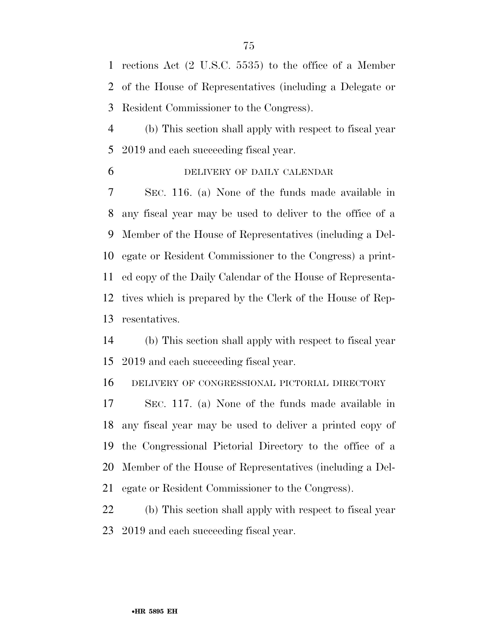rections Act (2 U.S.C. 5535) to the office of a Member of the House of Representatives (including a Delegate or Resident Commissioner to the Congress).

 (b) This section shall apply with respect to fiscal year 2019 and each succeeding fiscal year.

DELIVERY OF DAILY CALENDAR

 SEC. 116. (a) None of the funds made available in any fiscal year may be used to deliver to the office of a Member of the House of Representatives (including a Del- egate or Resident Commissioner to the Congress) a print- ed copy of the Daily Calendar of the House of Representa- tives which is prepared by the Clerk of the House of Rep-resentatives.

 (b) This section shall apply with respect to fiscal year 2019 and each succeeding fiscal year.

DELIVERY OF CONGRESSIONAL PICTORIAL DIRECTORY

 SEC. 117. (a) None of the funds made available in any fiscal year may be used to deliver a printed copy of the Congressional Pictorial Directory to the office of a Member of the House of Representatives (including a Del-egate or Resident Commissioner to the Congress).

 (b) This section shall apply with respect to fiscal year 2019 and each succeeding fiscal year.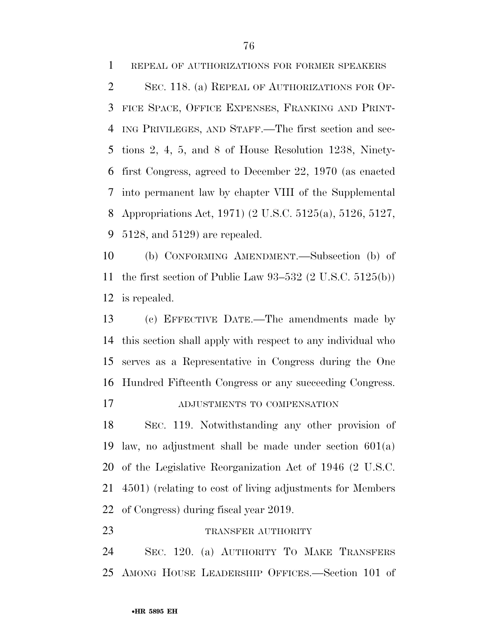REPEAL OF AUTHORIZATIONS FOR FORMER SPEAKERS 2 SEC. 118. (a) REPEAL OF AUTHORIZATIONS FOR OF- FICE SPACE, OFFICE EXPENSES, FRANKING AND PRINT- ING PRIVILEGES, AND STAFF.—The first section and sec- tions 2, 4, 5, and 8 of House Resolution 1238, Ninety- first Congress, agreed to December 22, 1970 (as enacted into permanent law by chapter VIII of the Supplemental Appropriations Act, 1971) (2 U.S.C. 5125(a), 5126, 5127, 5128, and 5129) are repealed.

 (b) CONFORMING AMENDMENT.—Subsection (b) of the first section of Public Law 93–532 (2 U.S.C. 5125(b)) is repealed.

 (c) EFFECTIVE DATE.—The amendments made by this section shall apply with respect to any individual who serves as a Representative in Congress during the One Hundred Fifteenth Congress or any succeeding Congress.

ADJUSTMENTS TO COMPENSATION

 SEC. 119. Notwithstanding any other provision of 19 law, no adjustment shall be made under section  $601(a)$  of the Legislative Reorganization Act of 1946 (2 U.S.C. 4501) (relating to cost of living adjustments for Members of Congress) during fiscal year 2019.

23 TRANSFER AUTHORITY

 SEC. 120. (a) AUTHORITY TO MAKE TRANSFERS AMONG HOUSE LEADERSHIP OFFICES.—Section 101 of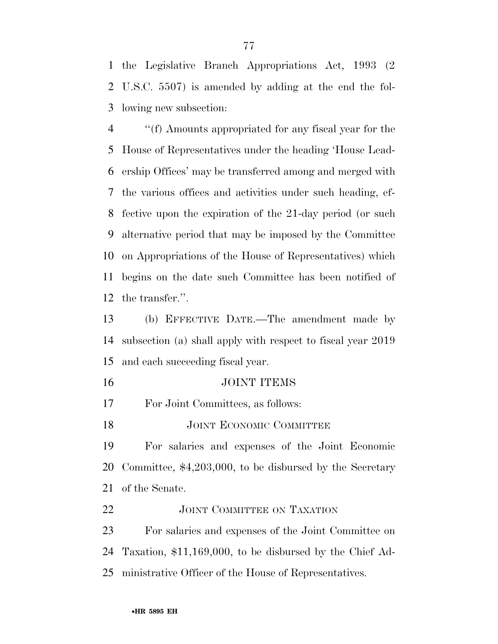the Legislative Branch Appropriations Act, 1993 (2 U.S.C. 5507) is amended by adding at the end the fol-lowing new subsection:

 ''(f) Amounts appropriated for any fiscal year for the House of Representatives under the heading 'House Lead- ership Offices' may be transferred among and merged with the various offices and activities under such heading, ef- fective upon the expiration of the 21-day period (or such alternative period that may be imposed by the Committee on Appropriations of the House of Representatives) which begins on the date such Committee has been notified of the transfer.''.

 (b) EFFECTIVE DATE.—The amendment made by subsection (a) shall apply with respect to fiscal year 2019 and each succeeding fiscal year.

JOINT ITEMS

For Joint Committees, as follows:

18 JOINT ECONOMIC COMMITTEE

 For salaries and expenses of the Joint Economic Committee, \$4,203,000, to be disbursed by the Secretary of the Senate.

22 JOINT COMMITTEE ON TAXATION

 For salaries and expenses of the Joint Committee on Taxation, \$11,169,000, to be disbursed by the Chief Ad-ministrative Officer of the House of Representatives.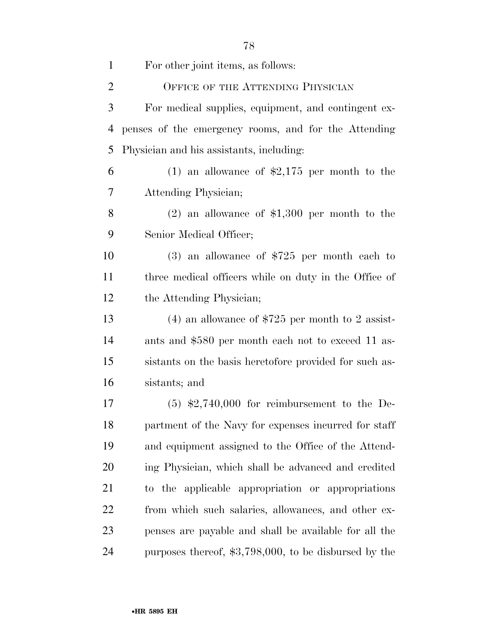| $\mathbf{1}$   | For other joint items, as follows:                      |
|----------------|---------------------------------------------------------|
| $\overline{2}$ | OFFICE OF THE ATTENDING PHYSICIAN                       |
| 3              | For medical supplies, equipment, and contingent ex-     |
| 4              | penses of the emergency rooms, and for the Attending    |
| 5              | Physician and his assistants, including:                |
| 6              | (1) an allowance of $\text{$}2,175$ per month to the    |
| 7              | Attending Physician;                                    |
| 8              | $(2)$ an allowance of \$1,300 per month to the          |
| 9              | Senior Medical Officer;                                 |
| 10             | $(3)$ an allowance of \$725 per month each to           |
| 11             | three medical officers while on duty in the Office of   |
| 12             | the Attending Physician;                                |
| 13             | (4) an allowance of $$725$ per month to 2 assist-       |
| 14             | ants and \$580 per month each not to exceed 11 as-      |
| 15             | sistants on the basis heretofore provided for such as-  |
| 16             | sistants; and                                           |
| 17             | $(5)$ \$2,740,000 for reimbursement to the De-          |
| 18             | partment of the Navy for expenses incurred for staff    |
| 19             | and equipment assigned to the Office of the Attend-     |
| 20             | ing Physician, which shall be advanced and credited     |
| 21             | to the applicable appropriation or appropriations       |
| 22             | from which such salaries, allowances, and other ex-     |
| 23             | penses are payable and shall be available for all the   |
| 24             | purposes thereof, $$3,798,000$ , to be disbursed by the |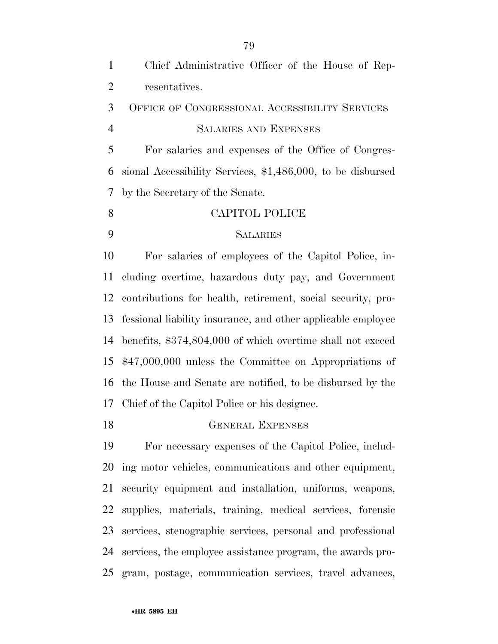| $\mathbf{1}$   | Chief Administrative Officer of the House of Rep-            |
|----------------|--------------------------------------------------------------|
| $\overline{2}$ | resentatives.                                                |
| 3              | OFFICE OF CONGRESSIONAL ACCESSIBILITY SERVICES               |
| $\overline{4}$ | <b>SALARIES AND EXPENSES</b>                                 |
| 5              | For salaries and expenses of the Office of Congres-          |
| 6              | sional Accessibility Services, \$1,486,000, to be disbursed  |
| 7              | by the Secretary of the Senate.                              |
| 8              | CAPITOL POLICE                                               |
| 9              | <b>SALARIES</b>                                              |
| 10             | For salaries of employees of the Capitol Police, in-         |
| 11             | cluding overtime, hazardous duty pay, and Government         |
| 12             | contributions for health, retirement, social security, pro-  |
| 13             | fessional liability insurance, and other applicable employee |
| 14             | benefits, \$374,804,000 of which overtime shall not exceed   |
| 15             | $$47,000,000$ unless the Committee on Appropriations of      |
| 16             | the House and Senate are notified, to be disbursed by the    |
|                | 17 Chief of the Capitol Police or his designee.              |

# GENERAL EXPENSES

 For necessary expenses of the Capitol Police, includ- ing motor vehicles, communications and other equipment, security equipment and installation, uniforms, weapons, supplies, materials, training, medical services, forensic services, stenographic services, personal and professional services, the employee assistance program, the awards pro-gram, postage, communication services, travel advances,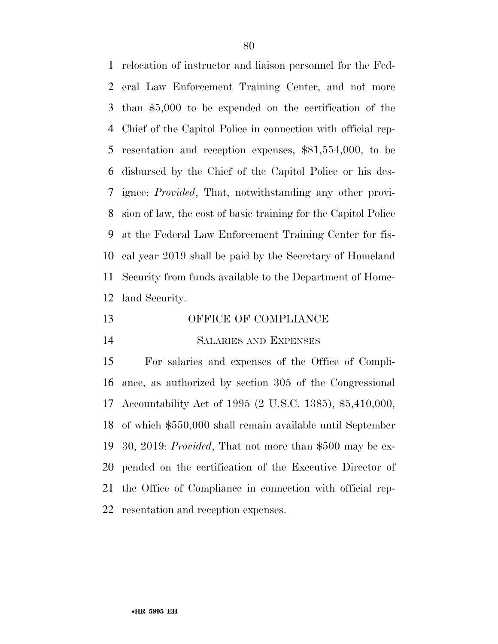relocation of instructor and liaison personnel for the Fed- eral Law Enforcement Training Center, and not more than \$5,000 to be expended on the certification of the Chief of the Capitol Police in connection with official rep- resentation and reception expenses, \$81,554,000, to be disbursed by the Chief of the Capitol Police or his des- ignee: *Provided*, That, notwithstanding any other provi- sion of law, the cost of basic training for the Capitol Police at the Federal Law Enforcement Training Center for fis- cal year 2019 shall be paid by the Secretary of Homeland Security from funds available to the Department of Home-land Security.

- 13 OFFICE OF COMPLIANCE
- SALARIES AND EXPENSES

 For salaries and expenses of the Office of Compli- ance, as authorized by section 305 of the Congressional Accountability Act of 1995 (2 U.S.C. 1385), \$5,410,000, of which \$550,000 shall remain available until September 30, 2019: *Provided*, That not more than \$500 may be ex- pended on the certification of the Executive Director of the Office of Compliance in connection with official rep-resentation and reception expenses.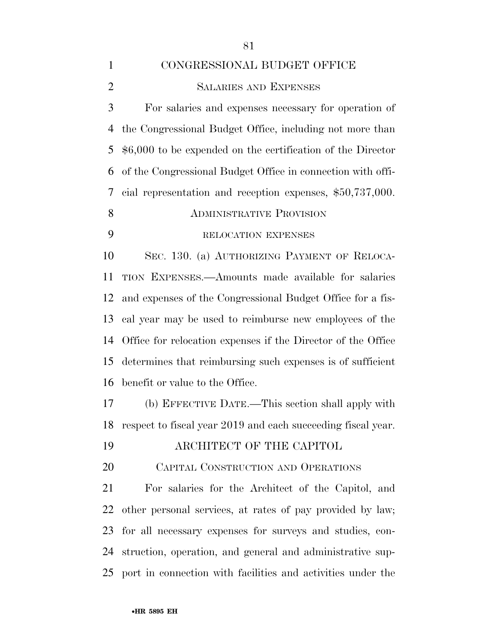CONGRESSIONAL BUDGET OFFICE SALARIES AND EXPENSES For salaries and expenses necessary for operation of the Congressional Budget Office, including not more than \$6,000 to be expended on the certification of the Director of the Congressional Budget Office in connection with offi- cial representation and reception expenses, \$50,737,000. **ADMINISTRATIVE PROVISION**  RELOCATION EXPENSES SEC. 130. (a) AUTHORIZING PAYMENT OF RELOCA- TION EXPENSES.—Amounts made available for salaries and expenses of the Congressional Budget Office for a fis- cal year may be used to reimburse new employees of the Office for relocation expenses if the Director of the Office determines that reimbursing such expenses is of sufficient benefit or value to the Office. (b) EFFECTIVE DATE.—This section shall apply with respect to fiscal year 2019 and each succeeding fiscal year. ARCHITECT OF THE CAPITOL CAPITAL CONSTRUCTION AND OPERATIONS For salaries for the Architect of the Capitol, and other personal services, at rates of pay provided by law; for all necessary expenses for surveys and studies, con- struction, operation, and general and administrative sup-port in connection with facilities and activities under the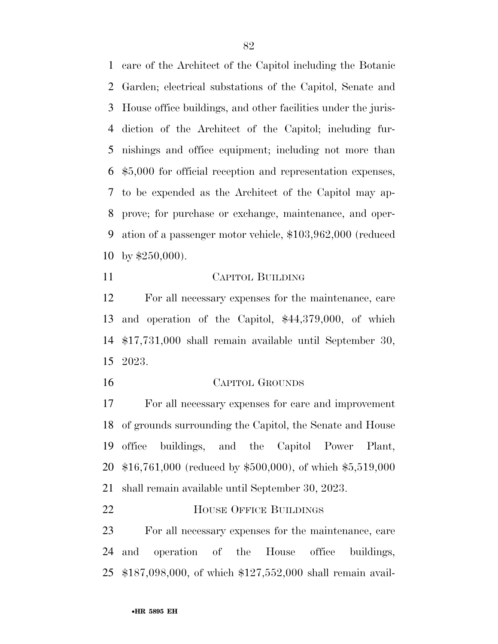care of the Architect of the Capitol including the Botanic Garden; electrical substations of the Capitol, Senate and House office buildings, and other facilities under the juris- diction of the Architect of the Capitol; including fur- nishings and office equipment; including not more than \$5,000 for official reception and representation expenses, to be expended as the Architect of the Capitol may ap- prove; for purchase or exchange, maintenance, and oper- ation of a passenger motor vehicle, \$103,962,000 (reduced by \$250,000).

### CAPITOL BUILDING

 For all necessary expenses for the maintenance, care and operation of the Capitol, \$44,379,000, of which \$17,731,000 shall remain available until September 30, 2023.

#### CAPITOL GROUNDS

 For all necessary expenses for care and improvement of grounds surrounding the Capitol, the Senate and House office buildings, and the Capitol Power Plant, \$16,761,000 (reduced by \$500,000), of which \$5,519,000 shall remain available until September 30, 2023.

**HOUSE OFFICE BUILDINGS** 

 For all necessary expenses for the maintenance, care and operation of the House office buildings, \$187,098,000, of which \$127,552,000 shall remain avail-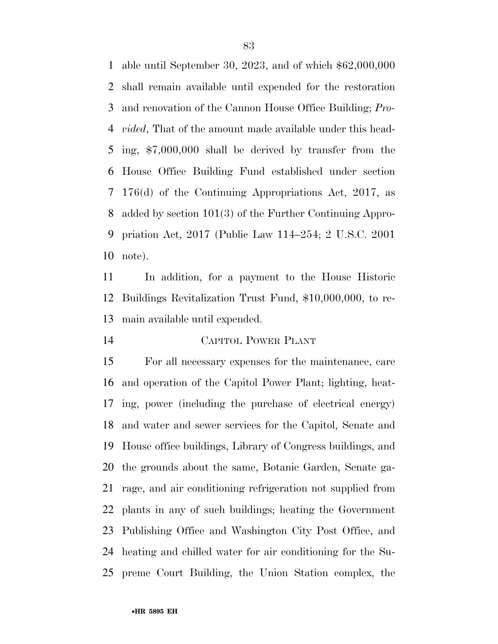able until September 30, 2023, and of which \$62,000,000 shall remain available until expended for the restoration and renovation of the Cannon House Office Building; *Pro- vided*, That of the amount made available under this head- ing, \$7,000,000 shall be derived by transfer from the House Office Building Fund established under section 176(d) of the Continuing Appropriations Act, 2017, as added by section 101(3) of the Further Continuing Appro- priation Act, 2017 (Public Law 114–254; 2 U.S.C. 2001 note).

 In addition, for a payment to the House Historic Buildings Revitalization Trust Fund, \$10,000,000, to re-main available until expended.

CAPITOL POWER PLANT

 For all necessary expenses for the maintenance, care and operation of the Capitol Power Plant; lighting, heat- ing, power (including the purchase of electrical energy) and water and sewer services for the Capitol, Senate and House office buildings, Library of Congress buildings, and the grounds about the same, Botanic Garden, Senate ga- rage, and air conditioning refrigeration not supplied from plants in any of such buildings; heating the Government Publishing Office and Washington City Post Office, and heating and chilled water for air conditioning for the Su-preme Court Building, the Union Station complex, the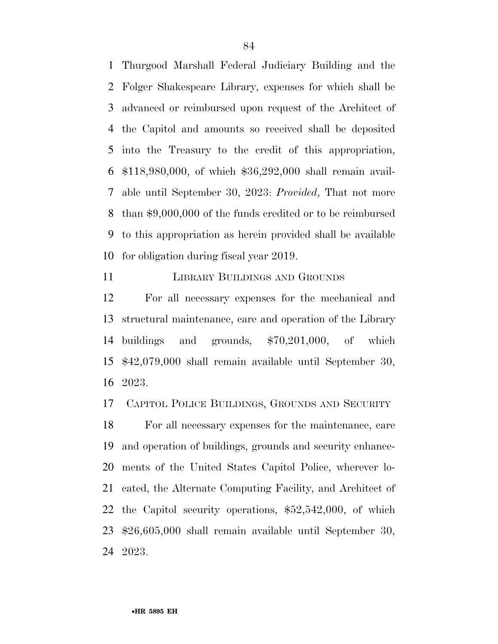Thurgood Marshall Federal Judiciary Building and the Folger Shakespeare Library, expenses for which shall be advanced or reimbursed upon request of the Architect of the Capitol and amounts so received shall be deposited into the Treasury to the credit of this appropriation, \$118,980,000, of which \$36,292,000 shall remain avail- able until September 30, 2023: *Provided*, That not more than \$9,000,000 of the funds credited or to be reimbursed to this appropriation as herein provided shall be available for obligation during fiscal year 2019.

**LIBRARY BUILDINGS AND GROUNDS** 

 For all necessary expenses for the mechanical and structural maintenance, care and operation of the Library buildings and grounds, \$70,201,000, of which \$42,079,000 shall remain available until September 30, 2023.

CAPITOL POLICE BUILDINGS, GROUNDS AND SECURITY

 For all necessary expenses for the maintenance, care and operation of buildings, grounds and security enhance- ments of the United States Capitol Police, wherever lo- cated, the Alternate Computing Facility, and Architect of the Capitol security operations, \$52,542,000, of which \$26,605,000 shall remain available until September 30, 2023.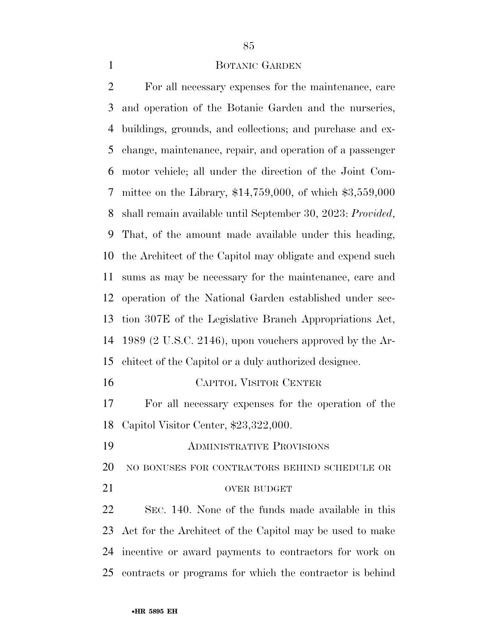#### 1 BOTANIC GARDEN

 For all necessary expenses for the maintenance, care and operation of the Botanic Garden and the nurseries, buildings, grounds, and collections; and purchase and ex- change, maintenance, repair, and operation of a passenger motor vehicle; all under the direction of the Joint Com- mittee on the Library, \$14,759,000, of which \$3,559,000 shall remain available until September 30, 2023: *Provided*, That, of the amount made available under this heading, the Architect of the Capitol may obligate and expend such sums as may be necessary for the maintenance, care and operation of the National Garden established under sec- tion 307E of the Legislative Branch Appropriations Act, 1989 (2 U.S.C. 2146), upon vouchers approved by the Ar- chitect of the Capitol or a duly authorized designee. CAPITOL VISITOR CENTER For all necessary expenses for the operation of the Capitol Visitor Center, \$23,322,000. ADMINISTRATIVE PROVISIONS NO BONUSES FOR CONTRACTORS BEHIND SCHEDULE OR 21 OVER BUDGET SEC. 140. None of the funds made available in this

 Act for the Architect of the Capitol may be used to make incentive or award payments to contractors for work on contracts or programs for which the contractor is behind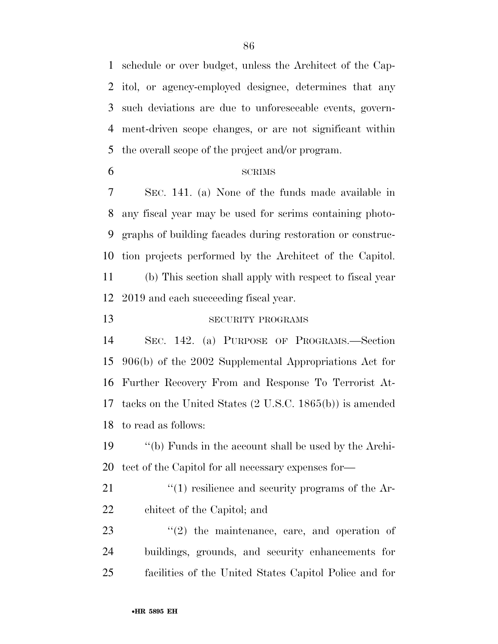schedule or over budget, unless the Architect of the Cap- itol, or agency-employed designee, determines that any such deviations are due to unforeseeable events, govern- ment-driven scope changes, or are not significant within the overall scope of the project and/or program.

#### SCRIMS

 SEC. 141. (a) None of the funds made available in any fiscal year may be used for scrims containing photo- graphs of building facades during restoration or construc- tion projects performed by the Architect of the Capitol. (b) This section shall apply with respect to fiscal year 2019 and each succeeding fiscal year.

13 SECURITY PROGRAMS

 SEC. 142. (a) PURPOSE OF PROGRAMS.—Section 906(b) of the 2002 Supplemental Appropriations Act for Further Recovery From and Response To Terrorist At- tacks on the United States (2 U.S.C. 1865(b)) is amended to read as follows:

 ''(b) Funds in the account shall be used by the Archi-tect of the Capitol for all necessary expenses for—

21 ''(1) resilience and security programs of the Ar-chitect of the Capitol; and

23  $\frac{1}{2}$  the maintenance, care, and operation of buildings, grounds, and security enhancements for facilities of the United States Capitol Police and for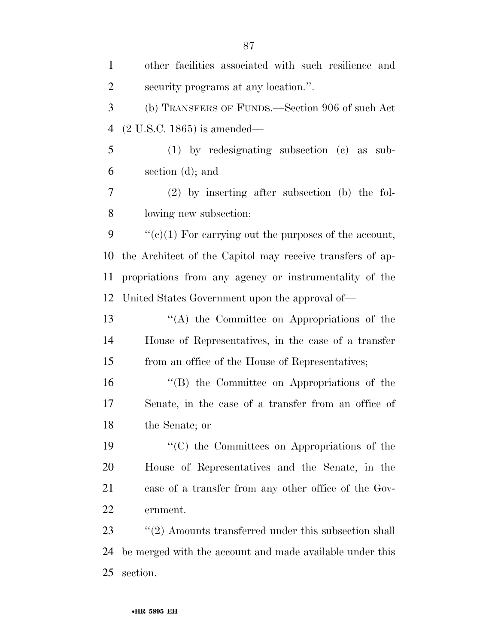| $\mathbf{1}$   | other facilities associated with such resilience and             |
|----------------|------------------------------------------------------------------|
| $\overline{2}$ | security programs at any location.".                             |
| 3              | (b) TRANSFERS OF FUNDS.—Section 906 of such Act                  |
| $\overline{4}$ | $(2 U.S.C. 1865)$ is amended—                                    |
| 5              | $(1)$ by redesignating subsection $(e)$ as sub-                  |
| 6              | section $(d)$ ; and                                              |
| 7              | $(2)$ by inserting after subsection (b) the fol-                 |
| $8\,$          | lowing new subsection:                                           |
| 9              | " $(e)(1)$ For carrying out the purposes of the account,         |
| 10             | the Architect of the Capitol may receive transfers of ap-        |
| 11             | propriations from any agency or instrumentality of the           |
| 12             | United States Government upon the approval of—                   |
| 13             | $\lq\lq$ the Committee on Appropriations of the                  |
| 14             | House of Representatives, in the case of a transfer              |
| 15             | from an office of the House of Representatives;                  |
| 16             | $\lq\lq (B)$ the Committee on Appropriations of the              |
| 17             | Senate, in the case of a transfer from an office of              |
| 18             | the Senate; or                                                   |
| 19             | "(C) the Committees on Appropriations of the                     |
| 20             | House of Representatives and the Senate, in the                  |
| 21             | case of a transfer from any other office of the Gov-             |
| 22             | ernment.                                                         |
| 23             | $\cdot\cdot$ (2) Amounts transferred under this subsection shall |
| 24             | be merged with the account and made available under this         |
| 25             | section.                                                         |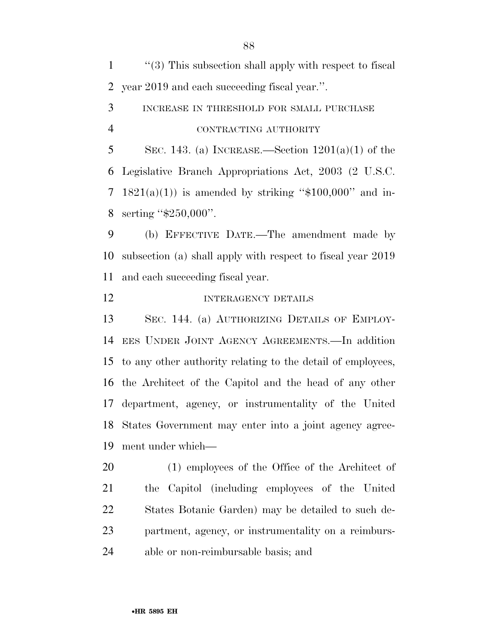''(3) This subsection shall apply with respect to fiscal year 2019 and each succeeding fiscal year.''. INCREASE IN THRESHOLD FOR SMALL PURCHASE CONTRACTING AUTHORITY 5 SEC. 143. (a) INCREASE.—Section  $1201(a)(1)$  of the Legislative Branch Appropriations Act, 2003 (2 U.S.C. 7 1821(a)(1)) is amended by striking " $$100,000$ " and in- serting ''\$250,000''. (b) EFFECTIVE DATE.—The amendment made by subsection (a) shall apply with respect to fiscal year 2019 and each succeeding fiscal year. 12 INTERAGENCY DETAILS SEC. 144. (a) AUTHORIZING DETAILS OF EMPLOY- EES UNDER JOINT AGENCY AGREEMENTS.—In addition to any other authority relating to the detail of employees, the Architect of the Capitol and the head of any other

 department, agency, or instrumentality of the United States Government may enter into a joint agency agree-ment under which—

 (1) employees of the Office of the Architect of the Capitol (including employees of the United States Botanic Garden) may be detailed to such de- partment, agency, or instrumentality on a reimburs-able or non-reimbursable basis; and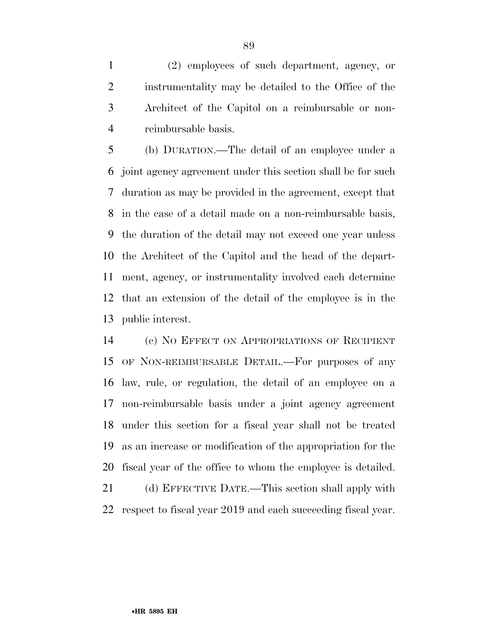(2) employees of such department, agency, or instrumentality may be detailed to the Office of the Architect of the Capitol on a reimbursable or non-reimbursable basis.

 (b) DURATION.—The detail of an employee under a joint agency agreement under this section shall be for such duration as may be provided in the agreement, except that in the case of a detail made on a non-reimbursable basis, the duration of the detail may not exceed one year unless the Architect of the Capitol and the head of the depart- ment, agency, or instrumentality involved each determine that an extension of the detail of the employee is in the public interest.

 (c) NO EFFECT ON APPROPRIATIONS OF RECIPIENT OF NON-REIMBURSABLE DETAIL.—For purposes of any law, rule, or regulation, the detail of an employee on a non-reimbursable basis under a joint agency agreement under this section for a fiscal year shall not be treated as an increase or modification of the appropriation for the fiscal year of the office to whom the employee is detailed. (d) EFFECTIVE DATE.—This section shall apply with

respect to fiscal year 2019 and each succeeding fiscal year.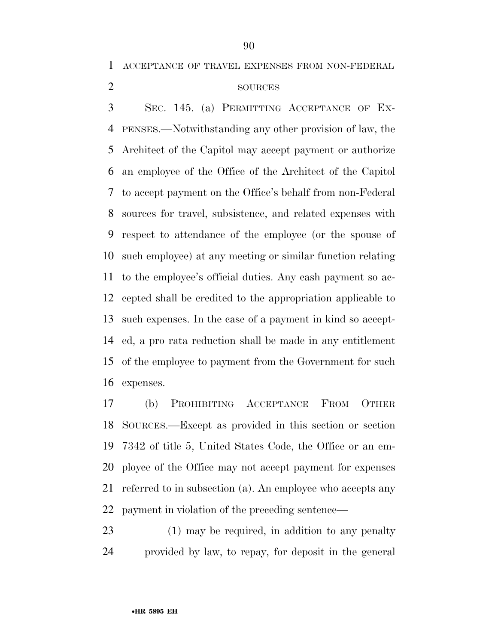ACCEPTANCE OF TRAVEL EXPENSES FROM NON-FEDERAL

# 2 SOURCES

 SEC. 145. (a) PERMITTING ACCEPTANCE OF EX- PENSES.—Notwithstanding any other provision of law, the Architect of the Capitol may accept payment or authorize an employee of the Office of the Architect of the Capitol to accept payment on the Office's behalf from non-Federal sources for travel, subsistence, and related expenses with respect to attendance of the employee (or the spouse of such employee) at any meeting or similar function relating to the employee's official duties. Any cash payment so ac- cepted shall be credited to the appropriation applicable to such expenses. In the case of a payment in kind so accept- ed, a pro rata reduction shall be made in any entitlement of the employee to payment from the Government for such expenses.

 (b) PROHIBITING ACCEPTANCE FROM OTHER SOURCES.—Except as provided in this section or section 7342 of title 5, United States Code, the Office or an em- ployee of the Office may not accept payment for expenses referred to in subsection (a). An employee who accepts any payment in violation of the preceding sentence—

 (1) may be required, in addition to any penalty provided by law, to repay, for deposit in the general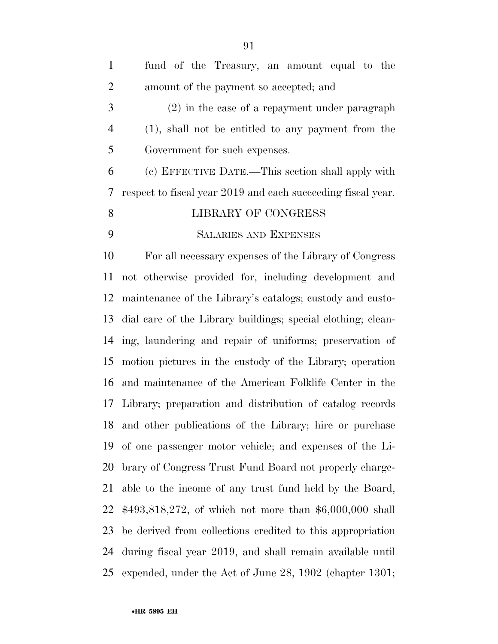| $\mathbf{1}$   | fund of the Treasury, an amount equal to the                 |
|----------------|--------------------------------------------------------------|
| 2              | amount of the payment so accepted; and                       |
| 3              | $(2)$ in the case of a repayment under paragraph             |
| $\overline{4}$ | (1), shall not be entitled to any payment from the           |
| 5              | Government for such expenses.                                |
| 6              | (c) EFFECTIVE DATE.—This section shall apply with            |
| 7              | respect to fiscal year 2019 and each succeeding fiscal year. |
| 8              | LIBRARY OF CONGRESS                                          |
| 9              | <b>SALARIES AND EXPENSES</b>                                 |
|                |                                                              |

 For all necessary expenses of the Library of Congress not otherwise provided for, including development and maintenance of the Library's catalogs; custody and custo- dial care of the Library buildings; special clothing; clean- ing, laundering and repair of uniforms; preservation of motion pictures in the custody of the Library; operation and maintenance of the American Folklife Center in the Library; preparation and distribution of catalog records and other publications of the Library; hire or purchase of one passenger motor vehicle; and expenses of the Li- brary of Congress Trust Fund Board not properly charge- able to the income of any trust fund held by the Board, \$493,818,272, of which not more than \$6,000,000 shall be derived from collections credited to this appropriation during fiscal year 2019, and shall remain available until expended, under the Act of June 28, 1902 (chapter 1301;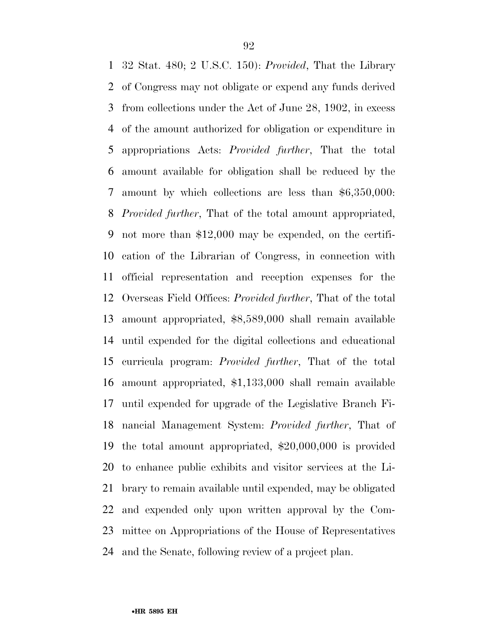32 Stat. 480; 2 U.S.C. 150): *Provided*, That the Library of Congress may not obligate or expend any funds derived from collections under the Act of June 28, 1902, in excess of the amount authorized for obligation or expenditure in appropriations Acts: *Provided further*, That the total amount available for obligation shall be reduced by the amount by which collections are less than \$6,350,000: *Provided further*, That of the total amount appropriated, not more than \$12,000 may be expended, on the certifi- cation of the Librarian of Congress, in connection with official representation and reception expenses for the Overseas Field Offices: *Provided further*, That of the total amount appropriated, \$8,589,000 shall remain available until expended for the digital collections and educational curricula program: *Provided further*, That of the total amount appropriated, \$1,133,000 shall remain available until expended for upgrade of the Legislative Branch Fi- nancial Management System: *Provided further*, That of the total amount appropriated, \$20,000,000 is provided to enhance public exhibits and visitor services at the Li- brary to remain available until expended, may be obligated and expended only upon written approval by the Com- mittee on Appropriations of the House of Representatives and the Senate, following review of a project plan.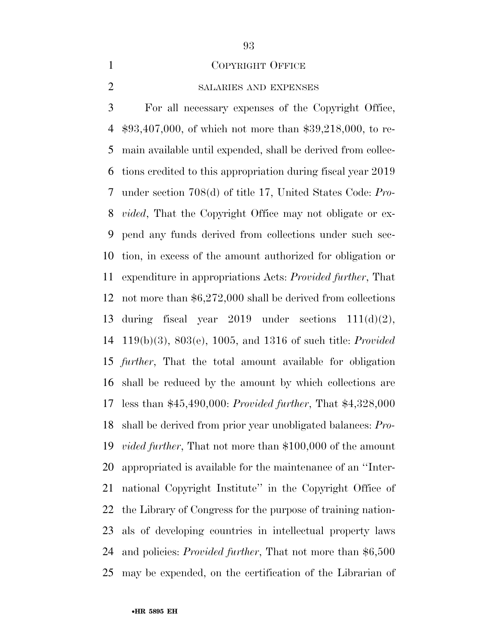#### COPYRIGHT OFFICE

# SALARIES AND EXPENSES

 For all necessary expenses of the Copyright Office, \$93,407,000, of which not more than \$39,218,000, to re- main available until expended, shall be derived from collec- tions credited to this appropriation during fiscal year 2019 under section 708(d) of title 17, United States Code: *Pro- vided*, That the Copyright Office may not obligate or ex- pend any funds derived from collections under such sec- tion, in excess of the amount authorized for obligation or expenditure in appropriations Acts: *Provided further*, That not more than \$6,272,000 shall be derived from collections 13 during fiscal year under sections  $111(d)(2)$ , 119(b)(3), 803(e), 1005, and 1316 of such title: *Provided further*, That the total amount available for obligation shall be reduced by the amount by which collections are less than \$45,490,000: *Provided further*, That \$4,328,000 shall be derived from prior year unobligated balances: *Pro- vided further*, That not more than \$100,000 of the amount appropriated is available for the maintenance of an ''Inter- national Copyright Institute'' in the Copyright Office of the Library of Congress for the purpose of training nation- als of developing countries in intellectual property laws and policies: *Provided further*, That not more than \$6,500 may be expended, on the certification of the Librarian of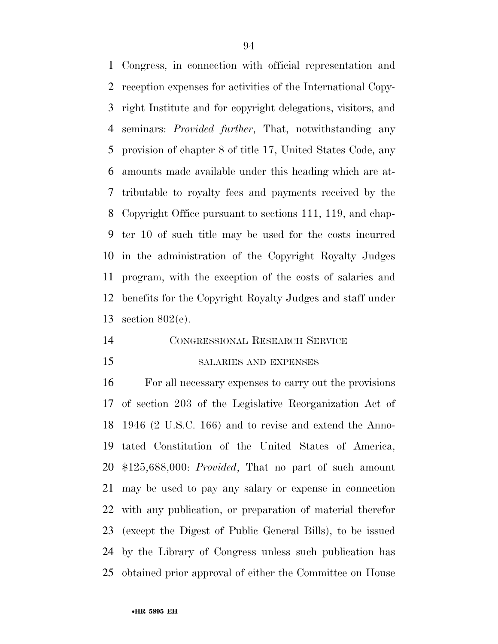Congress, in connection with official representation and reception expenses for activities of the International Copy- right Institute and for copyright delegations, visitors, and seminars: *Provided further*, That, notwithstanding any provision of chapter 8 of title 17, United States Code, any amounts made available under this heading which are at- tributable to royalty fees and payments received by the Copyright Office pursuant to sections 111, 119, and chap- ter 10 of such title may be used for the costs incurred in the administration of the Copyright Royalty Judges program, with the exception of the costs of salaries and benefits for the Copyright Royalty Judges and staff under section 802(e).

# CONGRESSIONAL RESEARCH SERVICE

# SALARIES AND EXPENSES

 For all necessary expenses to carry out the provisions of section 203 of the Legislative Reorganization Act of 1946 (2 U.S.C. 166) and to revise and extend the Anno- tated Constitution of the United States of America, \$125,688,000: *Provided*, That no part of such amount may be used to pay any salary or expense in connection with any publication, or preparation of material therefor (except the Digest of Public General Bills), to be issued by the Library of Congress unless such publication has obtained prior approval of either the Committee on House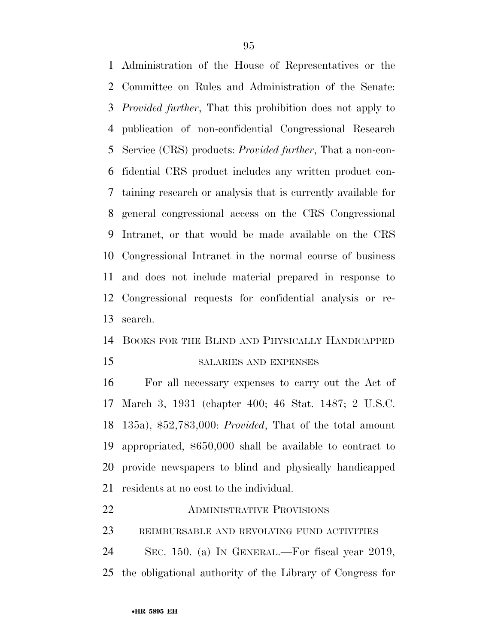Administration of the House of Representatives or the Committee on Rules and Administration of the Senate: *Provided further*, That this prohibition does not apply to publication of non-confidential Congressional Research Service (CRS) products: *Provided further*, That a non-con- fidential CRS product includes any written product con- taining research or analysis that is currently available for general congressional access on the CRS Congressional Intranet, or that would be made available on the CRS Congressional Intranet in the normal course of business and does not include material prepared in response to Congressional requests for confidential analysis or re-search.

# BOOKS FOR THE BLIND AND PHYSICALLY HANDICAPPED

# SALARIES AND EXPENSES

 For all necessary expenses to carry out the Act of March 3, 1931 (chapter 400; 46 Stat. 1487; 2 U.S.C. 135a), \$52,783,000: *Provided*, That of the total amount appropriated, \$650,000 shall be available to contract to provide newspapers to blind and physically handicapped residents at no cost to the individual.

# ADMINISTRATIVE PROVISIONS

REIMBURSABLE AND REVOLVING FUND ACTIVITIES

 SEC. 150. (a) IN GENERAL.—For fiscal year 2019, the obligational authority of the Library of Congress for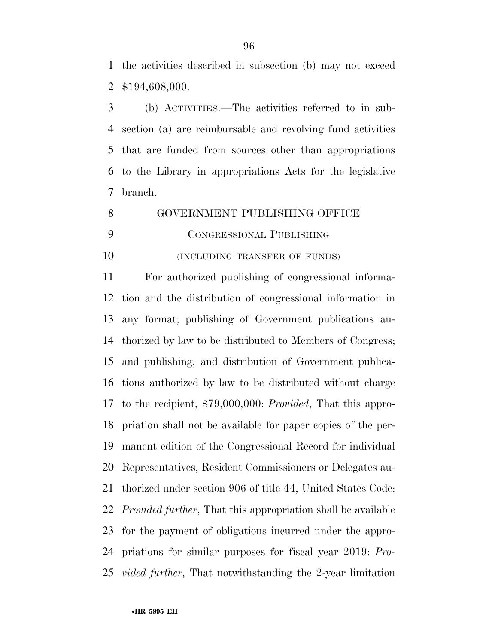the activities described in subsection (b) may not exceed \$194,608,000.

 (b) ACTIVITIES.—The activities referred to in sub- section (a) are reimbursable and revolving fund activities that are funded from sources other than appropriations to the Library in appropriations Acts for the legislative branch.

GOVERNMENT PUBLISHING OFFICE

CONGRESSIONAL PUBLISHING

**(INCLUDING TRANSFER OF FUNDS)** 

 For authorized publishing of congressional informa- tion and the distribution of congressional information in any format; publishing of Government publications au- thorized by law to be distributed to Members of Congress; and publishing, and distribution of Government publica- tions authorized by law to be distributed without charge to the recipient, \$79,000,000: *Provided*, That this appro- priation shall not be available for paper copies of the per- manent edition of the Congressional Record for individual Representatives, Resident Commissioners or Delegates au- thorized under section 906 of title 44, United States Code: *Provided further*, That this appropriation shall be available for the payment of obligations incurred under the appro- priations for similar purposes for fiscal year 2019: *Pro-vided further*, That notwithstanding the 2-year limitation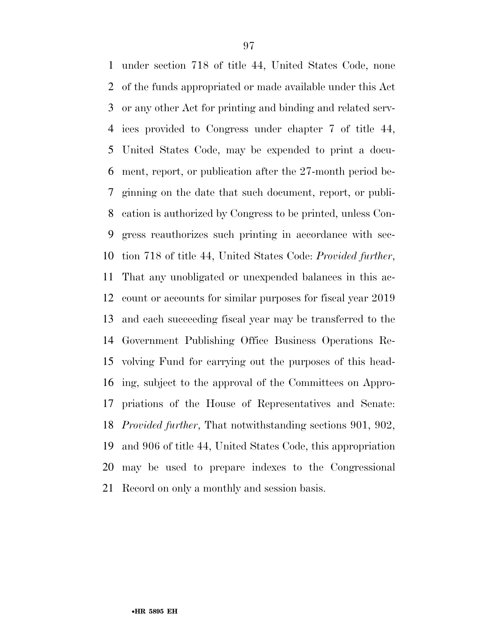under section 718 of title 44, United States Code, none of the funds appropriated or made available under this Act or any other Act for printing and binding and related serv- ices provided to Congress under chapter 7 of title 44, United States Code, may be expended to print a docu- ment, report, or publication after the 27-month period be- ginning on the date that such document, report, or publi- cation is authorized by Congress to be printed, unless Con- gress reauthorizes such printing in accordance with sec- tion 718 of title 44, United States Code: *Provided further*, That any unobligated or unexpended balances in this ac- count or accounts for similar purposes for fiscal year 2019 and each succeeding fiscal year may be transferred to the Government Publishing Office Business Operations Re- volving Fund for carrying out the purposes of this head- ing, subject to the approval of the Committees on Appro- priations of the House of Representatives and Senate: *Provided further*, That notwithstanding sections 901, 902, and 906 of title 44, United States Code, this appropriation may be used to prepare indexes to the Congressional Record on only a monthly and session basis.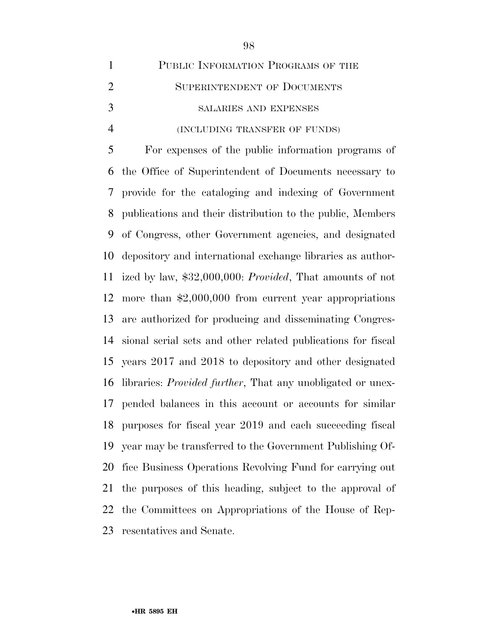| $\mathbf{1}$   | PUBLIC INFORMATION PROGRAMS OF THE                                 |
|----------------|--------------------------------------------------------------------|
| $\overline{2}$ | SUPERINTENDENT OF DOCUMENTS                                        |
| 3              | SALARIES AND EXPENSES                                              |
| $\overline{4}$ | (INCLUDING TRANSFER OF FUNDS)                                      |
| 5              | For expenses of the public information programs of                 |
| 6              | the Office of Superintendent of Documents necessary to             |
| 7              | provide for the cataloging and indexing of Government              |
| 8              | publications and their distribution to the public, Members         |
| 9              | of Congress, other Government agencies, and designated             |
| 10             | depository and international exchange libraries as author-         |
| 11             | ized by law, \$32,000,000: Provided, That amounts of not           |
| 12             | more than $$2,000,000$ from current year appropriations            |
| 13             | are authorized for producing and disseminating Congres-            |
| 14             | sional serial sets and other related publications for fiscal       |
| 15             | years 2017 and 2018 to depository and other designated             |
| 16             | libraries: <i>Provided further</i> , That any unobligated or unex- |
| 17             | pended balances in this account or accounts for similar            |
| 18             | purposes for fiscal year 2019 and each succeeding fiscal           |
| 19             | year may be transferred to the Government Publishing Of-           |
| 20             | fice Business Operations Revolving Fund for carrying out           |
| 21             | the purposes of this heading, subject to the approval of           |
| 22             | the Committees on Appropriations of the House of Rep-              |
| 23             | resentatives and Senate.                                           |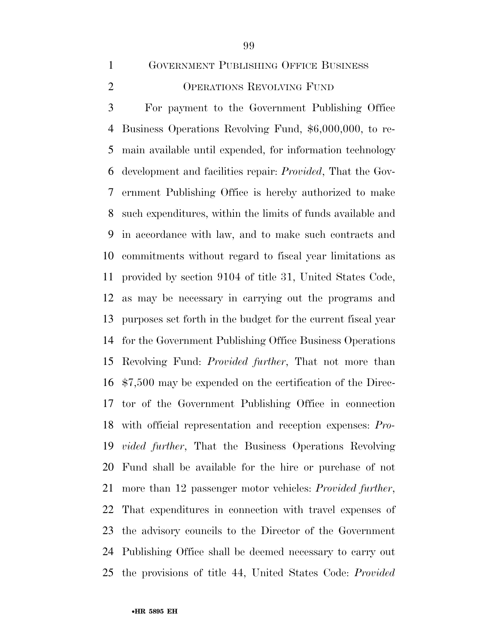GOVERNMENT PUBLISHING OFFICE BUSINESS

# OPERATIONS REVOLVING FUND

 For payment to the Government Publishing Office Business Operations Revolving Fund, \$6,000,000, to re- main available until expended, for information technology development and facilities repair: *Provided*, That the Gov- ernment Publishing Office is hereby authorized to make such expenditures, within the limits of funds available and in accordance with law, and to make such contracts and commitments without regard to fiscal year limitations as provided by section 9104 of title 31, United States Code, as may be necessary in carrying out the programs and purposes set forth in the budget for the current fiscal year for the Government Publishing Office Business Operations Revolving Fund: *Provided further*, That not more than \$7,500 may be expended on the certification of the Direc- tor of the Government Publishing Office in connection with official representation and reception expenses: *Pro- vided further*, That the Business Operations Revolving Fund shall be available for the hire or purchase of not more than 12 passenger motor vehicles: *Provided further*, That expenditures in connection with travel expenses of the advisory councils to the Director of the Government Publishing Office shall be deemed necessary to carry out the provisions of title 44, United States Code: *Provided*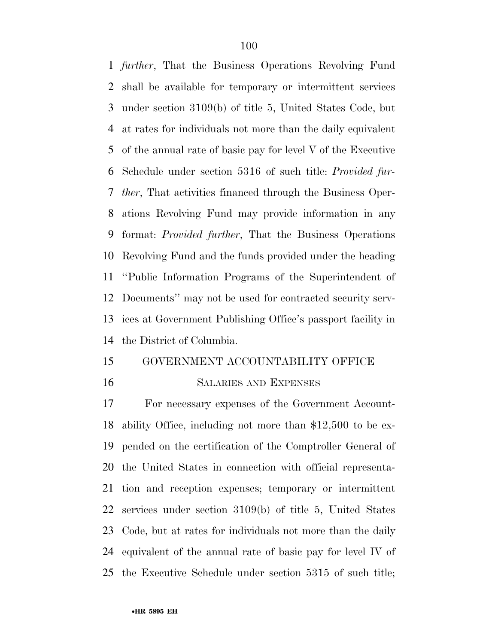*further*, That the Business Operations Revolving Fund shall be available for temporary or intermittent services under section 3109(b) of title 5, United States Code, but at rates for individuals not more than the daily equivalent of the annual rate of basic pay for level V of the Executive Schedule under section 5316 of such title: *Provided fur- ther*, That activities financed through the Business Oper- ations Revolving Fund may provide information in any format: *Provided further*, That the Business Operations Revolving Fund and the funds provided under the heading ''Public Information Programs of the Superintendent of Documents'' may not be used for contracted security serv- ices at Government Publishing Office's passport facility in the District of Columbia.

# GOVERNMENT ACCOUNTABILITY OFFICE

#### SALARIES AND EXPENSES

 For necessary expenses of the Government Account- ability Office, including not more than \$12,500 to be ex- pended on the certification of the Comptroller General of the United States in connection with official representa- tion and reception expenses; temporary or intermittent services under section 3109(b) of title 5, United States Code, but at rates for individuals not more than the daily equivalent of the annual rate of basic pay for level IV of the Executive Schedule under section 5315 of such title;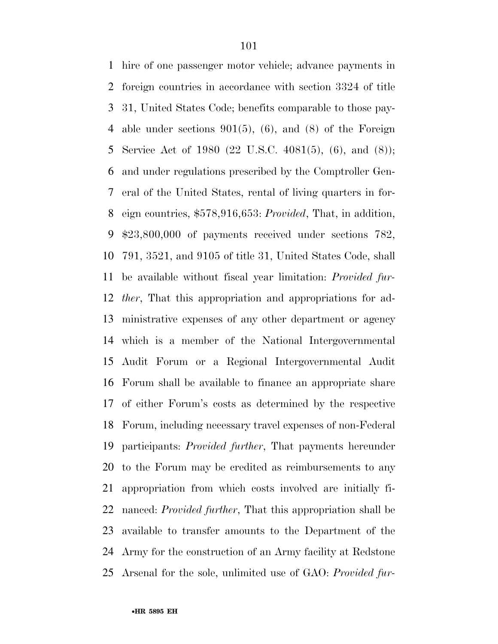hire of one passenger motor vehicle; advance payments in foreign countries in accordance with section 3324 of title 31, United States Code; benefits comparable to those pay- able under sections 901(5), (6), and (8) of the Foreign Service Act of 1980 (22 U.S.C. 4081(5), (6), and (8)); and under regulations prescribed by the Comptroller Gen- eral of the United States, rental of living quarters in for- eign countries, \$578,916,653: *Provided*, That, in addition, \$23,800,000 of payments received under sections 782, 791, 3521, and 9105 of title 31, United States Code, shall be available without fiscal year limitation: *Provided fur- ther*, That this appropriation and appropriations for ad- ministrative expenses of any other department or agency which is a member of the National Intergovernmental Audit Forum or a Regional Intergovernmental Audit Forum shall be available to finance an appropriate share of either Forum's costs as determined by the respective Forum, including necessary travel expenses of non-Federal participants: *Provided further*, That payments hereunder to the Forum may be credited as reimbursements to any appropriation from which costs involved are initially fi- nanced: *Provided further*, That this appropriation shall be available to transfer amounts to the Department of the Army for the construction of an Army facility at Redstone Arsenal for the sole, unlimited use of GAO: *Provided fur-*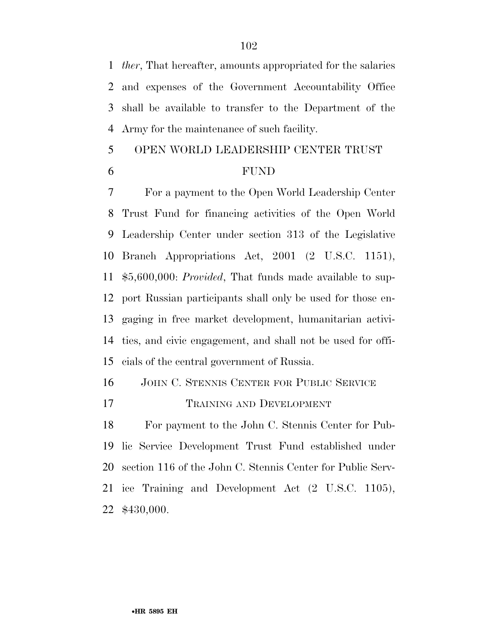*ther*, That hereafter, amounts appropriated for the salaries and expenses of the Government Accountability Office shall be available to transfer to the Department of the Army for the maintenance of such facility.

# OPEN WORLD LEADERSHIP CENTER TRUST

### FUND

 For a payment to the Open World Leadership Center Trust Fund for financing activities of the Open World Leadership Center under section 313 of the Legislative Branch Appropriations Act, 2001 (2 U.S.C. 1151), \$5,600,000: *Provided*, That funds made available to sup- port Russian participants shall only be used for those en- gaging in free market development, humanitarian activi- ties, and civic engagement, and shall not be used for offi-cials of the central government of Russia.

JOHN C. STENNIS CENTER FOR PUBLIC SERVICE

TRAINING AND DEVELOPMENT

 For payment to the John C. Stennis Center for Pub- lic Service Development Trust Fund established under section 116 of the John C. Stennis Center for Public Serv- ice Training and Development Act (2 U.S.C. 1105), \$430,000.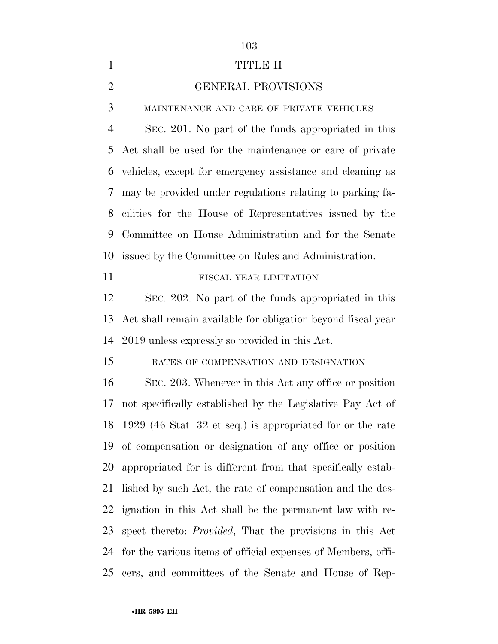# 

## TITLE II

### GENERAL PROVISIONS

MAINTENANCE AND CARE OF PRIVATE VEHICLES

 SEC. 201. No part of the funds appropriated in this Act shall be used for the maintenance or care of private vehicles, except for emergency assistance and cleaning as may be provided under regulations relating to parking fa- cilities for the House of Representatives issued by the Committee on House Administration and for the Senate issued by the Committee on Rules and Administration.

FISCAL YEAR LIMITATION

 SEC. 202. No part of the funds appropriated in this Act shall remain available for obligation beyond fiscal year 2019 unless expressly so provided in this Act.

RATES OF COMPENSATION AND DESIGNATION

 SEC. 203. Whenever in this Act any office or position not specifically established by the Legislative Pay Act of 1929 (46 Stat. 32 et seq.) is appropriated for or the rate of compensation or designation of any office or position appropriated for is different from that specifically estab- lished by such Act, the rate of compensation and the des- ignation in this Act shall be the permanent law with re- spect thereto: *Provided*, That the provisions in this Act for the various items of official expenses of Members, offi-cers, and committees of the Senate and House of Rep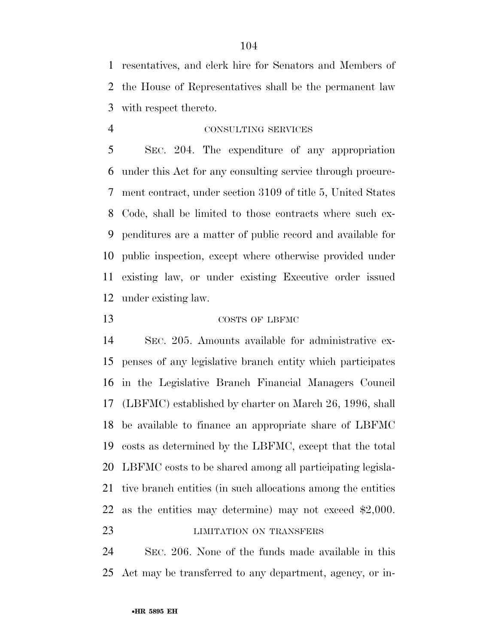resentatives, and clerk hire for Senators and Members of the House of Representatives shall be the permanent law with respect thereto.

# CONSULTING SERVICES

 SEC. 204. The expenditure of any appropriation under this Act for any consulting service through procure- ment contract, under section 3109 of title 5, United States Code, shall be limited to those contracts where such ex- penditures are a matter of public record and available for public inspection, except where otherwise provided under existing law, or under existing Executive order issued under existing law.

# COSTS OF LBFMC

 SEC. 205. Amounts available for administrative ex- penses of any legislative branch entity which participates in the Legislative Branch Financial Managers Council (LBFMC) established by charter on March 26, 1996, shall be available to finance an appropriate share of LBFMC costs as determined by the LBFMC, except that the total LBFMC costs to be shared among all participating legisla- tive branch entities (in such allocations among the entities as the entities may determine) may not exceed \$2,000. **LIMITATION ON TRANSFERS** 

 SEC. 206. None of the funds made available in this Act may be transferred to any department, agency, or in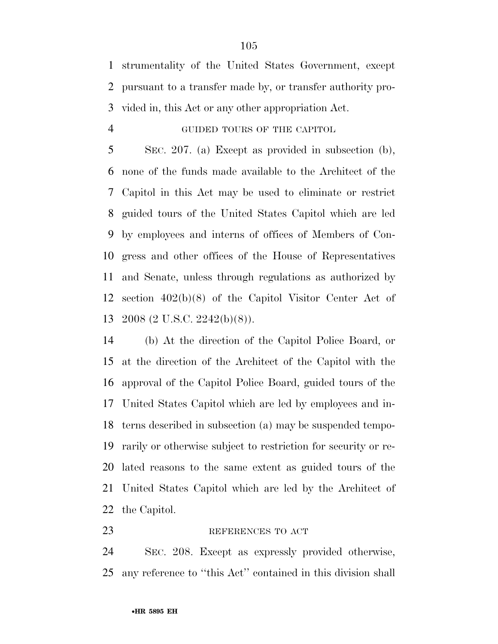strumentality of the United States Government, except pursuant to a transfer made by, or transfer authority pro-vided in, this Act or any other appropriation Act.

# GUIDED TOURS OF THE CAPITOL

 SEC. 207. (a) Except as provided in subsection (b), none of the funds made available to the Architect of the Capitol in this Act may be used to eliminate or restrict guided tours of the United States Capitol which are led by employees and interns of offices of Members of Con- gress and other offices of the House of Representatives and Senate, unless through regulations as authorized by section 402(b)(8) of the Capitol Visitor Center Act of 2008 (2 U.S.C. 2242(b)(8)).

 (b) At the direction of the Capitol Police Board, or at the direction of the Architect of the Capitol with the approval of the Capitol Police Board, guided tours of the United States Capitol which are led by employees and in- terns described in subsection (a) may be suspended tempo- rarily or otherwise subject to restriction for security or re- lated reasons to the same extent as guided tours of the United States Capitol which are led by the Architect of the Capitol.

## REFERENCES TO ACT

 SEC. 208. Except as expressly provided otherwise, any reference to ''this Act'' contained in this division shall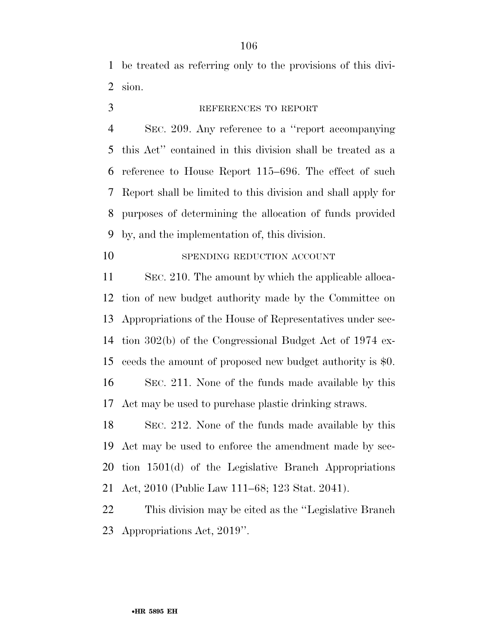be treated as referring only to the provisions of this divi-sion.

# REFERENCES TO REPORT

 SEC. 209. Any reference to a ''report accompanying this Act'' contained in this division shall be treated as a reference to House Report 115–696. The effect of such Report shall be limited to this division and shall apply for purposes of determining the allocation of funds provided by, and the implementation of, this division.

# 10 SPENDING REDUCTION ACCOUNT

 SEC. 210. The amount by which the applicable alloca- tion of new budget authority made by the Committee on Appropriations of the House of Representatives under sec- tion 302(b) of the Congressional Budget Act of 1974 ex- ceeds the amount of proposed new budget authority is \$0. SEC. 211. None of the funds made available by this Act may be used to purchase plastic drinking straws.

 SEC. 212. None of the funds made available by this Act may be used to enforce the amendment made by sec- tion 1501(d) of the Legislative Branch Appropriations Act, 2010 (Public Law 111–68; 123 Stat. 2041).

 This division may be cited as the ''Legislative Branch Appropriations Act, 2019''.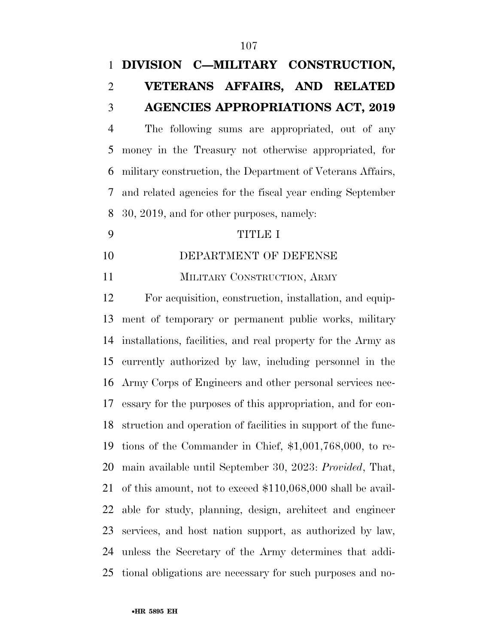# **DIVISION C—MILITARY CONSTRUCTION, VETERANS AFFAIRS, AND RELATED AGENCIES APPROPRIATIONS ACT, 2019**

 The following sums are appropriated, out of any money in the Treasury not otherwise appropriated, for military construction, the Department of Veterans Affairs, and related agencies for the fiscal year ending September 30, 2019, and for other purposes, namely:

### TITLE I

10 DEPARTMENT OF DEFENSE

11 MILITARY CONSTRUCTION, ARMY

 For acquisition, construction, installation, and equip- ment of temporary or permanent public works, military installations, facilities, and real property for the Army as currently authorized by law, including personnel in the Army Corps of Engineers and other personal services nec- essary for the purposes of this appropriation, and for con- struction and operation of facilities in support of the func- tions of the Commander in Chief, \$1,001,768,000, to re- main available until September 30, 2023: *Provided*, That, of this amount, not to exceed \$110,068,000 shall be avail- able for study, planning, design, architect and engineer services, and host nation support, as authorized by law, unless the Secretary of the Army determines that addi-tional obligations are necessary for such purposes and no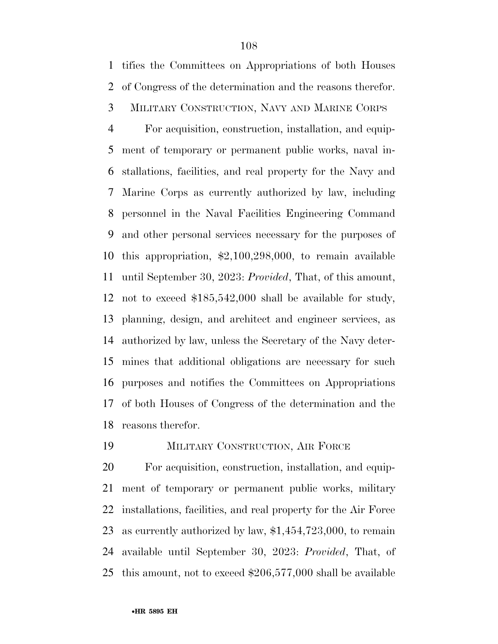tifies the Committees on Appropriations of both Houses of Congress of the determination and the reasons therefor.

# MILITARY CONSTRUCTION, NAVY AND MARINE CORPS

 For acquisition, construction, installation, and equip- ment of temporary or permanent public works, naval in- stallations, facilities, and real property for the Navy and Marine Corps as currently authorized by law, including personnel in the Naval Facilities Engineering Command and other personal services necessary for the purposes of this appropriation, \$2,100,298,000, to remain available until September 30, 2023: *Provided*, That, of this amount, not to exceed \$185,542,000 shall be available for study, planning, design, and architect and engineer services, as authorized by law, unless the Secretary of the Navy deter- mines that additional obligations are necessary for such purposes and notifies the Committees on Appropriations of both Houses of Congress of the determination and the reasons therefor.

# MILITARY CONSTRUCTION, AIR FORCE

 For acquisition, construction, installation, and equip- ment of temporary or permanent public works, military installations, facilities, and real property for the Air Force as currently authorized by law, \$1,454,723,000, to remain available until September 30, 2023: *Provided*, That, of this amount, not to exceed \$206,577,000 shall be available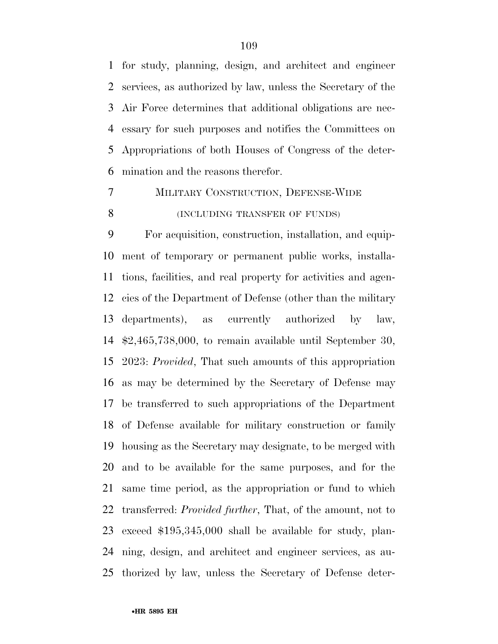for study, planning, design, and architect and engineer services, as authorized by law, unless the Secretary of the Air Force determines that additional obligations are nec- essary for such purposes and notifies the Committees on Appropriations of both Houses of Congress of the deter-mination and the reasons therefor.

 MILITARY CONSTRUCTION, DEFENSE-WIDE **(INCLUDING TRANSFER OF FUNDS)** 

 For acquisition, construction, installation, and equip- ment of temporary or permanent public works, installa- tions, facilities, and real property for activities and agen- cies of the Department of Defense (other than the military departments), as currently authorized by law, \$2,465,738,000, to remain available until September 30, 2023: *Provided*, That such amounts of this appropriation as may be determined by the Secretary of Defense may be transferred to such appropriations of the Department of Defense available for military construction or family housing as the Secretary may designate, to be merged with and to be available for the same purposes, and for the same time period, as the appropriation or fund to which transferred: *Provided further*, That, of the amount, not to exceed \$195,345,000 shall be available for study, plan- ning, design, and architect and engineer services, as au-thorized by law, unless the Secretary of Defense deter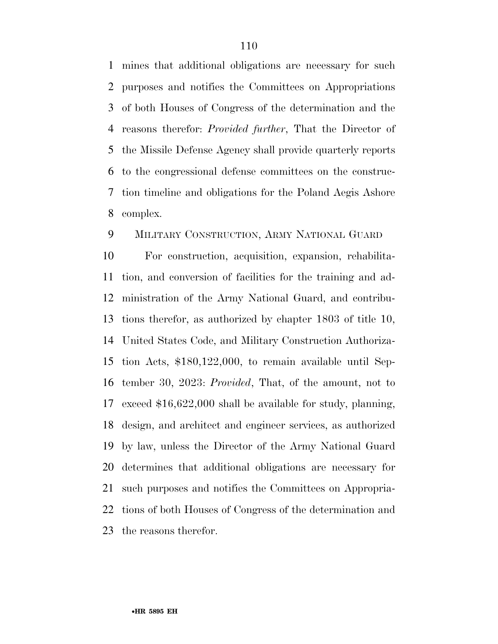mines that additional obligations are necessary for such purposes and notifies the Committees on Appropriations of both Houses of Congress of the determination and the reasons therefor: *Provided further*, That the Director of the Missile Defense Agency shall provide quarterly reports to the congressional defense committees on the construc- tion timeline and obligations for the Poland Aegis Ashore complex.

# MILITARY CONSTRUCTION, ARMY NATIONAL GUARD

 For construction, acquisition, expansion, rehabilita- tion, and conversion of facilities for the training and ad- ministration of the Army National Guard, and contribu- tions therefor, as authorized by chapter 1803 of title 10, United States Code, and Military Construction Authoriza- tion Acts, \$180,122,000, to remain available until Sep- tember 30, 2023: *Provided*, That, of the amount, not to exceed \$16,622,000 shall be available for study, planning, design, and architect and engineer services, as authorized by law, unless the Director of the Army National Guard determines that additional obligations are necessary for such purposes and notifies the Committees on Appropria- tions of both Houses of Congress of the determination and the reasons therefor.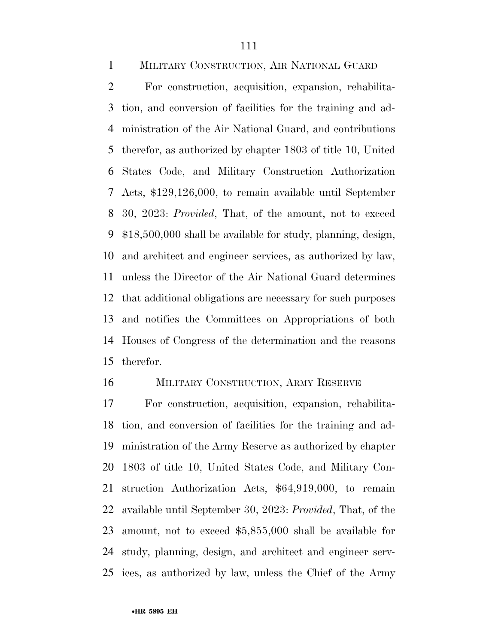MILITARY CONSTRUCTION, AIR NATIONAL GUARD

 For construction, acquisition, expansion, rehabilita- tion, and conversion of facilities for the training and ad- ministration of the Air National Guard, and contributions therefor, as authorized by chapter 1803 of title 10, United States Code, and Military Construction Authorization Acts, \$129,126,000, to remain available until September 30, 2023: *Provided*, That, of the amount, not to exceed \$18,500,000 shall be available for study, planning, design, and architect and engineer services, as authorized by law, unless the Director of the Air National Guard determines that additional obligations are necessary for such purposes and notifies the Committees on Appropriations of both Houses of Congress of the determination and the reasons therefor.

### MILITARY CONSTRUCTION, ARMY RESERVE

 For construction, acquisition, expansion, rehabilita- tion, and conversion of facilities for the training and ad- ministration of the Army Reserve as authorized by chapter 1803 of title 10, United States Code, and Military Con- struction Authorization Acts, \$64,919,000, to remain available until September 30, 2023: *Provided*, That, of the amount, not to exceed \$5,855,000 shall be available for study, planning, design, and architect and engineer serv-ices, as authorized by law, unless the Chief of the Army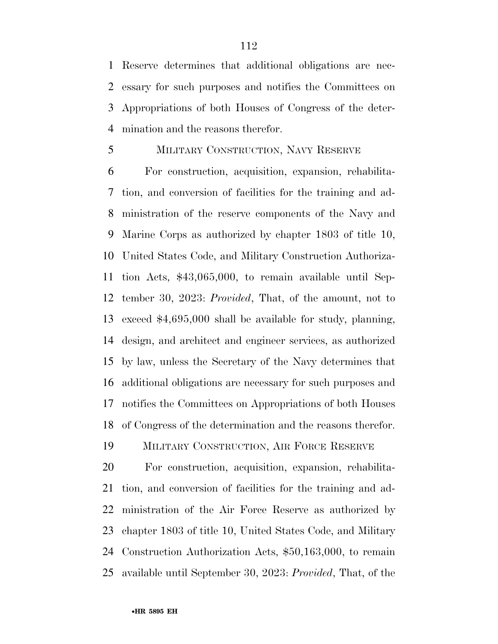Reserve determines that additional obligations are nec- essary for such purposes and notifies the Committees on Appropriations of both Houses of Congress of the deter-mination and the reasons therefor.

#### MILITARY CONSTRUCTION, NAVY RESERVE

 For construction, acquisition, expansion, rehabilita- tion, and conversion of facilities for the training and ad- ministration of the reserve components of the Navy and Marine Corps as authorized by chapter 1803 of title 10, United States Code, and Military Construction Authoriza- tion Acts, \$43,065,000, to remain available until Sep- tember 30, 2023: *Provided*, That, of the amount, not to exceed \$4,695,000 shall be available for study, planning, design, and architect and engineer services, as authorized by law, unless the Secretary of the Navy determines that additional obligations are necessary for such purposes and notifies the Committees on Appropriations of both Houses of Congress of the determination and the reasons therefor.

MILITARY CONSTRUCTION, AIR FORCE RESERVE

 For construction, acquisition, expansion, rehabilita- tion, and conversion of facilities for the training and ad- ministration of the Air Force Reserve as authorized by chapter 1803 of title 10, United States Code, and Military Construction Authorization Acts, \$50,163,000, to remain available until September 30, 2023: *Provided*, That, of the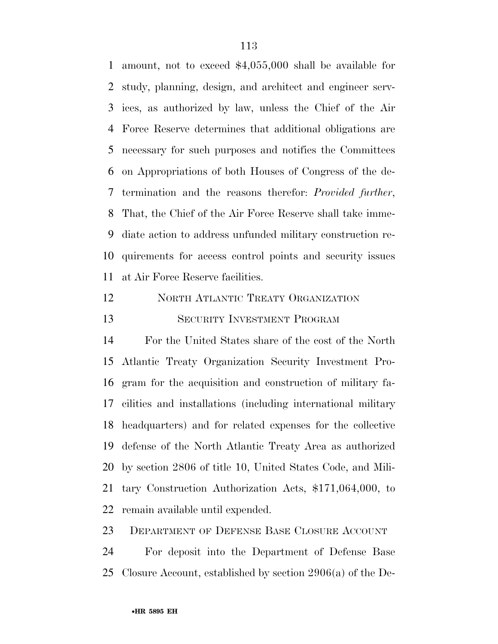amount, not to exceed \$4,055,000 shall be available for study, planning, design, and architect and engineer serv- ices, as authorized by law, unless the Chief of the Air Force Reserve determines that additional obligations are necessary for such purposes and notifies the Committees on Appropriations of both Houses of Congress of the de- termination and the reasons therefor: *Provided further*, That, the Chief of the Air Force Reserve shall take imme- diate action to address unfunded military construction re- quirements for access control points and security issues at Air Force Reserve facilities.

 NORTH ATLANTIC TREATY ORGANIZATION SECURITY INVESTMENT PROGRAM

 For the United States share of the cost of the North Atlantic Treaty Organization Security Investment Pro- gram for the acquisition and construction of military fa- cilities and installations (including international military headquarters) and for related expenses for the collective defense of the North Atlantic Treaty Area as authorized by section 2806 of title 10, United States Code, and Mili- tary Construction Authorization Acts, \$171,064,000, to remain available until expended.

DEPARTMENT OF DEFENSE BASE CLOSURE ACCOUNT

 For deposit into the Department of Defense Base Closure Account, established by section 2906(a) of the De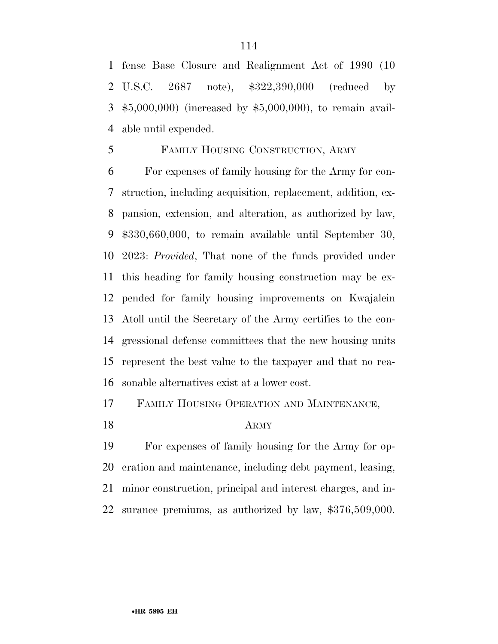fense Base Closure and Realignment Act of 1990 (10 U.S.C. 2687 note), \$322,390,000 (reduced by \$5,000,000) (increased by \$5,000,000), to remain avail-able until expended.

#### FAMILY HOUSING CONSTRUCTION, ARMY

 For expenses of family housing for the Army for con- struction, including acquisition, replacement, addition, ex- pansion, extension, and alteration, as authorized by law, \$330,660,000, to remain available until September 30, 2023: *Provided*, That none of the funds provided under this heading for family housing construction may be ex- pended for family housing improvements on Kwajalein Atoll until the Secretary of the Army certifies to the con- gressional defense committees that the new housing units represent the best value to the taxpayer and that no rea-sonable alternatives exist at a lower cost.

# FAMILY HOUSING OPERATION AND MAINTENANCE,

ARMY

 For expenses of family housing for the Army for op- eration and maintenance, including debt payment, leasing, minor construction, principal and interest charges, and in-surance premiums, as authorized by law, \$376,509,000.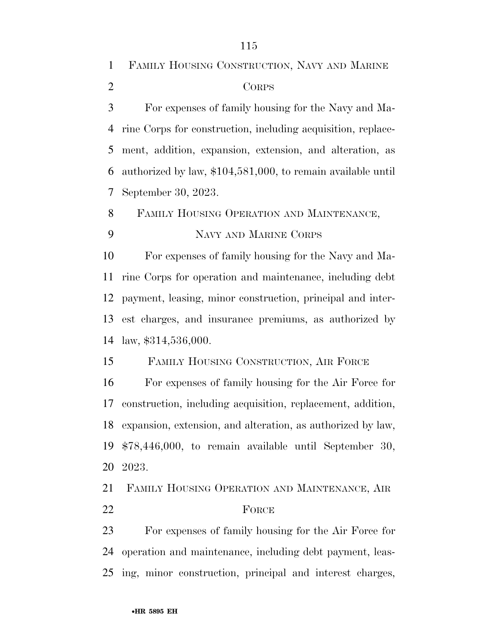FAMILY HOUSING CONSTRUCTION, NAVY AND MARINE CORPS For expenses of family housing for the Navy and Ma- rine Corps for construction, including acquisition, replace- ment, addition, expansion, extension, and alteration, as authorized by law, \$104,581,000, to remain available until September 30, 2023. FAMILY HOUSING OPERATION AND MAINTENANCE, NAVY AND MARINE CORPS For expenses of family housing for the Navy and Ma- rine Corps for operation and maintenance, including debt payment, leasing, minor construction, principal and inter- est charges, and insurance premiums, as authorized by law, \$314,536,000. FAMILY HOUSING CONSTRUCTION, AIR FORCE For expenses of family housing for the Air Force for construction, including acquisition, replacement, addition, expansion, extension, and alteration, as authorized by law, \$78,446,000, to remain available until September 30, 2023.

 FAMILY HOUSING OPERATION AND MAINTENANCE, AIR 22 FORCE

 For expenses of family housing for the Air Force for operation and maintenance, including debt payment, leas-ing, minor construction, principal and interest charges,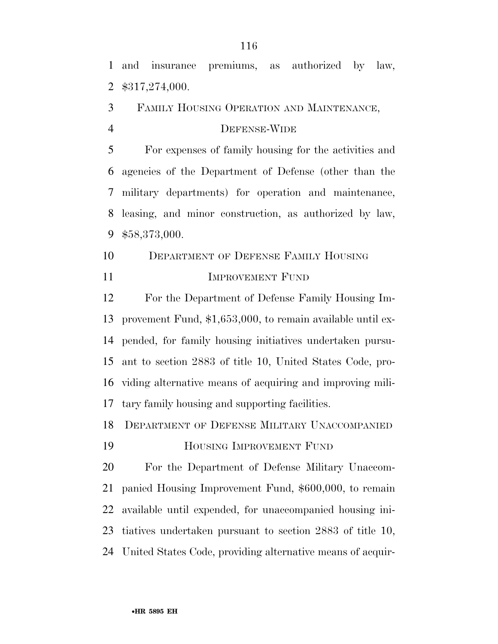and insurance premiums, as authorized by law, \$317,274,000.

FAMILY HOUSING OPERATION AND MAINTENANCE,

# DEFENSE-WIDE

 For expenses of family housing for the activities and agencies of the Department of Defense (other than the military departments) for operation and maintenance, leasing, and minor construction, as authorized by law, \$58,373,000.

 DEPARTMENT OF DEFENSE FAMILY HOUSING **IMPROVEMENT FUND** 

 For the Department of Defense Family Housing Im- provement Fund, \$1,653,000, to remain available until ex- pended, for family housing initiatives undertaken pursu- ant to section 2883 of title 10, United States Code, pro- viding alternative means of acquiring and improving mili-tary family housing and supporting facilities.

DEPARTMENT OF DEFENSE MILITARY UNACCOMPANIED

HOUSING IMPROVEMENT FUND

 For the Department of Defense Military Unaccom- panied Housing Improvement Fund, \$600,000, to remain available until expended, for unaccompanied housing ini- tiatives undertaken pursuant to section 2883 of title 10, United States Code, providing alternative means of acquir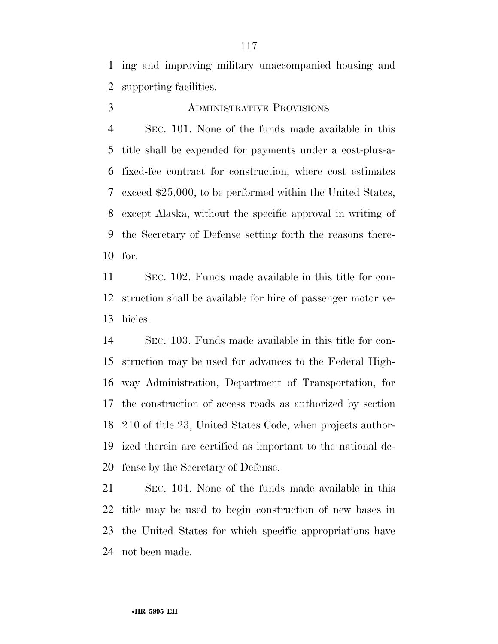ing and improving military unaccompanied housing and supporting facilities.

# ADMINISTRATIVE PROVISIONS

 SEC. 101. None of the funds made available in this title shall be expended for payments under a cost-plus-a- fixed-fee contract for construction, where cost estimates exceed \$25,000, to be performed within the United States, except Alaska, without the specific approval in writing of the Secretary of Defense setting forth the reasons there-for.

 SEC. 102. Funds made available in this title for con- struction shall be available for hire of passenger motor ve-hicles.

 SEC. 103. Funds made available in this title for con- struction may be used for advances to the Federal High- way Administration, Department of Transportation, for the construction of access roads as authorized by section 210 of title 23, United States Code, when projects author- ized therein are certified as important to the national de-fense by the Secretary of Defense.

 SEC. 104. None of the funds made available in this title may be used to begin construction of new bases in the United States for which specific appropriations have not been made.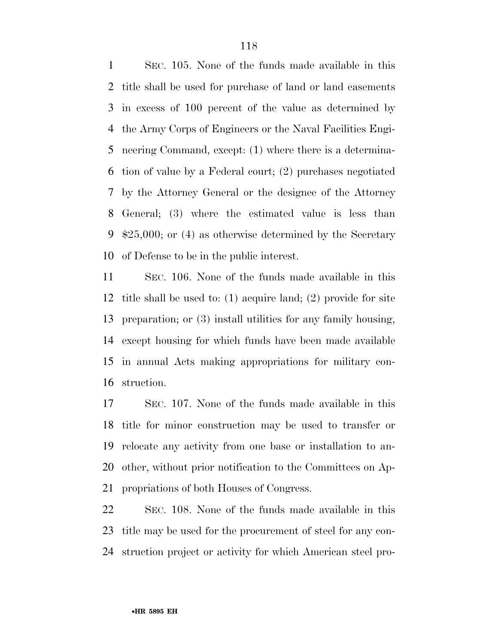SEC. 105. None of the funds made available in this title shall be used for purchase of land or land easements in excess of 100 percent of the value as determined by the Army Corps of Engineers or the Naval Facilities Engi- neering Command, except: (1) where there is a determina- tion of value by a Federal court; (2) purchases negotiated by the Attorney General or the designee of the Attorney General; (3) where the estimated value is less than \$25,000; or (4) as otherwise determined by the Secretary of Defense to be in the public interest.

 SEC. 106. None of the funds made available in this title shall be used to: (1) acquire land; (2) provide for site preparation; or (3) install utilities for any family housing, except housing for which funds have been made available in annual Acts making appropriations for military con-struction.

 SEC. 107. None of the funds made available in this title for minor construction may be used to transfer or relocate any activity from one base or installation to an- other, without prior notification to the Committees on Ap-propriations of both Houses of Congress.

 SEC. 108. None of the funds made available in this title may be used for the procurement of steel for any con-struction project or activity for which American steel pro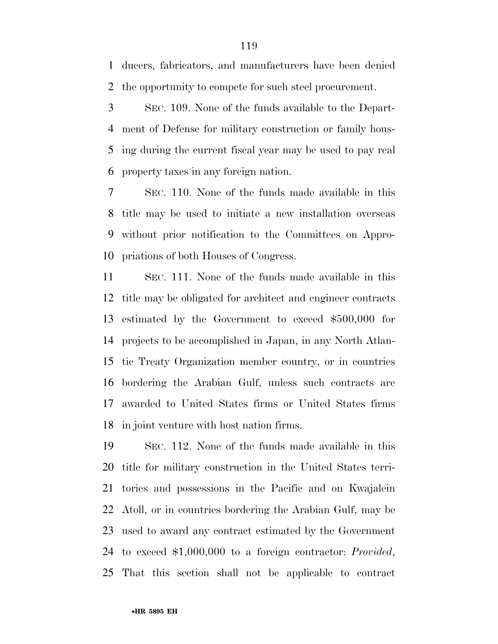ducers, fabricators, and manufacturers have been denied the opportunity to compete for such steel procurement.

 SEC. 109. None of the funds available to the Depart- ment of Defense for military construction or family hous- ing during the current fiscal year may be used to pay real property taxes in any foreign nation.

 SEC. 110. None of the funds made available in this title may be used to initiate a new installation overseas without prior notification to the Committees on Appro-priations of both Houses of Congress.

 SEC. 111. None of the funds made available in this title may be obligated for architect and engineer contracts estimated by the Government to exceed \$500,000 for projects to be accomplished in Japan, in any North Atlan- tic Treaty Organization member country, or in countries bordering the Arabian Gulf, unless such contracts are awarded to United States firms or United States firms in joint venture with host nation firms.

 SEC. 112. None of the funds made available in this title for military construction in the United States terri- tories and possessions in the Pacific and on Kwajalein Atoll, or in countries bordering the Arabian Gulf, may be used to award any contract estimated by the Government to exceed \$1,000,000 to a foreign contractor: *Provided*, That this section shall not be applicable to contract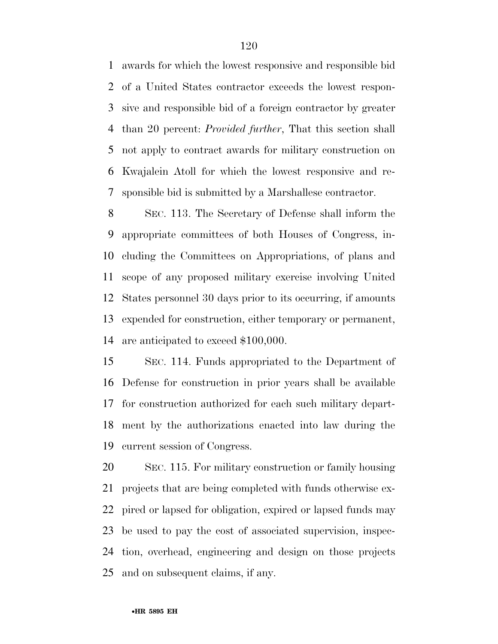awards for which the lowest responsive and responsible bid of a United States contractor exceeds the lowest respon- sive and responsible bid of a foreign contractor by greater than 20 percent: *Provided further*, That this section shall not apply to contract awards for military construction on Kwajalein Atoll for which the lowest responsive and re-sponsible bid is submitted by a Marshallese contractor.

 SEC. 113. The Secretary of Defense shall inform the appropriate committees of both Houses of Congress, in- cluding the Committees on Appropriations, of plans and scope of any proposed military exercise involving United States personnel 30 days prior to its occurring, if amounts expended for construction, either temporary or permanent, are anticipated to exceed \$100,000.

 SEC. 114. Funds appropriated to the Department of Defense for construction in prior years shall be available for construction authorized for each such military depart- ment by the authorizations enacted into law during the current session of Congress.

 SEC. 115. For military construction or family housing projects that are being completed with funds otherwise ex- pired or lapsed for obligation, expired or lapsed funds may be used to pay the cost of associated supervision, inspec- tion, overhead, engineering and design on those projects and on subsequent claims, if any.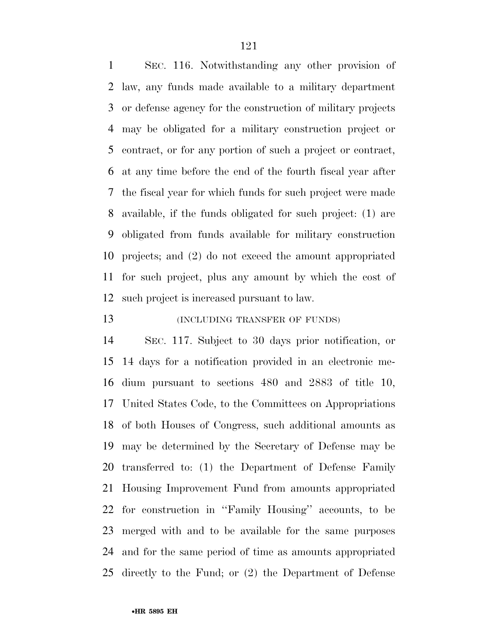SEC. 116. Notwithstanding any other provision of law, any funds made available to a military department or defense agency for the construction of military projects may be obligated for a military construction project or contract, or for any portion of such a project or contract, at any time before the end of the fourth fiscal year after the fiscal year for which funds for such project were made available, if the funds obligated for such project: (1) are obligated from funds available for military construction projects; and (2) do not exceed the amount appropriated for such project, plus any amount by which the cost of such project is increased pursuant to law.

# 13 (INCLUDING TRANSFER OF FUNDS)

 SEC. 117. Subject to 30 days prior notification, or 14 days for a notification provided in an electronic me- dium pursuant to sections 480 and 2883 of title 10, United States Code, to the Committees on Appropriations of both Houses of Congress, such additional amounts as may be determined by the Secretary of Defense may be transferred to: (1) the Department of Defense Family Housing Improvement Fund from amounts appropriated for construction in ''Family Housing'' accounts, to be merged with and to be available for the same purposes and for the same period of time as amounts appropriated directly to the Fund; or (2) the Department of Defense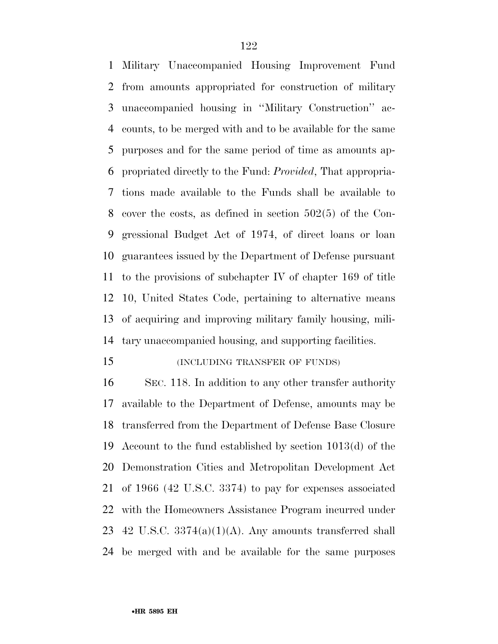Military Unaccompanied Housing Improvement Fund from amounts appropriated for construction of military unaccompanied housing in ''Military Construction'' ac- counts, to be merged with and to be available for the same purposes and for the same period of time as amounts ap- propriated directly to the Fund: *Provided*, That appropria- tions made available to the Funds shall be available to cover the costs, as defined in section 502(5) of the Con- gressional Budget Act of 1974, of direct loans or loan guarantees issued by the Department of Defense pursuant to the provisions of subchapter IV of chapter 169 of title 10, United States Code, pertaining to alternative means of acquiring and improving military family housing, mili-tary unaccompanied housing, and supporting facilities.

#### (INCLUDING TRANSFER OF FUNDS)

 SEC. 118. In addition to any other transfer authority available to the Department of Defense, amounts may be transferred from the Department of Defense Base Closure Account to the fund established by section 1013(d) of the Demonstration Cities and Metropolitan Development Act of 1966 (42 U.S.C. 3374) to pay for expenses associated with the Homeowners Assistance Program incurred under 23 42 U.S.C.  $3374(a)(1)(A)$ . Any amounts transferred shall be merged with and be available for the same purposes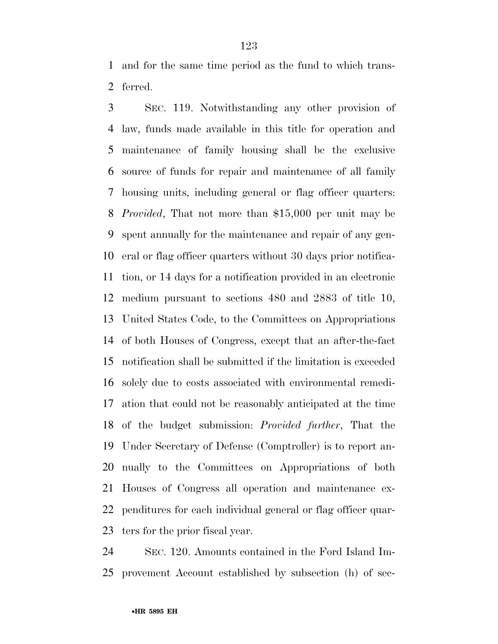and for the same time period as the fund to which trans-ferred.

 SEC. 119. Notwithstanding any other provision of law, funds made available in this title for operation and maintenance of family housing shall be the exclusive source of funds for repair and maintenance of all family housing units, including general or flag officer quarters: *Provided*, That not more than \$15,000 per unit may be spent annually for the maintenance and repair of any gen- eral or flag officer quarters without 30 days prior notifica- tion, or 14 days for a notification provided in an electronic medium pursuant to sections 480 and 2883 of title 10, United States Code, to the Committees on Appropriations of both Houses of Congress, except that an after-the-fact notification shall be submitted if the limitation is exceeded solely due to costs associated with environmental remedi- ation that could not be reasonably anticipated at the time of the budget submission: *Provided further*, That the Under Secretary of Defense (Comptroller) is to report an- nually to the Committees on Appropriations of both Houses of Congress all operation and maintenance ex- penditures for each individual general or flag officer quar-ters for the prior fiscal year.

 SEC. 120. Amounts contained in the Ford Island Im-provement Account established by subsection (h) of sec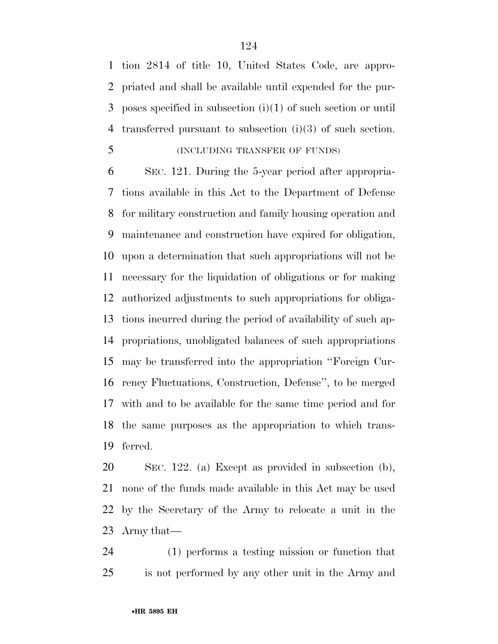tion 2814 of title 10, United States Code, are appro- priated and shall be available until expended for the pur- poses specified in subsection (i)(1) of such section or until transferred pursuant to subsection (i)(3) of such section.

# (INCLUDING TRANSFER OF FUNDS)

 SEC. 121. During the 5-year period after appropria- tions available in this Act to the Department of Defense for military construction and family housing operation and maintenance and construction have expired for obligation, upon a determination that such appropriations will not be necessary for the liquidation of obligations or for making authorized adjustments to such appropriations for obliga- tions incurred during the period of availability of such ap- propriations, unobligated balances of such appropriations may be transferred into the appropriation ''Foreign Cur- rency Fluctuations, Construction, Defense'', to be merged with and to be available for the same time period and for the same purposes as the appropriation to which trans-ferred.

 SEC. 122. (a) Except as provided in subsection (b), none of the funds made available in this Act may be used by the Secretary of the Army to relocate a unit in the Army that—

 (1) performs a testing mission or function that is not performed by any other unit in the Army and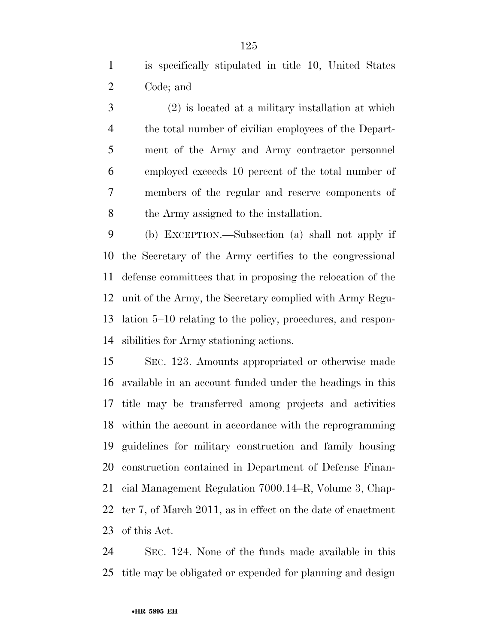is specifically stipulated in title 10, United States Code; and

 (2) is located at a military installation at which the total number of civilian employees of the Depart- ment of the Army and Army contractor personnel employed exceeds 10 percent of the total number of members of the regular and reserve components of the Army assigned to the installation.

 (b) EXCEPTION.—Subsection (a) shall not apply if the Secretary of the Army certifies to the congressional defense committees that in proposing the relocation of the unit of the Army, the Secretary complied with Army Regu- lation 5–10 relating to the policy, procedures, and respon-sibilities for Army stationing actions.

 SEC. 123. Amounts appropriated or otherwise made available in an account funded under the headings in this title may be transferred among projects and activities within the account in accordance with the reprogramming guidelines for military construction and family housing construction contained in Department of Defense Finan- cial Management Regulation 7000.14–R, Volume 3, Chap- ter 7, of March 2011, as in effect on the date of enactment of this Act.

 SEC. 124. None of the funds made available in this title may be obligated or expended for planning and design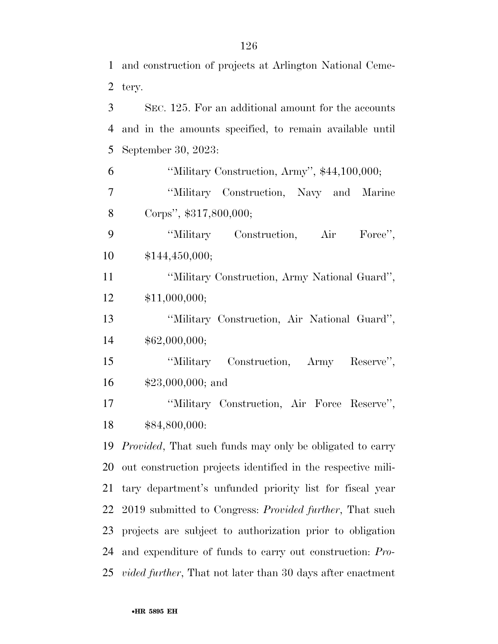and construction of projects at Arlington National Ceme-

|                | 2 tery.                                                 |
|----------------|---------------------------------------------------------|
| 3 <sup>1</sup> | SEC. 125. For an additional amount for the accounts     |
| 4              | and in the amounts specified, to remain available until |
| 5 <sup>1</sup> | September 30, 2023:                                     |
| 6              | "Military Construction, Army", \$44,100,000;            |
| 7              | "Military Construction, Navy and Marine                 |
| 8              | Corps", \$317,800,000;                                  |
| 9              | "Military Construction, Air Force",                     |
| 10             | \$144,450,000;                                          |
| 11             | "Military Construction, Army National Guard",           |
| 12             | \$11,000,000;                                           |

 ''Military Construction, Air National Guard'', \$62,000,000;

 ''Military Construction, Army Reserve'', \$23,000,000; and

 ''Military Construction, Air Force Reserve'', \$84,800,000:

 *Provided*, That such funds may only be obligated to carry out construction projects identified in the respective mili- tary department's unfunded priority list for fiscal year 2019 submitted to Congress: *Provided further*, That such projects are subject to authorization prior to obligation and expenditure of funds to carry out construction: *Pro-vided further*, That not later than 30 days after enactment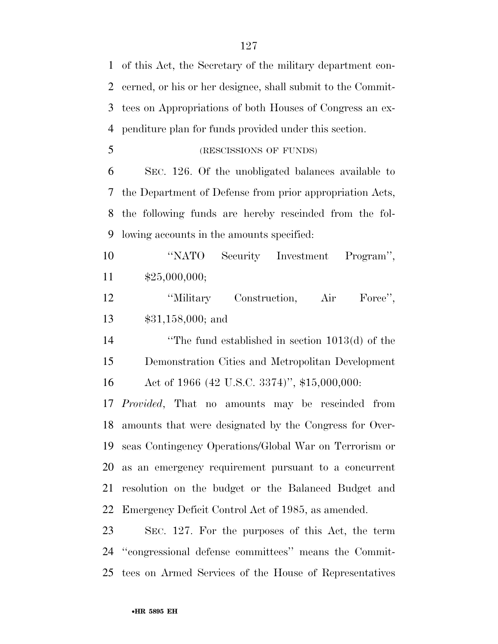of this Act, the Secretary of the military department con- cerned, or his or her designee, shall submit to the Commit- tees on Appropriations of both Houses of Congress an ex- penditure plan for funds provided under this section. (RESCISSIONS OF FUNDS) SEC. 126. Of the unobligated balances available to

 the Department of Defense from prior appropriation Acts, the following funds are hereby rescinded from the fol-lowing accounts in the amounts specified:

 ''NATO Security Investment Program'', \$25,000,000;

12 

<sup>'</sup>Military Construction, Air Force'', \$31,158,000; and

 ''The fund established in section 1013(d) of the Demonstration Cities and Metropolitan Development Act of 1966 (42 U.S.C. 3374)'', \$15,000,000:

 *Provided*, That no amounts may be rescinded from amounts that were designated by the Congress for Over- seas Contingency Operations/Global War on Terrorism or as an emergency requirement pursuant to a concurrent resolution on the budget or the Balanced Budget and Emergency Deficit Control Act of 1985, as amended.

 SEC. 127. For the purposes of this Act, the term ''congressional defense committees'' means the Commit-tees on Armed Services of the House of Representatives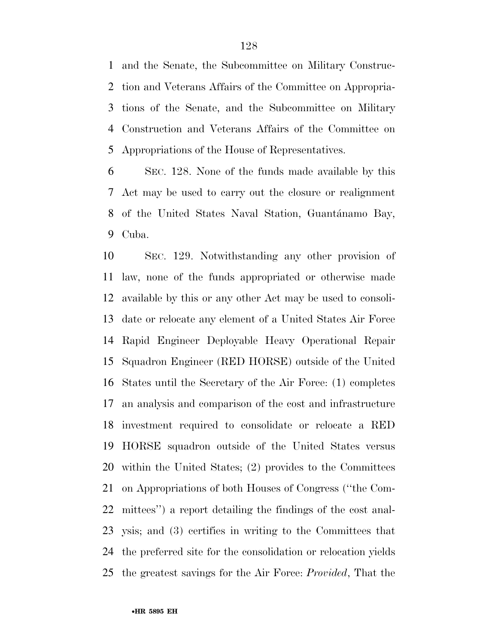and the Senate, the Subcommittee on Military Construc- tion and Veterans Affairs of the Committee on Appropria- tions of the Senate, and the Subcommittee on Military Construction and Veterans Affairs of the Committee on Appropriations of the House of Representatives.

 SEC. 128. None of the funds made available by this Act may be used to carry out the closure or realignment 8 of the United States Naval Station, Guantánamo Bay, Cuba.

 SEC. 129. Notwithstanding any other provision of law, none of the funds appropriated or otherwise made available by this or any other Act may be used to consoli- date or relocate any element of a United States Air Force Rapid Engineer Deployable Heavy Operational Repair Squadron Engineer (RED HORSE) outside of the United States until the Secretary of the Air Force: (1) completes an analysis and comparison of the cost and infrastructure investment required to consolidate or relocate a RED HORSE squadron outside of the United States versus within the United States; (2) provides to the Committees on Appropriations of both Houses of Congress (''the Com- mittees'') a report detailing the findings of the cost anal- ysis; and (3) certifies in writing to the Committees that the preferred site for the consolidation or relocation yields the greatest savings for the Air Force: *Provided*, That the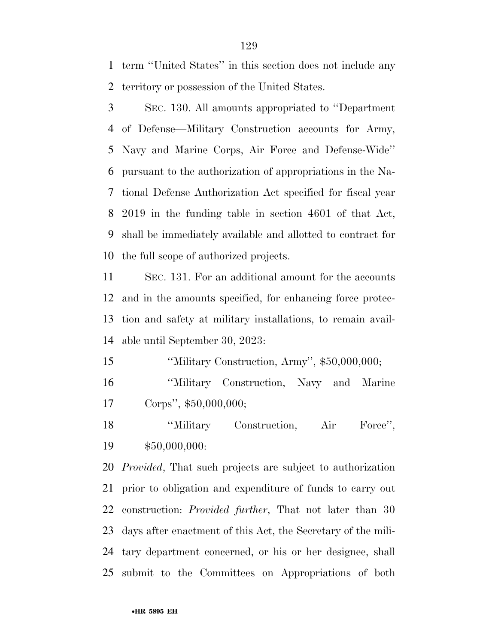term ''United States'' in this section does not include any territory or possession of the United States.

 SEC. 130. All amounts appropriated to ''Department of Defense—Military Construction accounts for Army, Navy and Marine Corps, Air Force and Defense-Wide'' pursuant to the authorization of appropriations in the Na- tional Defense Authorization Act specified for fiscal year 2019 in the funding table in section 4601 of that Act, shall be immediately available and allotted to contract for the full scope of authorized projects.

 SEC. 131. For an additional amount for the accounts and in the amounts specified, for enhancing force protec- tion and safety at military installations, to remain avail-able until September 30, 2023:

''Military Construction, Army'', \$50,000,000;

 ''Military Construction, Navy and Marine Corps'', \$50,000,000;

18 

<sup>'</sup>Military Construction, Air Force'', \$50,000,000:

*Provided*, That such projects are subject to authorization prior to obligation and expenditure of funds to carry out construction: *Provided further*, That not later than 30 days after enactment of this Act, the Secretary of the mili- tary department concerned, or his or her designee, shall submit to the Committees on Appropriations of both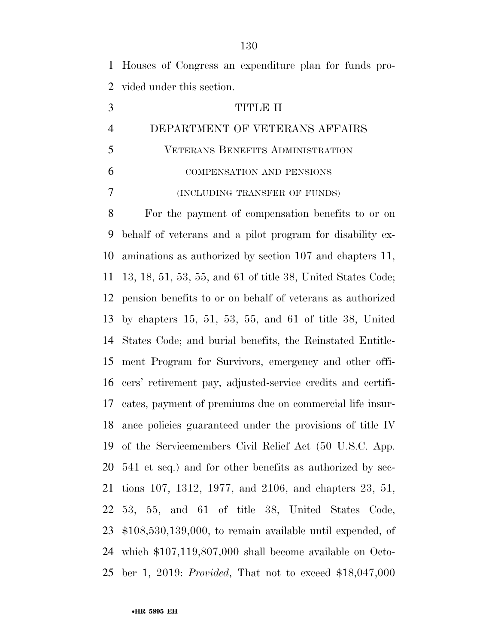Houses of Congress an expenditure plan for funds pro-vided under this section.

- TITLE II DEPARTMENT OF VETERANS AFFAIRS
- VETERANS BENEFITS ADMINISTRATION COMPENSATION AND PENSIONS
- (INCLUDING TRANSFER OF FUNDS)

 For the payment of compensation benefits to or on behalf of veterans and a pilot program for disability ex- aminations as authorized by section 107 and chapters 11, 13, 18, 51, 53, 55, and 61 of title 38, United States Code; pension benefits to or on behalf of veterans as authorized by chapters 15, 51, 53, 55, and 61 of title 38, United States Code; and burial benefits, the Reinstated Entitle- ment Program for Survivors, emergency and other offi- cers' retirement pay, adjusted-service credits and certifi- cates, payment of premiums due on commercial life insur- ance policies guaranteed under the provisions of title IV of the Servicemembers Civil Relief Act (50 U.S.C. App. 541 et seq.) and for other benefits as authorized by sec- tions 107, 1312, 1977, and 2106, and chapters 23, 51, 53, 55, and 61 of title 38, United States Code, \$108,530,139,000, to remain available until expended, of which \$107,119,807,000 shall become available on Octo-ber 1, 2019: *Provided*, That not to exceed \$18,047,000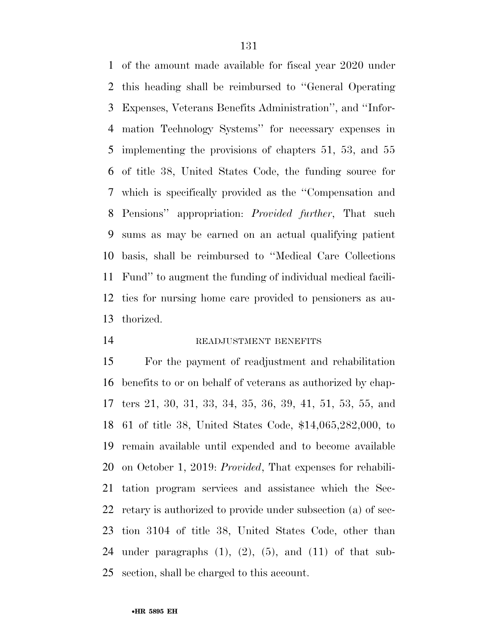of the amount made available for fiscal year 2020 under this heading shall be reimbursed to ''General Operating Expenses, Veterans Benefits Administration'', and ''Infor- mation Technology Systems'' for necessary expenses in implementing the provisions of chapters 51, 53, and 55 of title 38, United States Code, the funding source for which is specifically provided as the ''Compensation and Pensions'' appropriation: *Provided further*, That such sums as may be earned on an actual qualifying patient basis, shall be reimbursed to ''Medical Care Collections Fund'' to augment the funding of individual medical facili- ties for nursing home care provided to pensioners as au-thorized.

14 READJUSTMENT BENEFITS

 For the payment of readjustment and rehabilitation benefits to or on behalf of veterans as authorized by chap- ters 21, 30, 31, 33, 34, 35, 36, 39, 41, 51, 53, 55, and 61 of title 38, United States Code, \$14,065,282,000, to remain available until expended and to become available on October 1, 2019: *Provided*, That expenses for rehabili- tation program services and assistance which the Sec- retary is authorized to provide under subsection (a) of sec- tion 3104 of title 38, United States Code, other than 24 under paragraphs  $(1)$ ,  $(2)$ ,  $(5)$ , and  $(11)$  of that sub-section, shall be charged to this account.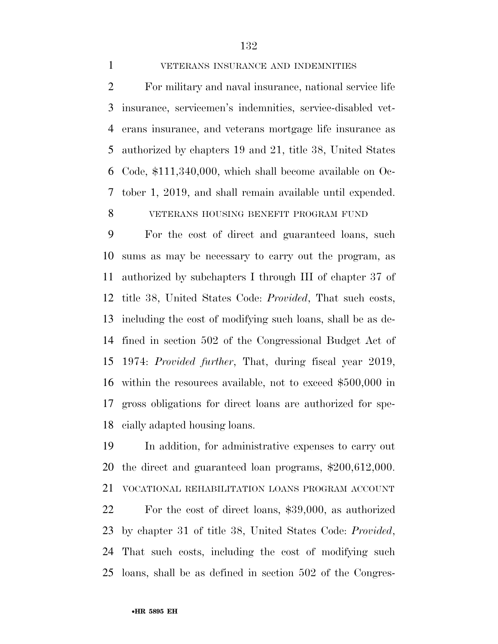#### VETERANS INSURANCE AND INDEMNITIES

 For military and naval insurance, national service life insurance, servicemen's indemnities, service-disabled vet- erans insurance, and veterans mortgage life insurance as authorized by chapters 19 and 21, title 38, United States Code, \$111,340,000, which shall become available on Oc- tober 1, 2019, and shall remain available until expended. VETERANS HOUSING BENEFIT PROGRAM FUND

 For the cost of direct and guaranteed loans, such sums as may be necessary to carry out the program, as authorized by subchapters I through III of chapter 37 of title 38, United States Code: *Provided*, That such costs, including the cost of modifying such loans, shall be as de- fined in section 502 of the Congressional Budget Act of 1974: *Provided further*, That, during fiscal year 2019, within the resources available, not to exceed \$500,000 in gross obligations for direct loans are authorized for spe-cially adapted housing loans.

 In addition, for administrative expenses to carry out the direct and guaranteed loan programs, \$200,612,000. VOCATIONAL REHABILITATION LOANS PROGRAM ACCOUNT For the cost of direct loans, \$39,000, as authorized by chapter 31 of title 38, United States Code: *Provided*, That such costs, including the cost of modifying such loans, shall be as defined in section 502 of the Congres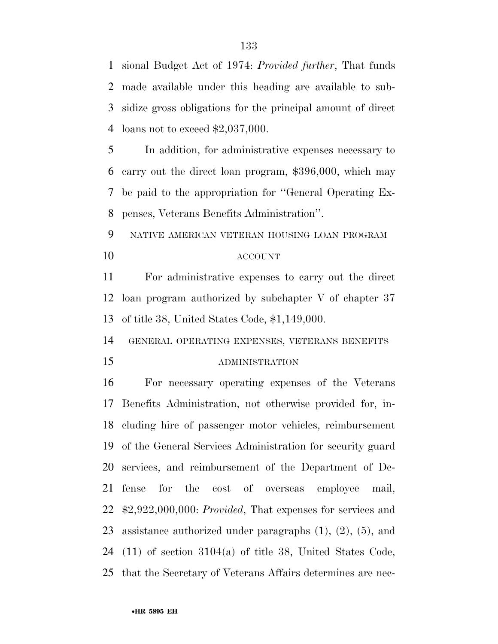sional Budget Act of 1974: *Provided further*, That funds made available under this heading are available to sub- sidize gross obligations for the principal amount of direct loans not to exceed \$2,037,000.

 In addition, for administrative expenses necessary to carry out the direct loan program, \$396,000, which may be paid to the appropriation for ''General Operating Ex-penses, Veterans Benefits Administration''.

 NATIVE AMERICAN VETERAN HOUSING LOAN PROGRAM ACCOUNT

 For administrative expenses to carry out the direct loan program authorized by subchapter V of chapter 37 of title 38, United States Code, \$1,149,000.

GENERAL OPERATING EXPENSES, VETERANS BENEFITS

#### ADMINISTRATION

 For necessary operating expenses of the Veterans Benefits Administration, not otherwise provided for, in- cluding hire of passenger motor vehicles, reimbursement of the General Services Administration for security guard services, and reimbursement of the Department of De- fense for the cost of overseas employee mail, \$2,922,000,000: *Provided*, That expenses for services and assistance authorized under paragraphs (1), (2), (5), and (11) of section 3104(a) of title 38, United States Code, that the Secretary of Veterans Affairs determines are nec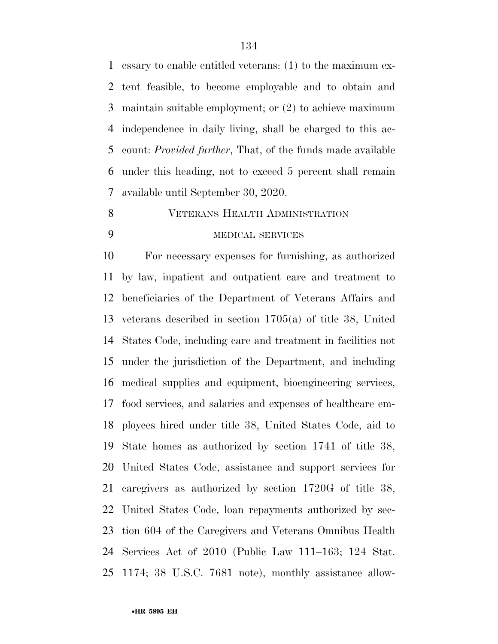essary to enable entitled veterans: (1) to the maximum ex- tent feasible, to become employable and to obtain and maintain suitable employment; or (2) to achieve maximum independence in daily living, shall be charged to this ac- count: *Provided further*, That, of the funds made available under this heading, not to exceed 5 percent shall remain available until September 30, 2020.

#### VETERANS HEALTH ADMINISTRATION

## MEDICAL SERVICES

 For necessary expenses for furnishing, as authorized by law, inpatient and outpatient care and treatment to beneficiaries of the Department of Veterans Affairs and veterans described in section 1705(a) of title 38, United States Code, including care and treatment in facilities not under the jurisdiction of the Department, and including medical supplies and equipment, bioengineering services, food services, and salaries and expenses of healthcare em- ployees hired under title 38, United States Code, aid to State homes as authorized by section 1741 of title 38, United States Code, assistance and support services for caregivers as authorized by section 1720G of title 38, United States Code, loan repayments authorized by sec- tion 604 of the Caregivers and Veterans Omnibus Health Services Act of 2010 (Public Law 111–163; 124 Stat. 1174; 38 U.S.C. 7681 note), monthly assistance allow-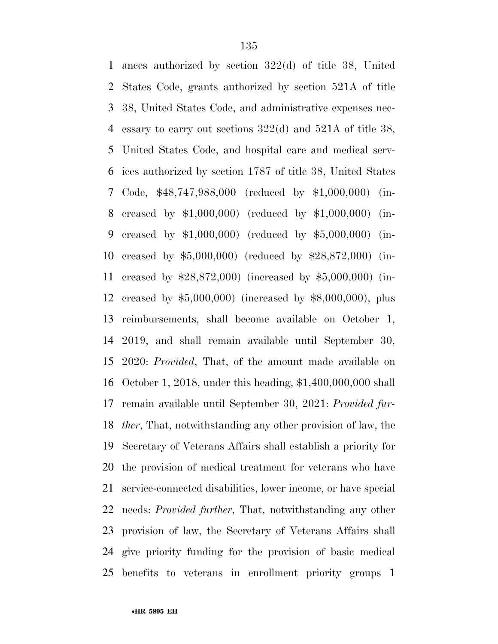ances authorized by section 322(d) of title 38, United States Code, grants authorized by section 521A of title 38, United States Code, and administrative expenses nec- essary to carry out sections 322(d) and 521A of title 38, United States Code, and hospital care and medical serv- ices authorized by section 1787 of title 38, United States Code, \$48,747,988,000 (reduced by \$1,000,000) (in- creased by \$1,000,000) (reduced by \$1,000,000) (in- creased by \$1,000,000) (reduced by \$5,000,000) (in- creased by \$5,000,000) (reduced by \$28,872,000) (in- creased by \$28,872,000) (increased by \$5,000,000) (in- creased by \$5,000,000) (increased by \$8,000,000), plus reimbursements, shall become available on October 1, 2019, and shall remain available until September 30, 2020: *Provided*, That, of the amount made available on October 1, 2018, under this heading, \$1,400,000,000 shall remain available until September 30, 2021: *Provided fur- ther*, That, notwithstanding any other provision of law, the Secretary of Veterans Affairs shall establish a priority for the provision of medical treatment for veterans who have service-connected disabilities, lower income, or have special needs: *Provided further*, That, notwithstanding any other provision of law, the Secretary of Veterans Affairs shall give priority funding for the provision of basic medical benefits to veterans in enrollment priority groups 1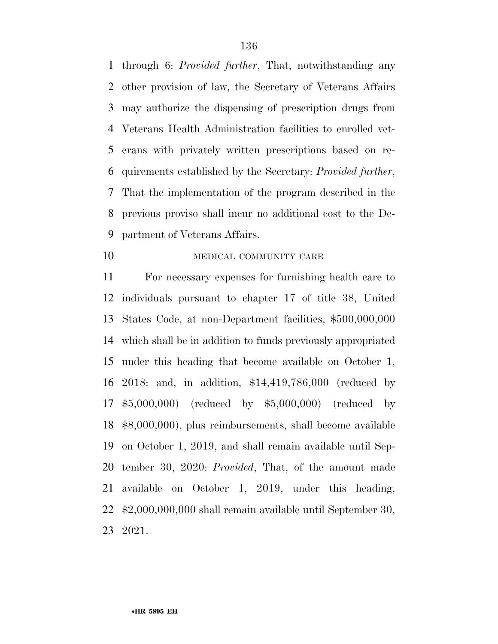through 6: *Provided further*, That, notwithstanding any other provision of law, the Secretary of Veterans Affairs may authorize the dispensing of prescription drugs from Veterans Health Administration facilities to enrolled vet- erans with privately written prescriptions based on re- quirements established by the Secretary: *Provided further*, That the implementation of the program described in the previous proviso shall incur no additional cost to the De-partment of Veterans Affairs.

10 MEDICAL COMMUNITY CARE

 For necessary expenses for furnishing health care to individuals pursuant to chapter 17 of title 38, United States Code, at non-Department facilities, \$500,000,000 which shall be in addition to funds previously appropriated under this heading that become available on October 1, 2018: and, in addition, \$14,419,786,000 (reduced by \$5,000,000) (reduced by \$5,000,000) (reduced by \$8,000,000), plus reimbursements, shall become available on October 1, 2019, and shall remain available until Sep- tember 30, 2020: *Provided*, That, of the amount made available on October 1, 2019, under this heading, \$2,000,000,000 shall remain available until September 30, 2021.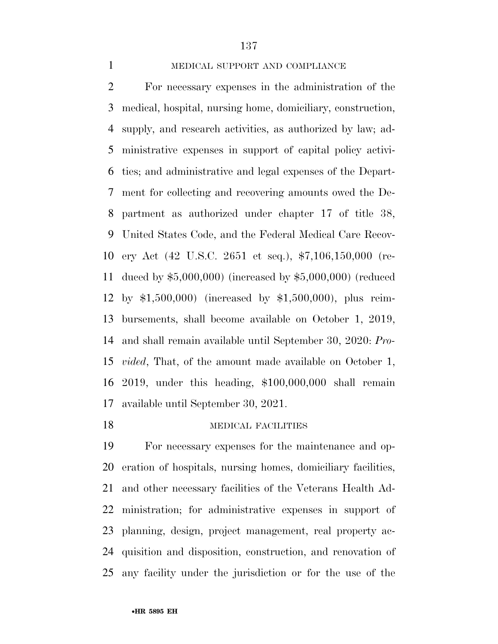#### MEDICAL SUPPORT AND COMPLIANCE

 For necessary expenses in the administration of the medical, hospital, nursing home, domiciliary, construction, supply, and research activities, as authorized by law; ad- ministrative expenses in support of capital policy activi- ties; and administrative and legal expenses of the Depart- ment for collecting and recovering amounts owed the De- partment as authorized under chapter 17 of title 38, United States Code, and the Federal Medical Care Recov- ery Act (42 U.S.C. 2651 et seq.), \$7,106,150,000 (re- duced by \$5,000,000) (increased by \$5,000,000) (reduced by \$1,500,000) (increased by \$1,500,000), plus reim- bursements, shall become available on October 1, 2019, and shall remain available until September 30, 2020: *Pro- vided*, That, of the amount made available on October 1, 2019, under this heading, \$100,000,000 shall remain available until September 30, 2021.

### 18 MEDICAL FACILITIES

 For necessary expenses for the maintenance and op- eration of hospitals, nursing homes, domiciliary facilities, and other necessary facilities of the Veterans Health Ad- ministration; for administrative expenses in support of planning, design, project management, real property ac- quisition and disposition, construction, and renovation of any facility under the jurisdiction or for the use of the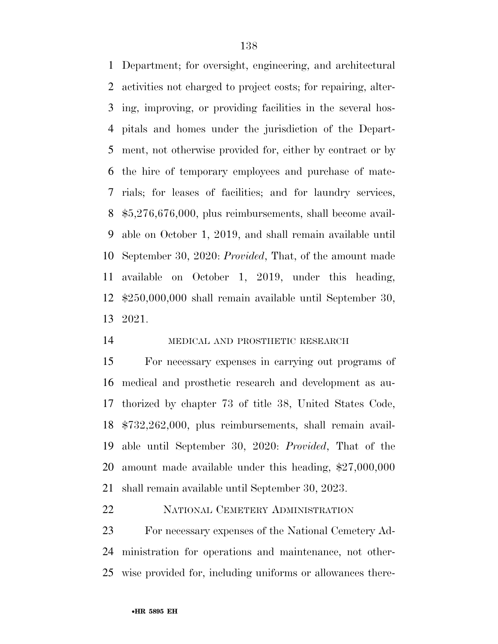Department; for oversight, engineering, and architectural activities not charged to project costs; for repairing, alter- ing, improving, or providing facilities in the several hos- pitals and homes under the jurisdiction of the Depart- ment, not otherwise provided for, either by contract or by the hire of temporary employees and purchase of mate- rials; for leases of facilities; and for laundry services, \$5,276,676,000, plus reimbursements, shall become avail- able on October 1, 2019, and shall remain available until September 30, 2020: *Provided*, That, of the amount made available on October 1, 2019, under this heading, \$250,000,000 shall remain available until September 30, 2021.

# MEDICAL AND PROSTHETIC RESEARCH

 For necessary expenses in carrying out programs of medical and prosthetic research and development as au- thorized by chapter 73 of title 38, United States Code, \$732,262,000, plus reimbursements, shall remain avail- able until September 30, 2020: *Provided*, That of the amount made available under this heading, \$27,000,000 shall remain available until September 30, 2023.

#### NATIONAL CEMETERY ADMINISTRATION

 For necessary expenses of the National Cemetery Ad- ministration for operations and maintenance, not other-wise provided for, including uniforms or allowances there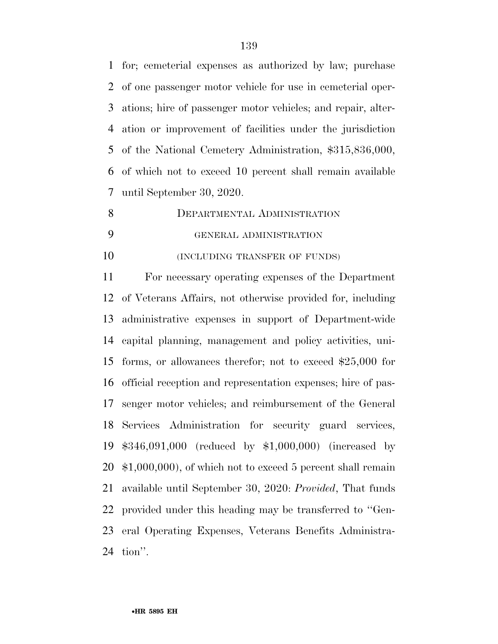for; cemeterial expenses as authorized by law; purchase of one passenger motor vehicle for use in cemeterial oper- ations; hire of passenger motor vehicles; and repair, alter- ation or improvement of facilities under the jurisdiction of the National Cemetery Administration, \$315,836,000, of which not to exceed 10 percent shall remain available until September 30, 2020.

8 DEPARTMENTAL ADMINISTRATION GENERAL ADMINISTRATION

**(INCLUDING TRANSFER OF FUNDS)** 

 For necessary operating expenses of the Department of Veterans Affairs, not otherwise provided for, including administrative expenses in support of Department-wide capital planning, management and policy activities, uni- forms, or allowances therefor; not to exceed \$25,000 for official reception and representation expenses; hire of pas- senger motor vehicles; and reimbursement of the General Services Administration for security guard services, \$346,091,000 (reduced by \$1,000,000) (increased by \$1,000,000), of which not to exceed 5 percent shall remain available until September 30, 2020: *Provided*, That funds provided under this heading may be transferred to ''Gen- eral Operating Expenses, Veterans Benefits Administra-tion''.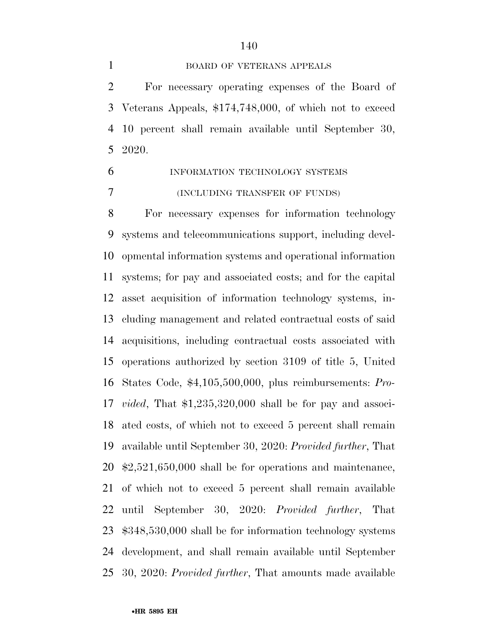#### BOARD OF VETERANS APPEALS

 For necessary operating expenses of the Board of Veterans Appeals, \$174,748,000, of which not to exceed 10 percent shall remain available until September 30, 2020.

 INFORMATION TECHNOLOGY SYSTEMS (INCLUDING TRANSFER OF FUNDS)

 For necessary expenses for information technology systems and telecommunications support, including devel- opmental information systems and operational information systems; for pay and associated costs; and for the capital asset acquisition of information technology systems, in- cluding management and related contractual costs of said acquisitions, including contractual costs associated with operations authorized by section 3109 of title 5, United States Code, \$4,105,500,000, plus reimbursements: *Pro- vided*, That \$1,235,320,000 shall be for pay and associ- ated costs, of which not to exceed 5 percent shall remain available until September 30, 2020: *Provided further*, That \$2,521,650,000 shall be for operations and maintenance, of which not to exceed 5 percent shall remain available until September 30, 2020: *Provided further*, That \$348,530,000 shall be for information technology systems development, and shall remain available until September 30, 2020: *Provided further*, That amounts made available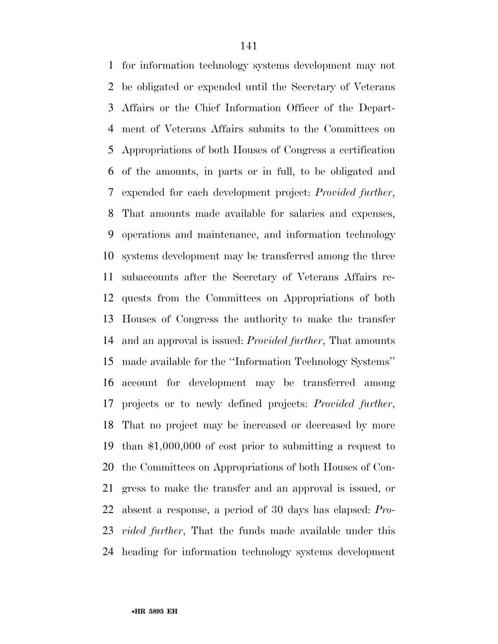for information technology systems development may not be obligated or expended until the Secretary of Veterans Affairs or the Chief Information Officer of the Depart- ment of Veterans Affairs submits to the Committees on Appropriations of both Houses of Congress a certification of the amounts, in parts or in full, to be obligated and expended for each development project: *Provided further*, That amounts made available for salaries and expenses, operations and maintenance, and information technology systems development may be transferred among the three subaccounts after the Secretary of Veterans Affairs re- quests from the Committees on Appropriations of both Houses of Congress the authority to make the transfer and an approval is issued: *Provided further*, That amounts made available for the ''Information Technology Systems'' account for development may be transferred among projects or to newly defined projects: *Provided further*, That no project may be increased or decreased by more than \$1,000,000 of cost prior to submitting a request to the Committees on Appropriations of both Houses of Con- gress to make the transfer and an approval is issued, or absent a response, a period of 30 days has elapsed: *Pro- vided further*, That the funds made available under this heading for information technology systems development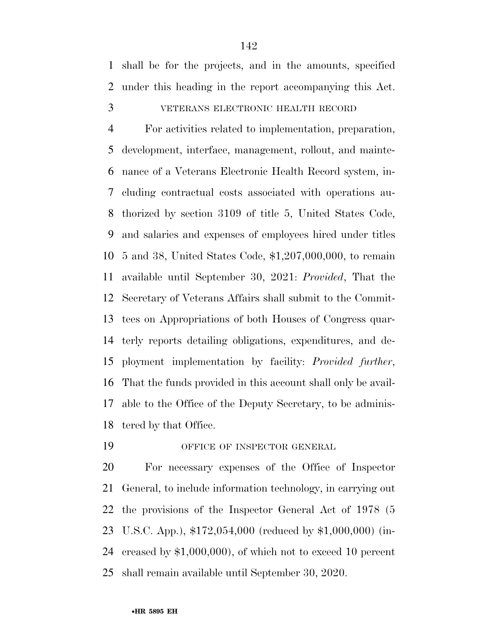shall be for the projects, and in the amounts, specified under this heading in the report accompanying this Act.

VETERANS ELECTRONIC HEALTH RECORD

 For activities related to implementation, preparation, development, interface, management, rollout, and mainte- nance of a Veterans Electronic Health Record system, in- cluding contractual costs associated with operations au- thorized by section 3109 of title 5, United States Code, and salaries and expenses of employees hired under titles 5 and 38, United States Code, \$1,207,000,000, to remain available until September 30, 2021: *Provided*, That the Secretary of Veterans Affairs shall submit to the Commit- tees on Appropriations of both Houses of Congress quar- terly reports detailing obligations, expenditures, and de- ployment implementation by facility: *Provided further*, That the funds provided in this account shall only be avail- able to the Office of the Deputy Secretary, to be adminis-tered by that Office.

OFFICE OF INSPECTOR GENERAL

 For necessary expenses of the Office of Inspector General, to include information technology, in carrying out the provisions of the Inspector General Act of 1978 (5 U.S.C. App.), \$172,054,000 (reduced by \$1,000,000) (in- creased by \$1,000,000), of which not to exceed 10 percent shall remain available until September 30, 2020.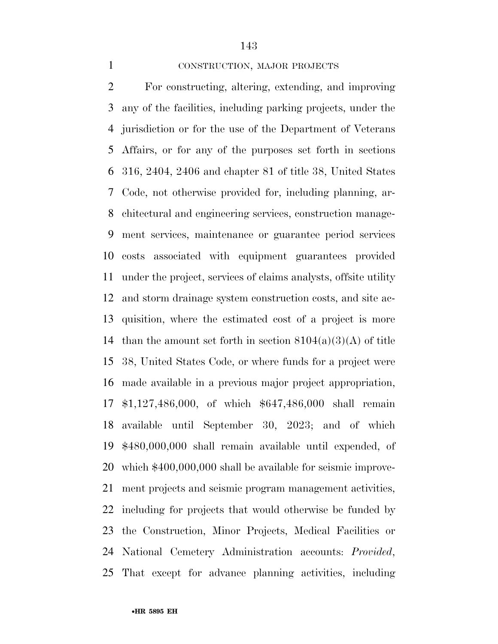#### CONSTRUCTION, MAJOR PROJECTS

 For constructing, altering, extending, and improving any of the facilities, including parking projects, under the jurisdiction or for the use of the Department of Veterans Affairs, or for any of the purposes set forth in sections 316, 2404, 2406 and chapter 81 of title 38, United States Code, not otherwise provided for, including planning, ar- chitectural and engineering services, construction manage- ment services, maintenance or guarantee period services costs associated with equipment guarantees provided under the project, services of claims analysts, offsite utility and storm drainage system construction costs, and site ac- quisition, where the estimated cost of a project is more 14 than the amount set forth in section  $8104(a)(3)(A)$  of title 38, United States Code, or where funds for a project were made available in a previous major project appropriation, \$1,127,486,000, of which \$647,486,000 shall remain available until September 30, 2023; and of which \$480,000,000 shall remain available until expended, of which \$400,000,000 shall be available for seismic improve- ment projects and seismic program management activities, including for projects that would otherwise be funded by the Construction, Minor Projects, Medical Facilities or National Cemetery Administration accounts: *Provided*, That except for advance planning activities, including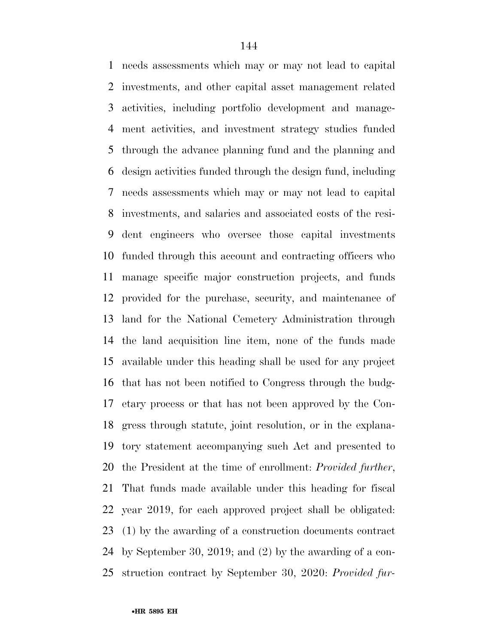needs assessments which may or may not lead to capital investments, and other capital asset management related activities, including portfolio development and manage- ment activities, and investment strategy studies funded through the advance planning fund and the planning and design activities funded through the design fund, including needs assessments which may or may not lead to capital investments, and salaries and associated costs of the resi- dent engineers who oversee those capital investments funded through this account and contracting officers who manage specific major construction projects, and funds provided for the purchase, security, and maintenance of land for the National Cemetery Administration through the land acquisition line item, none of the funds made available under this heading shall be used for any project that has not been notified to Congress through the budg- etary process or that has not been approved by the Con- gress through statute, joint resolution, or in the explana- tory statement accompanying such Act and presented to the President at the time of enrollment: *Provided further*, That funds made available under this heading for fiscal year 2019, for each approved project shall be obligated: (1) by the awarding of a construction documents contract by September 30, 2019; and (2) by the awarding of a con-struction contract by September 30, 2020: *Provided fur-*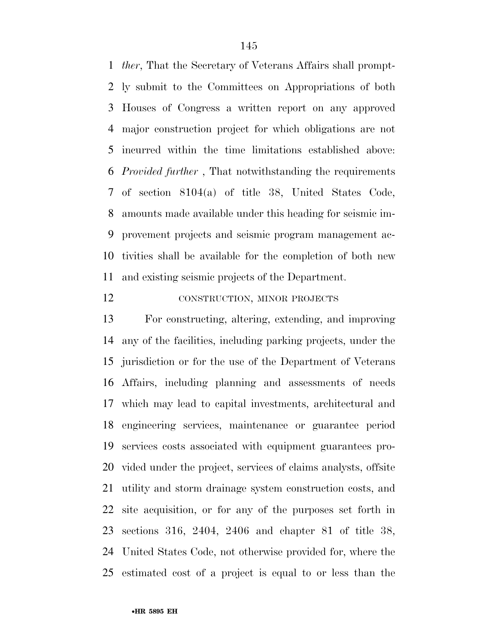*ther*, That the Secretary of Veterans Affairs shall prompt- ly submit to the Committees on Appropriations of both Houses of Congress a written report on any approved major construction project for which obligations are not incurred within the time limitations established above: *Provided further* , That notwithstanding the requirements of section 8104(a) of title 38, United States Code, amounts made available under this heading for seismic im- provement projects and seismic program management ac- tivities shall be available for the completion of both new and existing seismic projects of the Department.

### CONSTRUCTION, MINOR PROJECTS

 For constructing, altering, extending, and improving any of the facilities, including parking projects, under the jurisdiction or for the use of the Department of Veterans Affairs, including planning and assessments of needs which may lead to capital investments, architectural and engineering services, maintenance or guarantee period services costs associated with equipment guarantees pro- vided under the project, services of claims analysts, offsite utility and storm drainage system construction costs, and site acquisition, or for any of the purposes set forth in sections 316, 2404, 2406 and chapter 81 of title 38, United States Code, not otherwise provided for, where the estimated cost of a project is equal to or less than the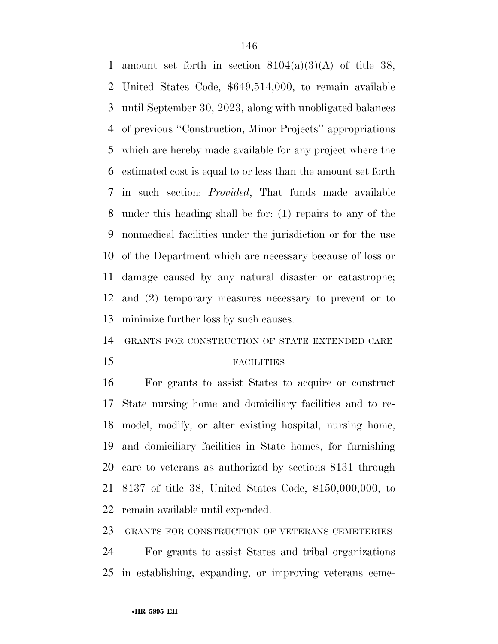1 amount set forth in section  $8104(a)(3)(A)$  of title 38, United States Code, \$649,514,000, to remain available until September 30, 2023, along with unobligated balances of previous ''Construction, Minor Projects'' appropriations which are hereby made available for any project where the estimated cost is equal to or less than the amount set forth in such section: *Provided*, That funds made available under this heading shall be for: (1) repairs to any of the nonmedical facilities under the jurisdiction or for the use of the Department which are necessary because of loss or damage caused by any natural disaster or catastrophe; and (2) temporary measures necessary to prevent or to minimize further loss by such causes.

GRANTS FOR CONSTRUCTION OF STATE EXTENDED CARE

### FACILITIES

 For grants to assist States to acquire or construct State nursing home and domiciliary facilities and to re- model, modify, or alter existing hospital, nursing home, and domiciliary facilities in State homes, for furnishing care to veterans as authorized by sections 8131 through 8137 of title 38, United States Code, \$150,000,000, to remain available until expended.

GRANTS FOR CONSTRUCTION OF VETERANS CEMETERIES

 For grants to assist States and tribal organizations in establishing, expanding, or improving veterans ceme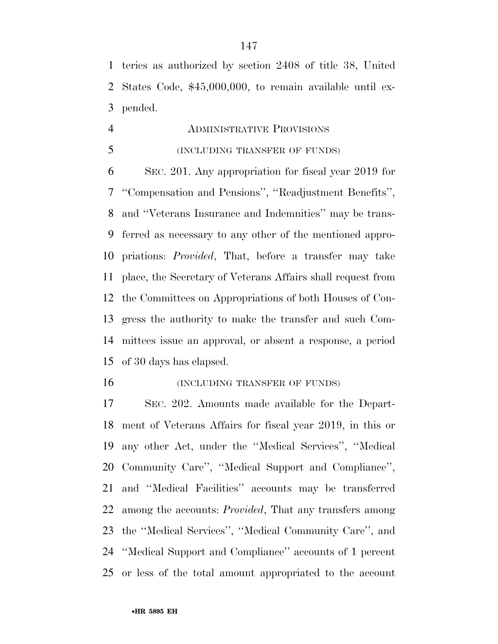teries as authorized by section 2408 of title 38, United States Code, \$45,000,000, to remain available until ex-pended.

 ADMINISTRATIVE PROVISIONS (INCLUDING TRANSFER OF FUNDS)

 SEC. 201. Any appropriation for fiscal year 2019 for ''Compensation and Pensions'', ''Readjustment Benefits'', and ''Veterans Insurance and Indemnities'' may be trans- ferred as necessary to any other of the mentioned appro- priations: *Provided*, That, before a transfer may take place, the Secretary of Veterans Affairs shall request from the Committees on Appropriations of both Houses of Con- gress the authority to make the transfer and such Com- mittees issue an approval, or absent a response, a period of 30 days has elapsed.

**(INCLUDING TRANSFER OF FUNDS)** 

 SEC. 202. Amounts made available for the Depart- ment of Veterans Affairs for fiscal year 2019, in this or any other Act, under the ''Medical Services'', ''Medical Community Care'', ''Medical Support and Compliance'', and ''Medical Facilities'' accounts may be transferred among the accounts: *Provided*, That any transfers among the ''Medical Services'', ''Medical Community Care'', and ''Medical Support and Compliance'' accounts of 1 percent or less of the total amount appropriated to the account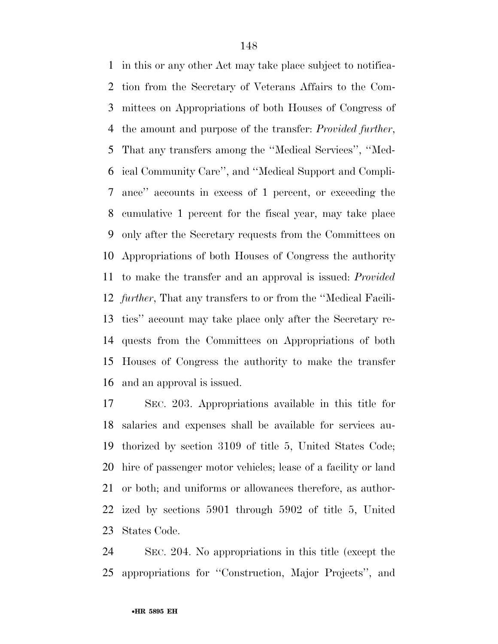in this or any other Act may take place subject to notifica- tion from the Secretary of Veterans Affairs to the Com- mittees on Appropriations of both Houses of Congress of the amount and purpose of the transfer: *Provided further*, That any transfers among the ''Medical Services'', ''Med- ical Community Care'', and ''Medical Support and Compli- ance'' accounts in excess of 1 percent, or exceeding the cumulative 1 percent for the fiscal year, may take place only after the Secretary requests from the Committees on Appropriations of both Houses of Congress the authority to make the transfer and an approval is issued: *Provided further*, That any transfers to or from the ''Medical Facili- ties'' account may take place only after the Secretary re- quests from the Committees on Appropriations of both Houses of Congress the authority to make the transfer and an approval is issued.

 SEC. 203. Appropriations available in this title for salaries and expenses shall be available for services au- thorized by section 3109 of title 5, United States Code; hire of passenger motor vehicles; lease of a facility or land or both; and uniforms or allowances therefore, as author- ized by sections 5901 through 5902 of title 5, United States Code.

 SEC. 204. No appropriations in this title (except the appropriations for ''Construction, Major Projects'', and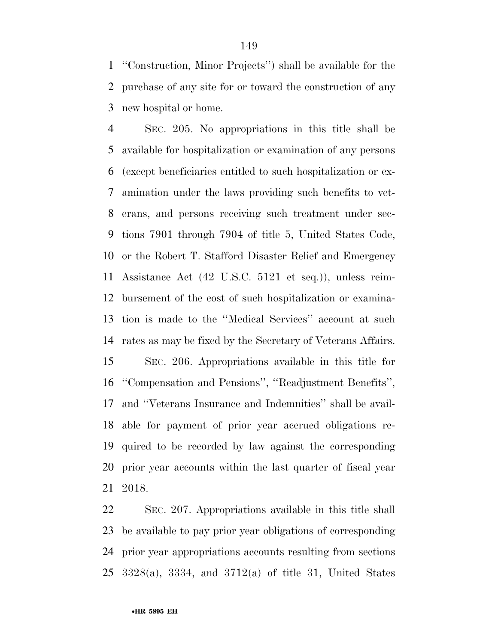''Construction, Minor Projects'') shall be available for the purchase of any site for or toward the construction of any new hospital or home.

 SEC. 205. No appropriations in this title shall be available for hospitalization or examination of any persons (except beneficiaries entitled to such hospitalization or ex- amination under the laws providing such benefits to vet- erans, and persons receiving such treatment under sec- tions 7901 through 7904 of title 5, United States Code, or the Robert T. Stafford Disaster Relief and Emergency Assistance Act (42 U.S.C. 5121 et seq.)), unless reim- bursement of the cost of such hospitalization or examina- tion is made to the ''Medical Services'' account at such rates as may be fixed by the Secretary of Veterans Affairs. SEC. 206. Appropriations available in this title for ''Compensation and Pensions'', ''Readjustment Benefits'', and ''Veterans Insurance and Indemnities'' shall be avail- able for payment of prior year accrued obligations re- quired to be recorded by law against the corresponding prior year accounts within the last quarter of fiscal year 2018.

 SEC. 207. Appropriations available in this title shall be available to pay prior year obligations of corresponding prior year appropriations accounts resulting from sections 3328(a), 3334, and 3712(a) of title 31, United States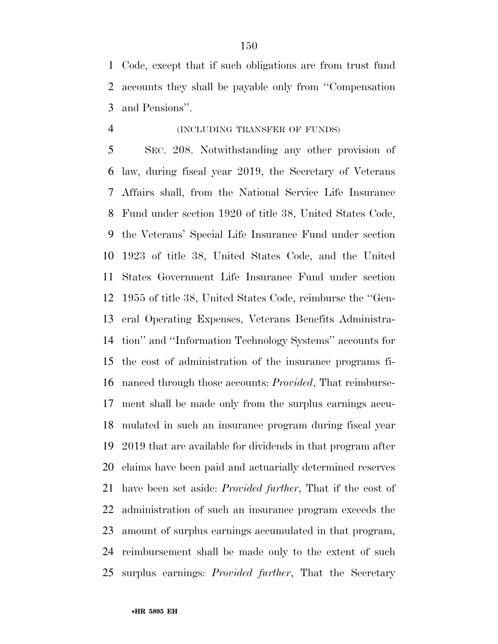Code, except that if such obligations are from trust fund accounts they shall be payable only from ''Compensation and Pensions''.

## (INCLUDING TRANSFER OF FUNDS)

 SEC. 208. Notwithstanding any other provision of law, during fiscal year 2019, the Secretary of Veterans Affairs shall, from the National Service Life Insurance Fund under section 1920 of title 38, United States Code, the Veterans' Special Life Insurance Fund under section 1923 of title 38, United States Code, and the United States Government Life Insurance Fund under section 1955 of title 38, United States Code, reimburse the ''Gen- eral Operating Expenses, Veterans Benefits Administra- tion'' and ''Information Technology Systems'' accounts for the cost of administration of the insurance programs fi- nanced through those accounts: *Provided*, That reimburse- ment shall be made only from the surplus earnings accu- mulated in such an insurance program during fiscal year 2019 that are available for dividends in that program after claims have been paid and actuarially determined reserves have been set aside: *Provided further*, That if the cost of administration of such an insurance program exceeds the amount of surplus earnings accumulated in that program, reimbursement shall be made only to the extent of such surplus earnings: *Provided further*, That the Secretary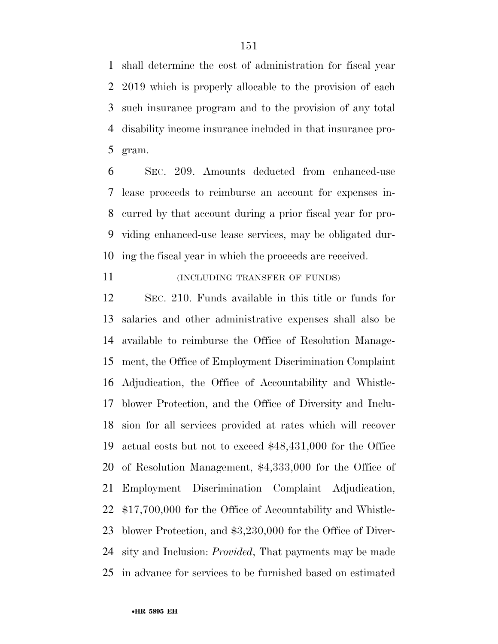shall determine the cost of administration for fiscal year 2019 which is properly allocable to the provision of each such insurance program and to the provision of any total disability income insurance included in that insurance pro-gram.

 SEC. 209. Amounts deducted from enhanced-use lease proceeds to reimburse an account for expenses in- curred by that account during a prior fiscal year for pro- viding enhanced-use lease services, may be obligated dur-ing the fiscal year in which the proceeds are received.

11 (INCLUDING TRANSFER OF FUNDS)

 SEC. 210. Funds available in this title or funds for salaries and other administrative expenses shall also be available to reimburse the Office of Resolution Manage- ment, the Office of Employment Discrimination Complaint Adjudication, the Office of Accountability and Whistle- blower Protection, and the Office of Diversity and Inclu- sion for all services provided at rates which will recover actual costs but not to exceed \$48,431,000 for the Office of Resolution Management, \$4,333,000 for the Office of Employment Discrimination Complaint Adjudication, \$17,700,000 for the Office of Accountability and Whistle- blower Protection, and \$3,230,000 for the Office of Diver- sity and Inclusion: *Provided*, That payments may be made in advance for services to be furnished based on estimated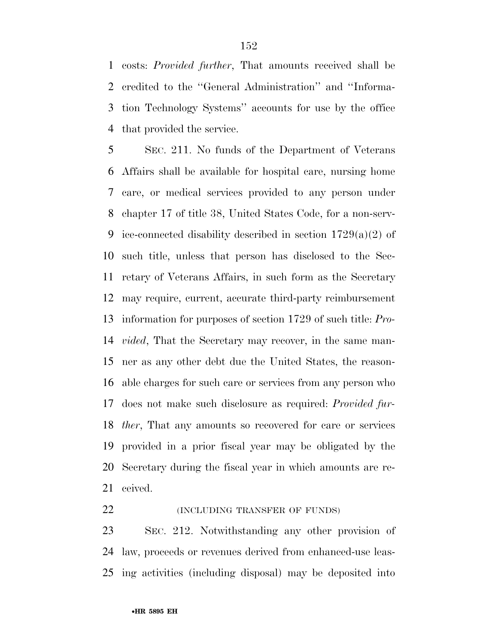costs: *Provided further*, That amounts received shall be credited to the ''General Administration'' and ''Informa- tion Technology Systems'' accounts for use by the office that provided the service.

 SEC. 211. No funds of the Department of Veterans Affairs shall be available for hospital care, nursing home care, or medical services provided to any person under chapter 17 of title 38, United States Code, for a non-serv-9 ice-connected disability described in section  $1729(a)(2)$  of such title, unless that person has disclosed to the Sec- retary of Veterans Affairs, in such form as the Secretary may require, current, accurate third-party reimbursement information for purposes of section 1729 of such title: *Pro- vided*, That the Secretary may recover, in the same man- ner as any other debt due the United States, the reason- able charges for such care or services from any person who does not make such disclosure as required: *Provided fur- ther*, That any amounts so recovered for care or services provided in a prior fiscal year may be obligated by the Secretary during the fiscal year in which amounts are re-ceived.

**(INCLUDING TRANSFER OF FUNDS)** 

 SEC. 212. Notwithstanding any other provision of law, proceeds or revenues derived from enhanced-use leas-ing activities (including disposal) may be deposited into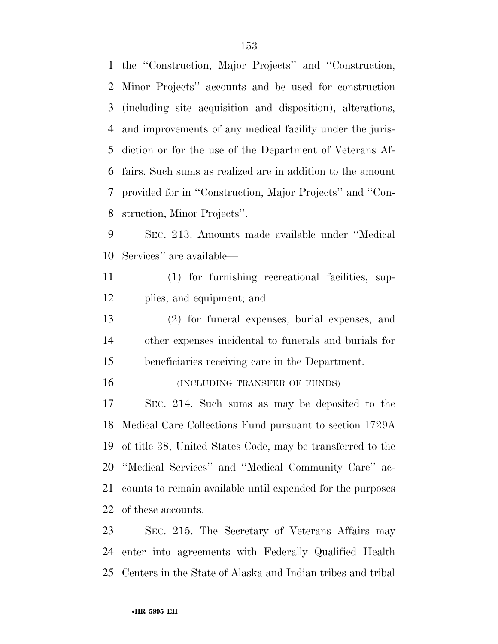the ''Construction, Major Projects'' and ''Construction, Minor Projects'' accounts and be used for construction (including site acquisition and disposition), alterations, and improvements of any medical facility under the juris- diction or for the use of the Department of Veterans Af- fairs. Such sums as realized are in addition to the amount provided for in ''Construction, Major Projects'' and ''Con-struction, Minor Projects''.

 SEC. 213. Amounts made available under ''Medical Services'' are available—

 (1) for furnishing recreational facilities, sup-plies, and equipment; and

 (2) for funeral expenses, burial expenses, and other expenses incidental to funerals and burials for beneficiaries receiving care in the Department.

16 (INCLUDING TRANSFER OF FUNDS)

 SEC. 214. Such sums as may be deposited to the Medical Care Collections Fund pursuant to section 1729A of title 38, United States Code, may be transferred to the ''Medical Services'' and ''Medical Community Care'' ac- counts to remain available until expended for the purposes of these accounts.

 SEC. 215. The Secretary of Veterans Affairs may enter into agreements with Federally Qualified Health Centers in the State of Alaska and Indian tribes and tribal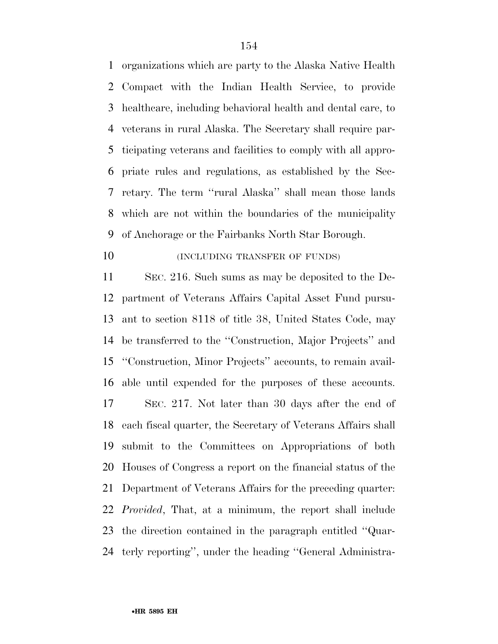organizations which are party to the Alaska Native Health Compact with the Indian Health Service, to provide healthcare, including behavioral health and dental care, to veterans in rural Alaska. The Secretary shall require par- ticipating veterans and facilities to comply with all appro- priate rules and regulations, as established by the Sec- retary. The term ''rural Alaska'' shall mean those lands which are not within the boundaries of the municipality of Anchorage or the Fairbanks North Star Borough.

**(INCLUDING TRANSFER OF FUNDS)** 

 SEC. 216. Such sums as may be deposited to the De- partment of Veterans Affairs Capital Asset Fund pursu- ant to section 8118 of title 38, United States Code, may be transferred to the ''Construction, Major Projects'' and ''Construction, Minor Projects'' accounts, to remain avail- able until expended for the purposes of these accounts. SEC. 217. Not later than 30 days after the end of each fiscal quarter, the Secretary of Veterans Affairs shall submit to the Committees on Appropriations of both Houses of Congress a report on the financial status of the Department of Veterans Affairs for the preceding quarter: *Provided*, That, at a minimum, the report shall include the direction contained in the paragraph entitled ''Quar-terly reporting'', under the heading ''General Administra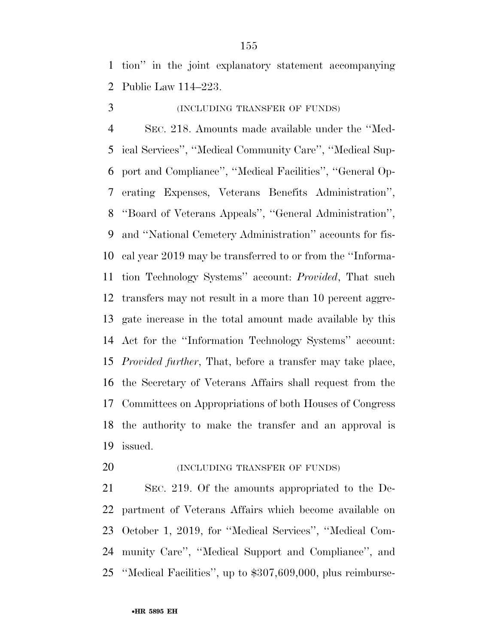tion'' in the joint explanatory statement accompanying Public Law 114–223.

(INCLUDING TRANSFER OF FUNDS)

 SEC. 218. Amounts made available under the ''Med- ical Services'', ''Medical Community Care'', ''Medical Sup- port and Compliance'', ''Medical Facilities'', ''General Op- erating Expenses, Veterans Benefits Administration'', ''Board of Veterans Appeals'', ''General Administration'', and ''National Cemetery Administration'' accounts for fis- cal year 2019 may be transferred to or from the ''Informa- tion Technology Systems'' account: *Provided*, That such transfers may not result in a more than 10 percent aggre- gate increase in the total amount made available by this Act for the ''Information Technology Systems'' account: *Provided further*, That, before a transfer may take place, the Secretary of Veterans Affairs shall request from the Committees on Appropriations of both Houses of Congress the authority to make the transfer and an approval is issued.

**(INCLUDING TRANSFER OF FUNDS)** 

 SEC. 219. Of the amounts appropriated to the De- partment of Veterans Affairs which become available on October 1, 2019, for ''Medical Services'', ''Medical Com- munity Care'', ''Medical Support and Compliance'', and ''Medical Facilities'', up to \$307,609,000, plus reimburse-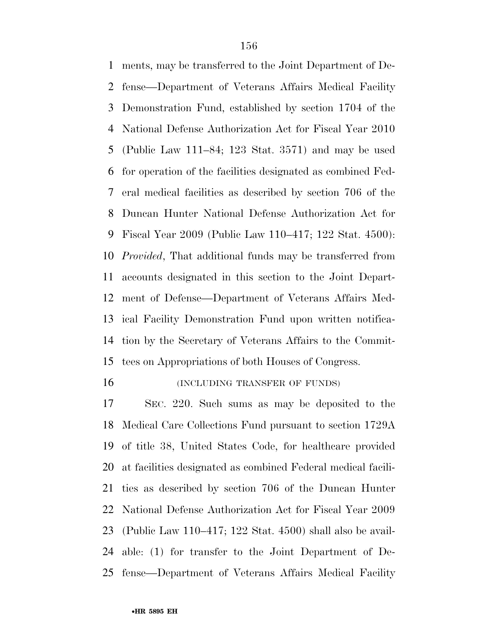ments, may be transferred to the Joint Department of De- fense—Department of Veterans Affairs Medical Facility Demonstration Fund, established by section 1704 of the National Defense Authorization Act for Fiscal Year 2010 (Public Law 111–84; 123 Stat. 3571) and may be used for operation of the facilities designated as combined Fed- eral medical facilities as described by section 706 of the Duncan Hunter National Defense Authorization Act for Fiscal Year 2009 (Public Law 110–417; 122 Stat. 4500): *Provided*, That additional funds may be transferred from accounts designated in this section to the Joint Depart- ment of Defense—Department of Veterans Affairs Med- ical Facility Demonstration Fund upon written notifica- tion by the Secretary of Veterans Affairs to the Commit-tees on Appropriations of both Houses of Congress.

16 (INCLUDING TRANSFER OF FUNDS)

 SEC. 220. Such sums as may be deposited to the Medical Care Collections Fund pursuant to section 1729A of title 38, United States Code, for healthcare provided at facilities designated as combined Federal medical facili- ties as described by section 706 of the Duncan Hunter National Defense Authorization Act for Fiscal Year 2009 (Public Law 110–417; 122 Stat. 4500) shall also be avail- able: (1) for transfer to the Joint Department of De-fense—Department of Veterans Affairs Medical Facility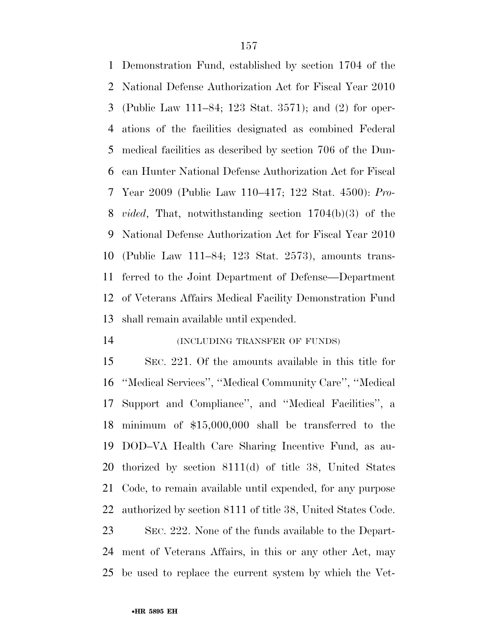Demonstration Fund, established by section 1704 of the National Defense Authorization Act for Fiscal Year 2010 (Public Law 111–84; 123 Stat. 3571); and (2) for oper- ations of the facilities designated as combined Federal medical facilities as described by section 706 of the Dun- can Hunter National Defense Authorization Act for Fiscal Year 2009 (Public Law 110–417; 122 Stat. 4500): *Pro- vided*, That, notwithstanding section 1704(b)(3) of the National Defense Authorization Act for Fiscal Year 2010 (Public Law 111–84; 123 Stat. 2573), amounts trans- ferred to the Joint Department of Defense—Department of Veterans Affairs Medical Facility Demonstration Fund shall remain available until expended.

### (INCLUDING TRANSFER OF FUNDS)

 SEC. 221. Of the amounts available in this title for ''Medical Services'', ''Medical Community Care'', ''Medical Support and Compliance'', and ''Medical Facilities'', a minimum of \$15,000,000 shall be transferred to the DOD–VA Health Care Sharing Incentive Fund, as au- thorized by section 8111(d) of title 38, United States Code, to remain available until expended, for any purpose authorized by section 8111 of title 38, United States Code.

 SEC. 222. None of the funds available to the Depart- ment of Veterans Affairs, in this or any other Act, may be used to replace the current system by which the Vet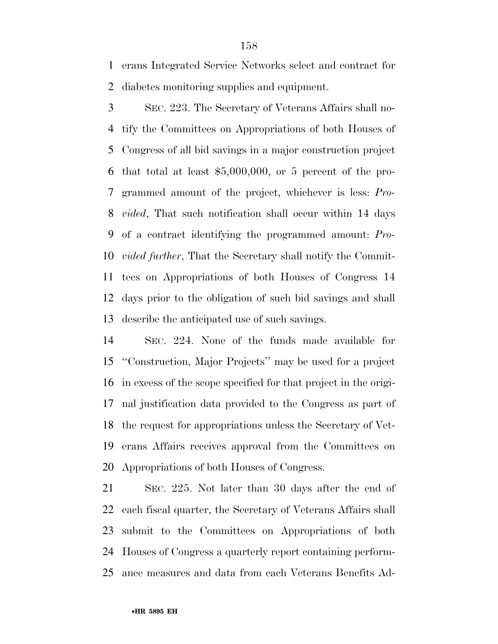erans Integrated Service Networks select and contract for diabetes monitoring supplies and equipment.

 SEC. 223. The Secretary of Veterans Affairs shall no- tify the Committees on Appropriations of both Houses of Congress of all bid savings in a major construction project that total at least \$5,000,000, or 5 percent of the pro- grammed amount of the project, whichever is less: *Pro- vided*, That such notification shall occur within 14 days of a contract identifying the programmed amount: *Pro- vided further*, That the Secretary shall notify the Commit- tees on Appropriations of both Houses of Congress 14 days prior to the obligation of such bid savings and shall describe the anticipated use of such savings.

 SEC. 224. None of the funds made available for ''Construction, Major Projects'' may be used for a project in excess of the scope specified for that project in the origi- nal justification data provided to the Congress as part of the request for appropriations unless the Secretary of Vet- erans Affairs receives approval from the Committees on Appropriations of both Houses of Congress.

 SEC. 225. Not later than 30 days after the end of each fiscal quarter, the Secretary of Veterans Affairs shall submit to the Committees on Appropriations of both Houses of Congress a quarterly report containing perform-ance measures and data from each Veterans Benefits Ad-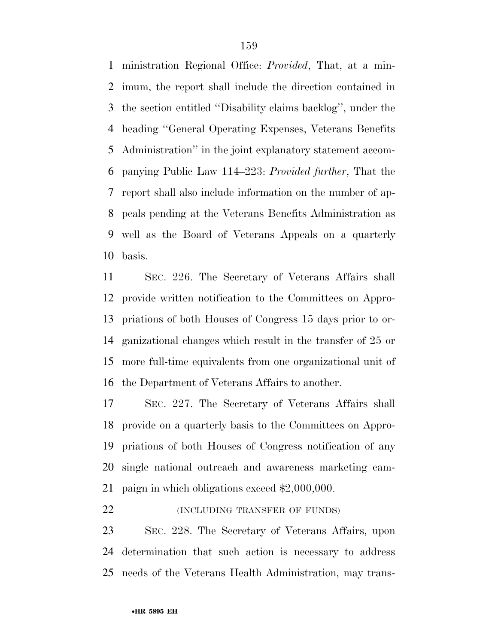ministration Regional Office: *Provided*, That, at a min- imum, the report shall include the direction contained in the section entitled ''Disability claims backlog'', under the heading ''General Operating Expenses, Veterans Benefits Administration'' in the joint explanatory statement accom- panying Public Law 114–223: *Provided further*, That the report shall also include information on the number of ap- peals pending at the Veterans Benefits Administration as well as the Board of Veterans Appeals on a quarterly basis.

 SEC. 226. The Secretary of Veterans Affairs shall provide written notification to the Committees on Appro- priations of both Houses of Congress 15 days prior to or- ganizational changes which result in the transfer of 25 or more full-time equivalents from one organizational unit of the Department of Veterans Affairs to another.

 SEC. 227. The Secretary of Veterans Affairs shall provide on a quarterly basis to the Committees on Appro- priations of both Houses of Congress notification of any single national outreach and awareness marketing cam-paign in which obligations exceed \$2,000,000.

**(INCLUDING TRANSFER OF FUNDS)** 

 SEC. 228. The Secretary of Veterans Affairs, upon determination that such action is necessary to address needs of the Veterans Health Administration, may trans-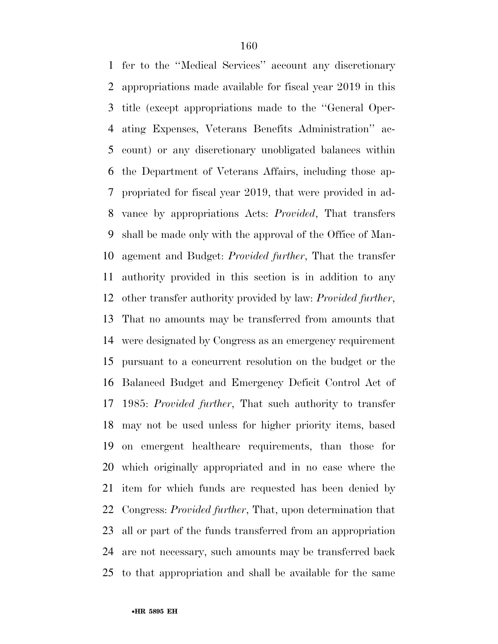fer to the ''Medical Services'' account any discretionary appropriations made available for fiscal year 2019 in this title (except appropriations made to the ''General Oper- ating Expenses, Veterans Benefits Administration'' ac- count) or any discretionary unobligated balances within the Department of Veterans Affairs, including those ap- propriated for fiscal year 2019, that were provided in ad- vance by appropriations Acts: *Provided*, That transfers shall be made only with the approval of the Office of Man- agement and Budget: *Provided further*, That the transfer authority provided in this section is in addition to any other transfer authority provided by law: *Provided further*, That no amounts may be transferred from amounts that were designated by Congress as an emergency requirement pursuant to a concurrent resolution on the budget or the Balanced Budget and Emergency Deficit Control Act of 1985: *Provided further*, That such authority to transfer may not be used unless for higher priority items, based on emergent healthcare requirements, than those for which originally appropriated and in no case where the item for which funds are requested has been denied by Congress: *Provided further*, That, upon determination that all or part of the funds transferred from an appropriation are not necessary, such amounts may be transferred back to that appropriation and shall be available for the same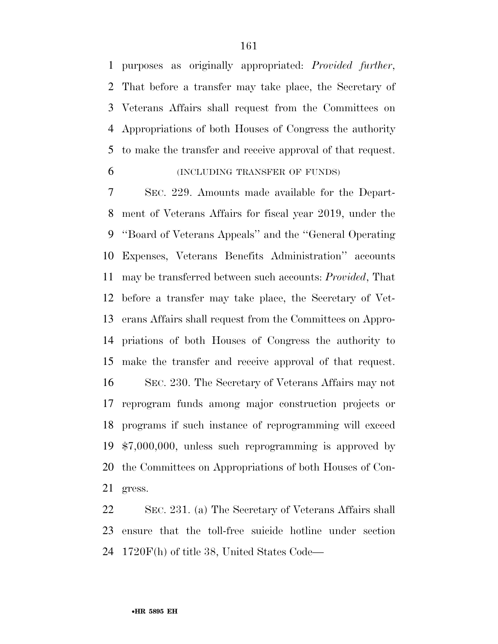purposes as originally appropriated: *Provided further*, That before a transfer may take place, the Secretary of Veterans Affairs shall request from the Committees on Appropriations of both Houses of Congress the authority to make the transfer and receive approval of that request.

(INCLUDING TRANSFER OF FUNDS)

 SEC. 229. Amounts made available for the Depart- ment of Veterans Affairs for fiscal year 2019, under the ''Board of Veterans Appeals'' and the ''General Operating Expenses, Veterans Benefits Administration'' accounts may be transferred between such accounts: *Provided*, That before a transfer may take place, the Secretary of Vet- erans Affairs shall request from the Committees on Appro- priations of both Houses of Congress the authority to make the transfer and receive approval of that request. SEC. 230. The Secretary of Veterans Affairs may not reprogram funds among major construction projects or programs if such instance of reprogramming will exceed \$7,000,000, unless such reprogramming is approved by the Committees on Appropriations of both Houses of Con-gress.

 SEC. 231. (a) The Secretary of Veterans Affairs shall ensure that the toll-free suicide hotline under section 1720F(h) of title 38, United States Code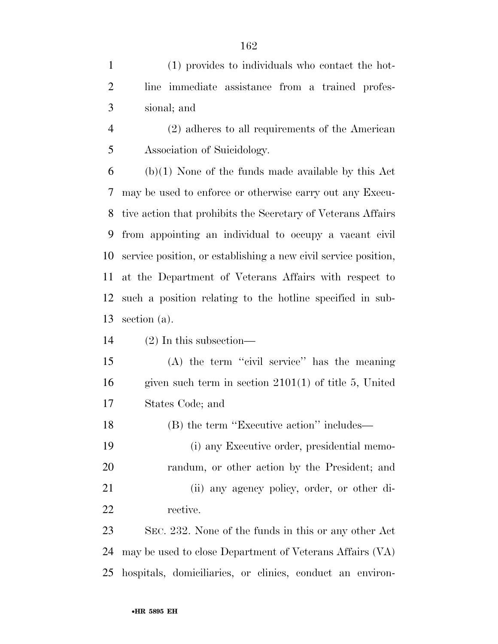(1) provides to individuals who contact the hot- line immediate assistance from a trained profes-sional; and

 (2) adheres to all requirements of the American Association of Suicidology.

 (b)(1) None of the funds made available by this Act may be used to enforce or otherwise carry out any Execu- tive action that prohibits the Secretary of Veterans Affairs from appointing an individual to occupy a vacant civil service position, or establishing a new civil service position, at the Department of Veterans Affairs with respect to such a position relating to the hotline specified in sub-section (a).

(2) In this subsection—

 (A) the term ''civil service'' has the meaning given such term in section 2101(1) of title 5, United States Code; and

(B) the term ''Executive action'' includes—

 (i) any Executive order, presidential memo- randum, or other action by the President; and (ii) any agency policy, order, or other di-rective.

 SEC. 232. None of the funds in this or any other Act may be used to close Department of Veterans Affairs (VA) hospitals, domiciliaries, or clinics, conduct an environ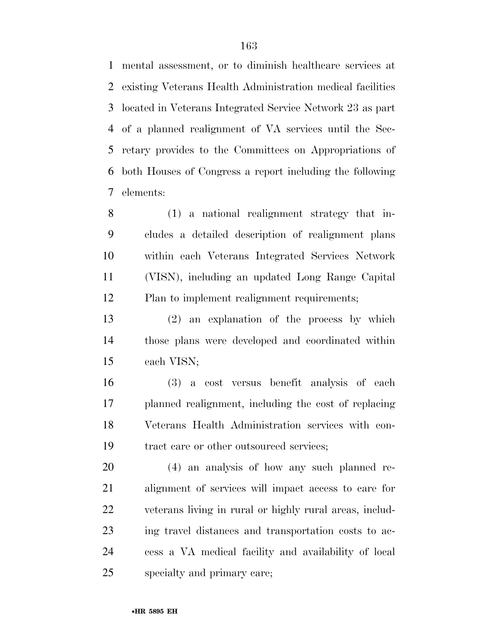mental assessment, or to diminish healthcare services at existing Veterans Health Administration medical facilities located in Veterans Integrated Service Network 23 as part of a planned realignment of VA services until the Sec- retary provides to the Committees on Appropriations of both Houses of Congress a report including the following elements:

 (1) a national realignment strategy that in- cludes a detailed description of realignment plans within each Veterans Integrated Services Network (VISN), including an updated Long Range Capital Plan to implement realignment requirements;

 (2) an explanation of the process by which those plans were developed and coordinated within each VISN;

 (3) a cost versus benefit analysis of each planned realignment, including the cost of replacing Veterans Health Administration services with con-tract care or other outsourced services;

 (4) an analysis of how any such planned re- alignment of services will impact access to care for veterans living in rural or highly rural areas, includ- ing travel distances and transportation costs to ac- cess a VA medical facility and availability of local specialty and primary care;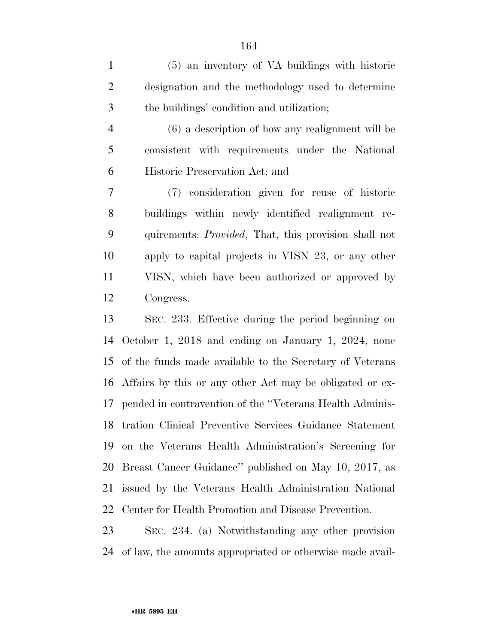(5) an inventory of VA buildings with historic designation and the methodology used to determine the buildings' condition and utilization;

 (6) a description of how any realignment will be consistent with requirements under the National Historic Preservation Act; and

 (7) consideration given for reuse of historic buildings within newly identified realignment re- quirements: *Provided*, That, this provision shall not apply to capital projects in VISN 23, or any other VISN, which have been authorized or approved by Congress.

 SEC. 233. Effective during the period beginning on October 1, 2018 and ending on January 1, 2024, none of the funds made available to the Secretary of Veterans Affairs by this or any other Act may be obligated or ex- pended in contravention of the ''Veterans Health Adminis- tration Clinical Preventive Services Guidance Statement on the Veterans Health Administration's Screening for Breast Cancer Guidance'' published on May 10, 2017, as issued by the Veterans Health Administration National Center for Health Promotion and Disease Prevention.

 SEC. 234. (a) Notwithstanding any other provision of law, the amounts appropriated or otherwise made avail-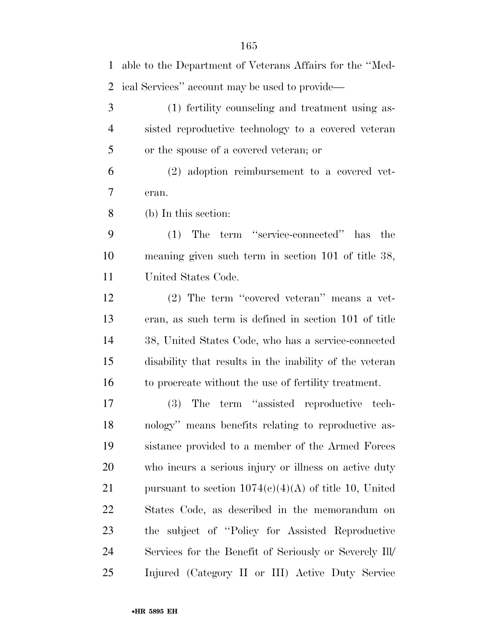able to the Department of Veterans Affairs for the ''Med- ical Services'' account may be used to provide— (1) fertility counseling and treatment using as- sisted reproductive technology to a covered veteran or the spouse of a covered veteran; or (2) adoption reimbursement to a covered vet- eran. (b) In this section: (1) The term ''service-connected'' has the meaning given such term in section 101 of title 38, United States Code. (2) The term ''covered veteran'' means a vet- eran, as such term is defined in section 101 of title 38, United States Code, who has a service-connected disability that results in the inability of the veteran to procreate without the use of fertility treatment. (3) The term ''assisted reproductive tech- nology'' means benefits relating to reproductive as- sistance provided to a member of the Armed Forces who incurs a serious injury or illness on active duty 21 pursuant to section  $1074(e)(4)(A)$  of title 10, United States Code, as described in the memorandum on the subject of ''Policy for Assisted Reproductive Services for the Benefit of Seriously or Severely Ill/ Injured (Category II or III) Active Duty Service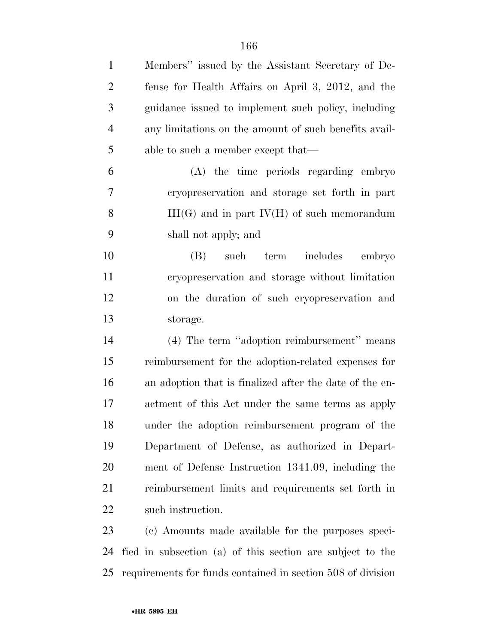| $\mathbf{1}$   | Members" issued by the Assistant Secretary of De-       |
|----------------|---------------------------------------------------------|
| $\overline{2}$ | fense for Health Affairs on April 3, 2012, and the      |
| 3              | guidance issued to implement such policy, including     |
| $\overline{4}$ | any limitations on the amount of such benefits avail-   |
| 5              | able to such a member except that—                      |
| 6              | (A) the time periods regarding embryo                   |
| $\overline{7}$ | cryopreservation and storage set forth in part          |
| 8              | $III(G)$ and in part $IV(H)$ of such memorandum         |
| 9              | shall not apply; and                                    |
| 10             | $(B)$ such<br>term<br>includes<br>embryo                |
| 11             | cryopreservation and storage without limitation         |
| 12             | on the duration of such cryopreservation and            |
| 13             | storage.                                                |
| 14             | (4) The term "adoption reimbursement" means             |
| 15             | reimbursement for the adoption-related expenses for     |
| 16             | an adoption that is finalized after the date of the en- |
| 17             | actment of this Act under the same terms as apply       |
| 18             | under the adoption reimbursement program of the         |
| 19             | Department of Defense, as authorized in Depart-         |
| 20             | ment of Defense Instruction 1341.09, including the      |
| 21             | reimbursement limits and requirements set forth in      |
| 22             | such instruction.                                       |
| 23             | (c) Amounts made available for the purposes speci-      |

 fied in subsection (a) of this section are subject to the requirements for funds contained in section 508 of division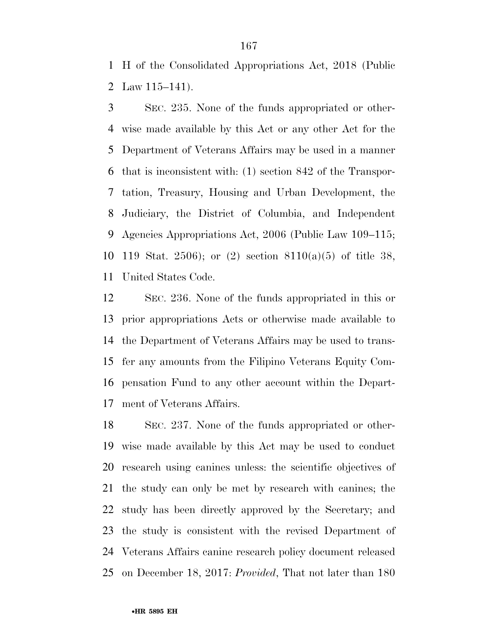H of the Consolidated Appropriations Act, 2018 (Public Law 115–141).

 SEC. 235. None of the funds appropriated or other- wise made available by this Act or any other Act for the Department of Veterans Affairs may be used in a manner that is inconsistent with: (1) section 842 of the Transpor- tation, Treasury, Housing and Urban Development, the Judiciary, the District of Columbia, and Independent Agencies Appropriations Act, 2006 (Public Law 109–115; 119 Stat. 2506); or (2) section 8110(a)(5) of title 38, United States Code.

 SEC. 236. None of the funds appropriated in this or prior appropriations Acts or otherwise made available to the Department of Veterans Affairs may be used to trans- fer any amounts from the Filipino Veterans Equity Com- pensation Fund to any other account within the Depart-ment of Veterans Affairs.

 SEC. 237. None of the funds appropriated or other- wise made available by this Act may be used to conduct research using canines unless: the scientific objectives of the study can only be met by research with canines; the study has been directly approved by the Secretary; and the study is consistent with the revised Department of Veterans Affairs canine research policy document released on December 18, 2017: *Provided*, That not later than 180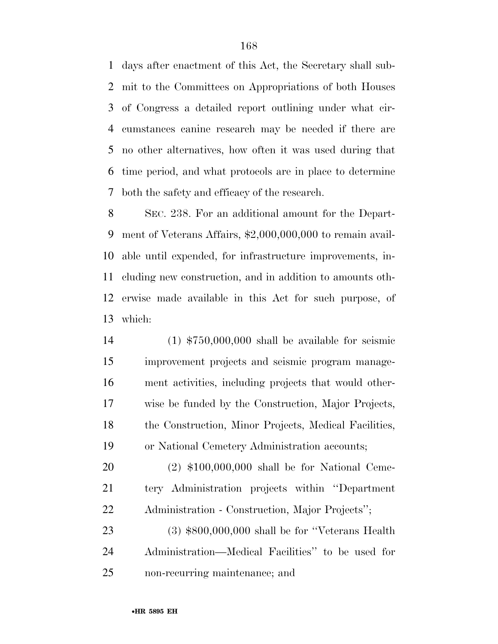days after enactment of this Act, the Secretary shall sub- mit to the Committees on Appropriations of both Houses of Congress a detailed report outlining under what cir- cumstances canine research may be needed if there are no other alternatives, how often it was used during that time period, and what protocols are in place to determine both the safety and efficacy of the research.

 SEC. 238. For an additional amount for the Depart- ment of Veterans Affairs, \$2,000,000,000 to remain avail- able until expended, for infrastructure improvements, in- cluding new construction, and in addition to amounts oth- erwise made available in this Act for such purpose, of which:

 (1) \$750,000,000 shall be available for seismic improvement projects and seismic program manage- ment activities, including projects that would other- wise be funded by the Construction, Major Projects, the Construction, Minor Projects, Medical Facilities, or National Cemetery Administration accounts;

 (2) \$100,000,000 shall be for National Ceme- tery Administration projects within ''Department Administration - Construction, Major Projects'';

 (3) \$800,000,000 shall be for ''Veterans Health Administration—Medical Facilities'' to be used for non-recurring maintenance; and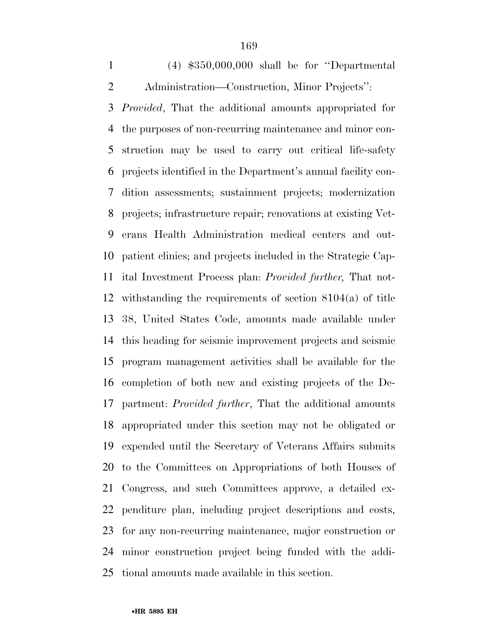(4) \$350,000,000 shall be for ''Departmental Administration—Construction, Minor Projects'':

 *Provided*, That the additional amounts appropriated for the purposes of non-recurring maintenance and minor con- struction may be used to carry out critical life-safety projects identified in the Department's annual facility con- dition assessments; sustainment projects; modernization projects; infrastructure repair; renovations at existing Vet- erans Health Administration medical centers and out- patient clinics; and projects included in the Strategic Cap- ital Investment Process plan: *Provided further,* That not- withstanding the requirements of section 8104(a) of title 38, United States Code, amounts made available under this heading for seismic improvement projects and seismic program management activities shall be available for the completion of both new and existing projects of the De- partment: *Provided further*, That the additional amounts appropriated under this section may not be obligated or expended until the Secretary of Veterans Affairs submits to the Committees on Appropriations of both Houses of Congress, and such Committees approve, a detailed ex- penditure plan, including project descriptions and costs, for any non-recurring maintenance, major construction or minor construction project being funded with the addi-tional amounts made available in this section.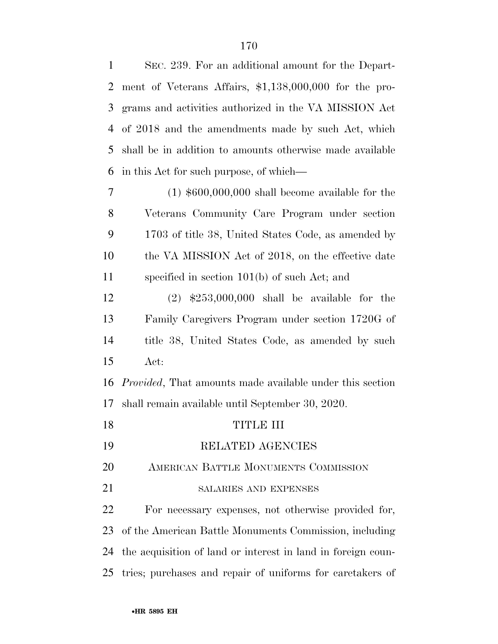| $\mathbf{1}$   | SEC. 239. For an additional amount for the Depart-               |
|----------------|------------------------------------------------------------------|
| $\overline{2}$ | ment of Veterans Affairs, \$1,138,000,000 for the pro-           |
| 3              | grams and activities authorized in the VA MISSION Act            |
| $\overline{4}$ | of 2018 and the amendments made by such Act, which               |
| 5              | shall be in addition to amounts otherwise made available         |
| 6              | in this Act for such purpose, of which—                          |
| $\tau$         | $(1)$ \$600,000,000 shall become available for the               |
| 8              | Veterans Community Care Program under section                    |
| 9              | 1703 of title 38, United States Code, as amended by              |
| 10             | the VA MISSION Act of 2018, on the effective date                |
| 11             | specified in section $101(b)$ of such Act; and                   |
| 12             | $(2)$ \$253,000,000 shall be available for the                   |
| 13             | Family Caregivers Program under section 1720G of                 |
| 14             | title 38, United States Code, as amended by such                 |
| 15             | Act:                                                             |
| 16             | <i>Provided</i> , That amounts made available under this section |
| 17             | shall remain available until September 30, 2020.                 |
| 18             | TITLE III                                                        |
| 19             | RELATED AGENCIES                                                 |
| 20             | AMERICAN BATTLE MONUMENTS COMMISSION                             |
| 21             | SALARIES AND EXPENSES                                            |
| 22             | For necessary expenses, not otherwise provided for,              |
| 23             | of the American Battle Monuments Commission, including           |
| 24             | the acquisition of land or interest in land in foreign coun-     |
| 25             | tries; purchases and repair of uniforms for caretakers of        |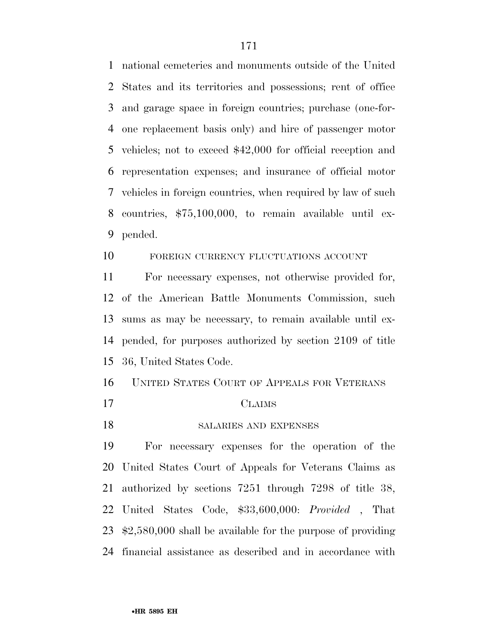national cemeteries and monuments outside of the United States and its territories and possessions; rent of office and garage space in foreign countries; purchase (one-for- one replacement basis only) and hire of passenger motor vehicles; not to exceed \$42,000 for official reception and representation expenses; and insurance of official motor vehicles in foreign countries, when required by law of such countries, \$75,100,000, to remain available until ex-pended.

### FOREIGN CURRENCY FLUCTUATIONS ACCOUNT

 For necessary expenses, not otherwise provided for, of the American Battle Monuments Commission, such sums as may be necessary, to remain available until ex- pended, for purposes authorized by section 2109 of title 36, United States Code.

# UNITED STATES COURT OF APPEALS FOR VETERANS

- CLAIMS
- 18 SALARIES AND EXPENSES

 For necessary expenses for the operation of the United States Court of Appeals for Veterans Claims as authorized by sections 7251 through 7298 of title 38, United States Code, \$33,600,000: *Provided* , That \$2,580,000 shall be available for the purpose of providing financial assistance as described and in accordance with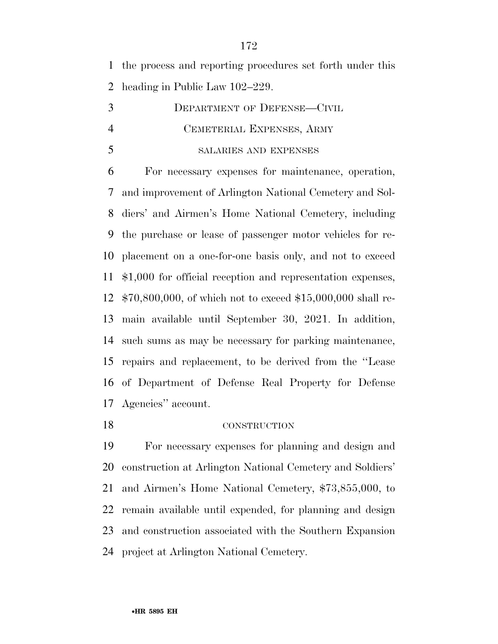the process and reporting procedures set forth under this heading in Public Law 102–229.

 DEPARTMENT OF DEFENSE—CIVIL CEMETERIAL EXPENSES, ARMY SALARIES AND EXPENSES

 For necessary expenses for maintenance, operation, and improvement of Arlington National Cemetery and Sol- diers' and Airmen's Home National Cemetery, including the purchase or lease of passenger motor vehicles for re- placement on a one-for-one basis only, and not to exceed \$1,000 for official reception and representation expenses, \$70,800,000, of which not to exceed \$15,000,000 shall re- main available until September 30, 2021. In addition, such sums as may be necessary for parking maintenance, repairs and replacement, to be derived from the ''Lease of Department of Defense Real Property for Defense Agencies'' account.

### CONSTRUCTION

 For necessary expenses for planning and design and construction at Arlington National Cemetery and Soldiers' and Airmen's Home National Cemetery, \$73,855,000, to remain available until expended, for planning and design and construction associated with the Southern Expansion project at Arlington National Cemetery.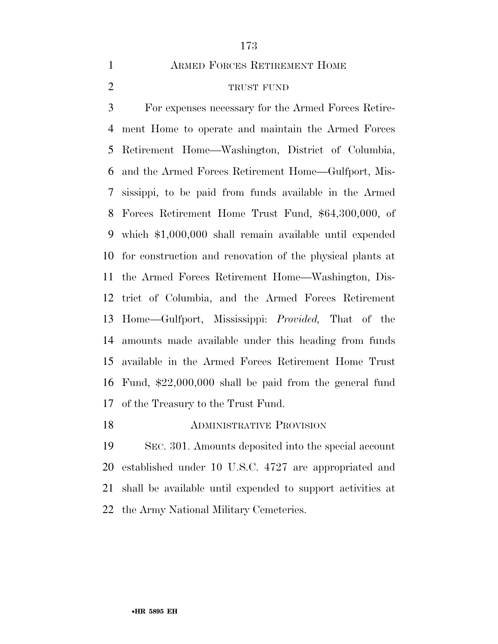ARMED FORCES RETIREMENT HOME

### TRUST FUND

 For expenses necessary for the Armed Forces Retire- ment Home to operate and maintain the Armed Forces Retirement Home—Washington, District of Columbia, and the Armed Forces Retirement Home—Gulfport, Mis- sissippi, to be paid from funds available in the Armed Forces Retirement Home Trust Fund, \$64,300,000, of which \$1,000,000 shall remain available until expended for construction and renovation of the physical plants at the Armed Forces Retirement Home—Washington, Dis- trict of Columbia, and the Armed Forces Retirement Home—Gulfport, Mississippi: *Provided,* That of the amounts made available under this heading from funds available in the Armed Forces Retirement Home Trust Fund, \$22,000,000 shall be paid from the general fund of the Treasury to the Trust Fund.

### **ADMINISTRATIVE PROVISION**

 SEC. 301. Amounts deposited into the special account established under 10 U.S.C. 4727 are appropriated and shall be available until expended to support activities at the Army National Military Cemeteries.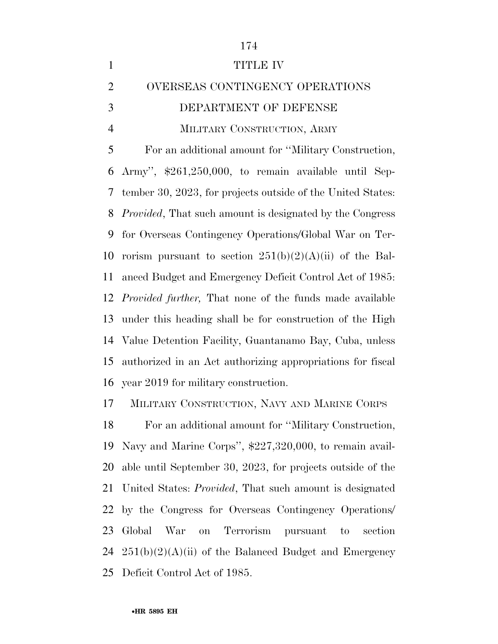| $\mathbf{1}$   | <b>TITLE IV</b>                                                  |
|----------------|------------------------------------------------------------------|
| $\overline{2}$ | OVERSEAS CONTINGENCY OPERATIONS                                  |
| 3              | DEPARTMENT OF DEFENSE                                            |
| $\overline{4}$ | MILITARY CONSTRUCTION, ARMY                                      |
| 5              | For an additional amount for "Military Construction,             |
| 6              | Army", \$261,250,000, to remain available until Sep-             |
| 7              | tember 30, 2023, for projects outside of the United States:      |
| 8              | <i>Provided</i> , That such amount is designated by the Congress |
| 9              | for Overseas Contingency Operations/Global War on Ter-           |
| 10             | rorism pursuant to section $251(b)(2)(A)(ii)$ of the Bal-        |
| 11             | anced Budget and Emergency Deficit Control Act of 1985:          |
| 12             | <i>Provided further</i> , That none of the funds made available  |
| 13             | under this heading shall be for construction of the High         |
| 14             | Value Detention Facility, Guantanamo Bay, Cuba, unless           |
| 15             | authorized in an Act authorizing appropriations for fiscal       |
| 16             | year 2019 for military construction.                             |
| 17             | MILITARY CONSTRUCTION, NAVY AND MARINE CORPS                     |
| 18             | For an additional amount for "Military Construction,             |
| 19             | Navy and Marine Corps", \$227,320,000, to remain avail-          |
|                |                                                                  |

 able until September 30, 2023, for projects outside of the United States: *Provided*, That such amount is designated by the Congress for Overseas Contingency Operations/ Global War on Terrorism pursuant to section  $251(b)(2)(A)(ii)$  of the Balanced Budget and Emergency Deficit Control Act of 1985.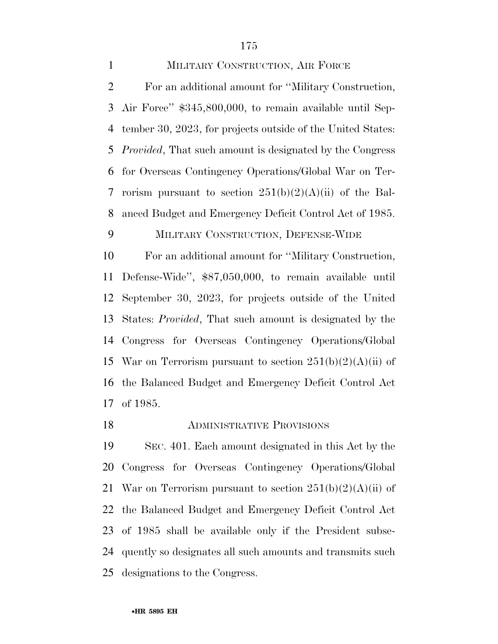MILITARY CONSTRUCTION, AIR FORCE For an additional amount for ''Military Construction, Air Force'' \$345,800,000, to remain available until Sep- tember 30, 2023, for projects outside of the United States: *Provided*, That such amount is designated by the Congress for Overseas Contingency Operations/Global War on Ter-7 rorism pursuant to section  $251(b)(2)(A)(ii)$  of the Bal- anced Budget and Emergency Deficit Control Act of 1985. MILITARY CONSTRUCTION, DEFENSE-WIDE For an additional amount for ''Military Construction, Defense-Wide'', \$87,050,000, to remain available until

September 30, 2023, for projects outside of the United

States: *Provided*, That such amount is designated by the

Congress for Overseas Contingency Operations/Global

15 War on Terrorism pursuant to section  $251(b)(2)(A)(ii)$  of the Balanced Budget and Emergency Deficit Control Act of 1985.

ADMINISTRATIVE PROVISIONS

 SEC. 401. Each amount designated in this Act by the Congress for Overseas Contingency Operations/Global 21 War on Terrorism pursuant to section  $251(b)(2)(A)(ii)$  of the Balanced Budget and Emergency Deficit Control Act of 1985 shall be available only if the President subse- quently so designates all such amounts and transmits such designations to the Congress.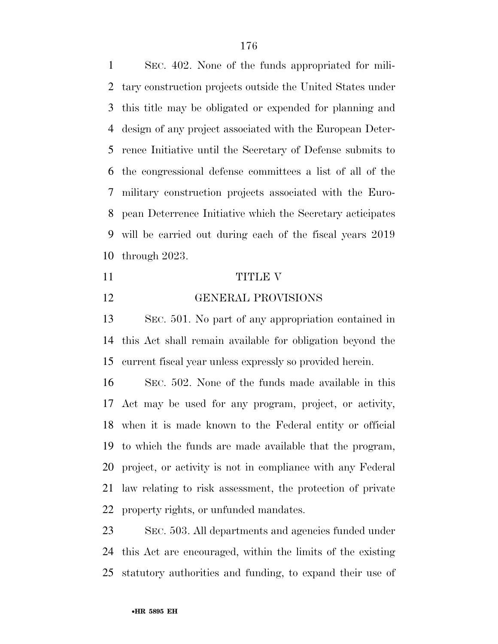SEC. 402. None of the funds appropriated for mili- tary construction projects outside the United States under this title may be obligated or expended for planning and design of any project associated with the European Deter- rence Initiative until the Secretary of Defense submits to the congressional defense committees a list of all of the military construction projects associated with the Euro- pean Deterrence Initiative which the Secretary acticipates will be carried out during each of the fiscal years 2019 through 2023.

#### 11 TITLE V

GENERAL PROVISIONS

 SEC. 501. No part of any appropriation contained in this Act shall remain available for obligation beyond the current fiscal year unless expressly so provided herein.

 SEC. 502. None of the funds made available in this Act may be used for any program, project, or activity, when it is made known to the Federal entity or official to which the funds are made available that the program, project, or activity is not in compliance with any Federal law relating to risk assessment, the protection of private property rights, or unfunded mandates.

 SEC. 503. All departments and agencies funded under this Act are encouraged, within the limits of the existing statutory authorities and funding, to expand their use of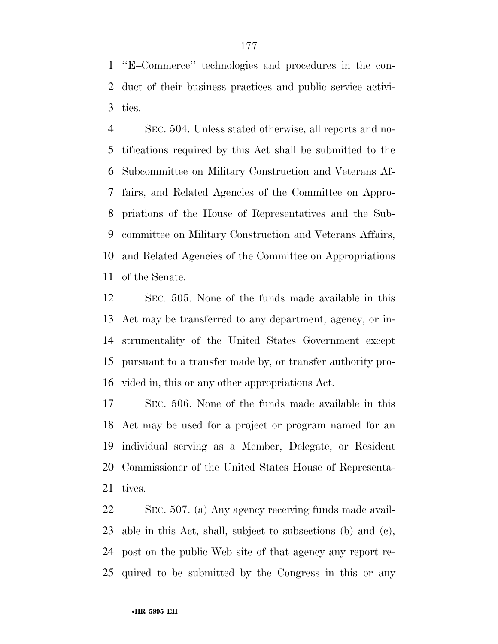''E–Commerce'' technologies and procedures in the con- duct of their business practices and public service activi-ties.

 SEC. 504. Unless stated otherwise, all reports and no- tifications required by this Act shall be submitted to the Subcommittee on Military Construction and Veterans Af- fairs, and Related Agencies of the Committee on Appro- priations of the House of Representatives and the Sub- committee on Military Construction and Veterans Affairs, and Related Agencies of the Committee on Appropriations of the Senate.

 SEC. 505. None of the funds made available in this Act may be transferred to any department, agency, or in- strumentality of the United States Government except pursuant to a transfer made by, or transfer authority pro-vided in, this or any other appropriations Act.

 SEC. 506. None of the funds made available in this Act may be used for a project or program named for an individual serving as a Member, Delegate, or Resident Commissioner of the United States House of Representa-tives.

 SEC. 507. (a) Any agency receiving funds made avail- able in this Act, shall, subject to subsections (b) and (c), post on the public Web site of that agency any report re-quired to be submitted by the Congress in this or any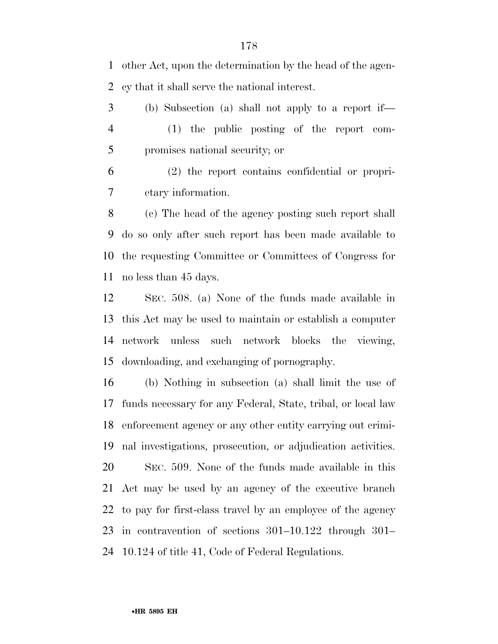other Act, upon the determination by the head of the agen-cy that it shall serve the national interest.

 (b) Subsection (a) shall not apply to a report if— (1) the public posting of the report com-promises national security; or

 (2) the report contains confidential or propri-etary information.

 (c) The head of the agency posting such report shall do so only after such report has been made available to the requesting Committee or Committees of Congress for no less than 45 days.

 SEC. 508. (a) None of the funds made available in this Act may be used to maintain or establish a computer network unless such network blocks the viewing, downloading, and exchanging of pornography.

 (b) Nothing in subsection (a) shall limit the use of funds necessary for any Federal, State, tribal, or local law enforcement agency or any other entity carrying out crimi- nal investigations, prosecution, or adjudication activities. SEC. 509. None of the funds made available in this Act may be used by an agency of the executive branch to pay for first-class travel by an employee of the agency in contravention of sections 301–10.122 through 301– 10.124 of title 41, Code of Federal Regulations.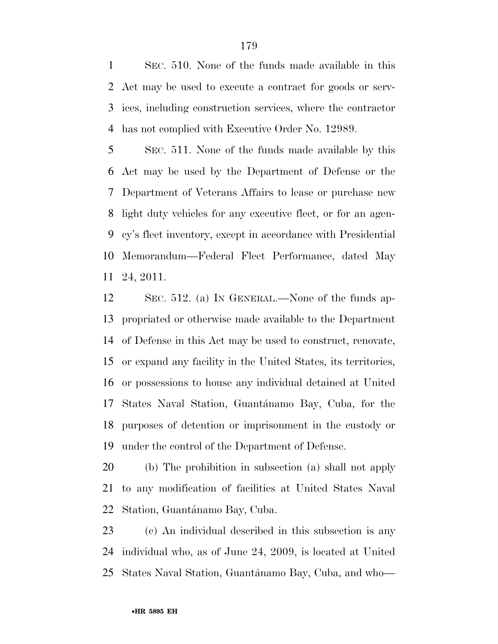SEC. 510. None of the funds made available in this Act may be used to execute a contract for goods or serv- ices, including construction services, where the contractor has not complied with Executive Order No. 12989.

 SEC. 511. None of the funds made available by this Act may be used by the Department of Defense or the Department of Veterans Affairs to lease or purchase new light duty vehicles for any executive fleet, or for an agen- cy's fleet inventory, except in accordance with Presidential Memorandum—Federal Fleet Performance, dated May 24, 2011.

 SEC. 512. (a) IN GENERAL.—None of the funds ap- propriated or otherwise made available to the Department of Defense in this Act may be used to construct, renovate, or expand any facility in the United States, its territories, or possessions to house any individual detained at United 17 States Naval Station, Guantánamo Bay, Cuba, for the purposes of detention or imprisonment in the custody or under the control of the Department of Defense.

 (b) The prohibition in subsection (a) shall not apply to any modification of facilities at United States Naval 22 Station, Guantánamo Bay, Cuba.

 (c) An individual described in this subsection is any individual who, as of June 24, 2009, is located at United 25 States Naval Station, Guantánamo Bay, Cuba, and who—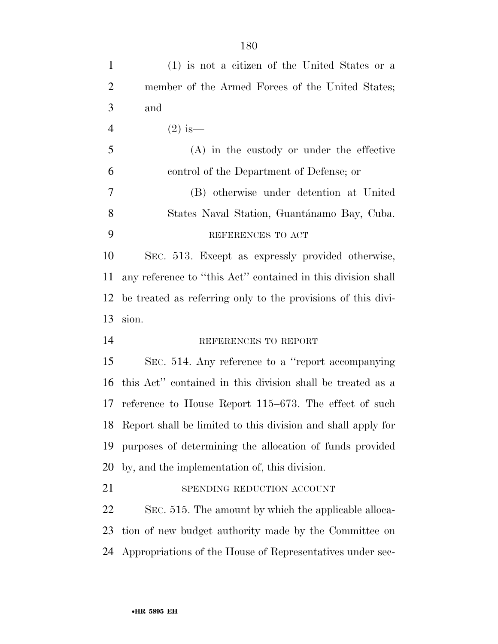| $\mathbf{1}$   | (1) is not a citizen of the United States or a                  |
|----------------|-----------------------------------------------------------------|
| $\overline{2}$ | member of the Armed Forces of the United States;                |
| 3              | and                                                             |
| $\overline{4}$ | $(2)$ is —                                                      |
| 5              | $(A)$ in the custody or under the effective                     |
| 6              | control of the Department of Defense; or                        |
| $\tau$         | (B) otherwise under detention at United                         |
| 8              | States Naval Station, Guantánamo Bay, Cuba.                     |
| 9              | REFERENCES TO ACT                                               |
| 10             | SEC. 513. Except as expressly provided otherwise,               |
| 11             | any reference to "this Act" contained in this division shall    |
| 12             | be treated as referring only to the provisions of this divi-    |
|                |                                                                 |
| 13             | sion.                                                           |
| 14             | REFERENCES TO REPORT                                            |
| 15             | SEC. 514. Any reference to a "report accompanying"              |
| 16             | this Act" contained in this division shall be treated as a      |
| 17             | reference to House Report $115-673$ . The effect of such        |
|                | 18 Report shall be limited to this division and shall apply for |
| 19             | purposes of determining the allocation of funds provided        |
| 20             | by, and the implementation of, this division.                   |
| 21             | SPENDING REDUCTION ACCOUNT                                      |
| 22             | SEC. 515. The amount by which the applicable alloca-            |
| 23             | tion of new budget authority made by the Committee on           |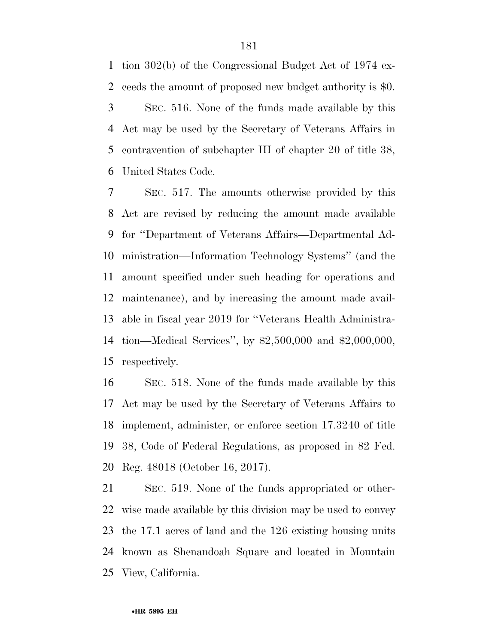tion 302(b) of the Congressional Budget Act of 1974 ex- ceeds the amount of proposed new budget authority is \$0. SEC. 516. None of the funds made available by this Act may be used by the Secretary of Veterans Affairs in contravention of subchapter III of chapter 20 of title 38, United States Code.

 SEC. 517. The amounts otherwise provided by this Act are revised by reducing the amount made available for ''Department of Veterans Affairs—Departmental Ad- ministration—Information Technology Systems'' (and the amount specified under such heading for operations and maintenance), and by increasing the amount made avail- able in fiscal year 2019 for ''Veterans Health Administra- tion—Medical Services'', by \$2,500,000 and \$2,000,000, respectively.

 SEC. 518. None of the funds made available by this Act may be used by the Secretary of Veterans Affairs to implement, administer, or enforce section 17.3240 of title 38, Code of Federal Regulations, as proposed in 82 Fed. Reg. 48018 (October 16, 2017).

 SEC. 519. None of the funds appropriated or other- wise made available by this division may be used to convey the 17.1 acres of land and the 126 existing housing units known as Shenandoah Square and located in Mountain View, California.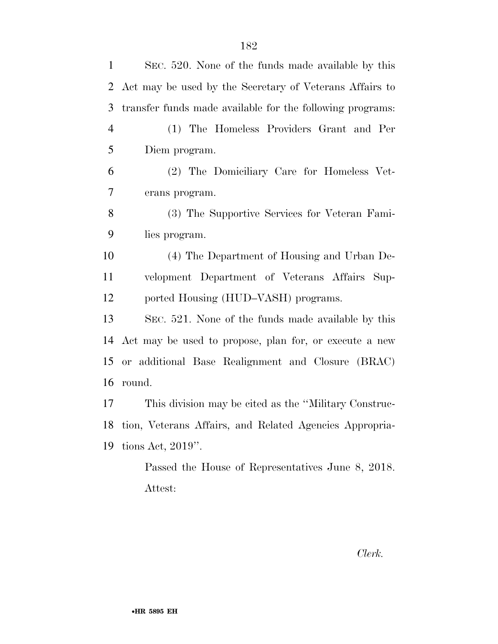| $\mathbf{1}$   | SEC. 520. None of the funds made available by this        |
|----------------|-----------------------------------------------------------|
| 2              | Act may be used by the Secretary of Veterans Affairs to   |
| 3              | transfer funds made available for the following programs: |
| $\overline{4}$ | (1) The Homeless Providers Grant and Per                  |
| 5              | Diem program.                                             |
| 6              | (2) The Domiciliary Care for Homeless Vet-                |
| 7              | erans program.                                            |
| 8              | (3) The Supportive Services for Veteran Fami-             |
| 9              | lies program.                                             |
| 10             | (4) The Department of Housing and Urban De-               |
| 11             | velopment Department of Veterans Affairs Sup-             |
| 12             | ported Housing (HUD–VASH) programs.                       |
| 13             | SEC. 521. None of the funds made available by this        |
| 14             | Act may be used to propose, plan for, or execute a new    |
| 15             | or additional Base Realignment and Closure (BRAC)         |
| 16             | round.                                                    |
| 17             | This division may be cited as the "Military Construc-     |
| 18             | tion, Veterans Affairs, and Related Agencies Appropria-   |
| 19             | tions Act, $2019$ ".                                      |
|                | Passed the House of Representatives June 8, 2018.         |
|                | Attest:                                                   |

*Clerk.*